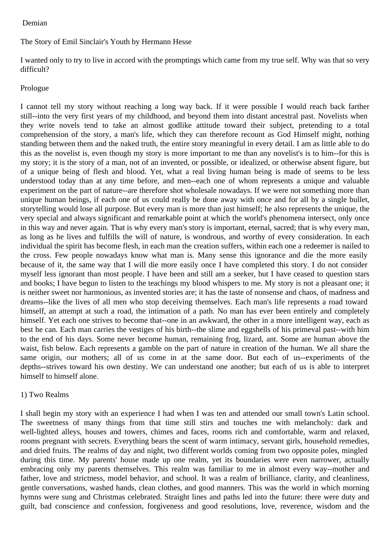# Demian

# The Story of Emil Sinclair's Youth by Hermann Hesse

I wanted only to try to live in accord with the promptings which came from my true self. Why was that so very difficult?

# Prologue

I cannot tell my story without reaching a long way back. If it were possible I would reach back farther still--into the very first years of my childhood, and beyond them into distant ancestral past. Novelists when they write novels tend to take an almost godlike attitude toward their subject, pretending to a total comprehension of the story, a man's life, which they can therefore recount as God Himself might, nothing standing between them and the naked truth, the entire story meaningful in every detail. I am as little able to do this as the novelist is, even though my story is more important to me than any novelist's is to him--for this is my story; it is the story of a man, not of an invented, or possible, or idealized, or otherwise absent figure, but of a unique being of flesh and blood. Yet, what a real living human being is made of seems to be less understood today than at any time before, and men--each one of whom represents a unique and valuable experiment on the part of nature--are therefore shot wholesale nowadays. If we were not something more than unique human beings, if each one of us could really be done away with once and for all by a single bullet, storytelling would lose all purpose. But every man is more than just himself; he also represents the unique, the very special and always significant and remarkable point at which the world's phenomena intersect, only once in this way and never again. That is why every man's story is important, eternal, sacred; that is why every man, as long as he lives and fulfills the will of nature, is wondrous, and worthy of every consideration. In each individual the spirit has become flesh, in each man the creation suffers, within each one a redeemer is nailed to the cross. Few people nowadays know what man is. Many sense this ignorance and die the more easily because of it, the same way that I will die more easily once I have completed this story. I do not consider myself less ignorant than most people. I have been and still am a seeker, but I have ceased to question stars and books; I have begun to listen to the teachings my blood whispers to me. My story is not a pleasant one; it is neither sweet nor harmonious, as invented stories are; it has the taste of nonsense and chaos, of madness and dreams--like the lives of all men who stop deceiving themselves. Each man's life represents a road toward himself, an attempt at such a road, the intimation of a path. No man has ever been entirely and completely himself. Yet each one strives to become that--one in an awkward, the other in a more intelligent way, each as best he can. Each man carries the vestiges of his birth--the slime and eggshells of his primeval past--with him to the end of his days. Some never become human, remaining frog, lizard, ant. Some are human above the waist, fish below. Each represents a gamble on the part of nature in creation of the human. We all share the same origin, our mothers; all of us come in at the same door. But each of us--experiments of the depths--strives toward his own destiny. We can understand one another; but each of us is able to interpret himself to himself alone.

# 1) Two Realms

I shall begin my story with an experience I had when I was ten and attended our small town's Latin school. The sweetness of many things from that time still stirs and touches me with melancholy: dark and well-lighted alleys, houses and towers, chimes and faces, rooms rich and comfortable, warm and relaxed, rooms pregnant with secrets. Everything bears the scent of warm intimacy, servant girls, household remedies, and dried fruits. The realms of day and night, two different worlds coming from two opposite poles, mingled during this time. My parents' house made up one realm, yet its boundaries were even narrower, actually embracing only my parents themselves. This realm was familiar to me in almost every way--mother and father, love and strictness, model behavior, and school. It was a realm of brilliance, clarity, and cleanliness, gentle conversations, washed hands, clean clothes, and good manners. This was the world in which morning hymns were sung and Christmas celebrated. Straight lines and paths led into the future: there were duty and guilt, bad conscience and confession, forgiveness and good resolutions, love, reverence, wisdom and the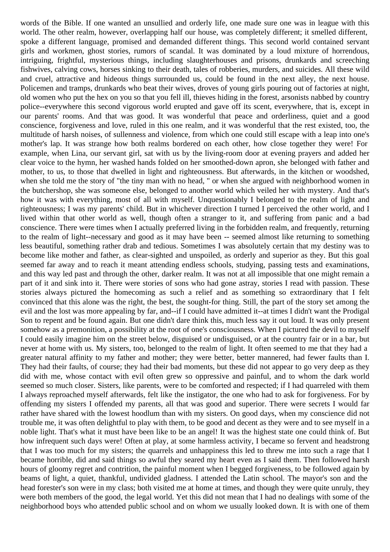words of the Bible. If one wanted an unsullied and orderly life, one made sure one was in league with this world. The other realm, however, overlapping half our house, was completely different; it smelled different, spoke a different language, promised and demanded different things. This second world contained servant girls and workmen, ghost stories, rumors of scandal. It was dominated by a loud mixture of horrendous, intriguing, frightful, mysterious things, including slaughterhouses and prisons, drunkards and screeching fishwives, calving cows, horses sinking to their death, tales of robberies, murders, and suicides. All these wild and cruel, attractive and hideous things surrounded us, could be found in the next alley, the next house. Policemen and tramps, drunkards who beat their wives, droves of young girls pouring out of factories at night, old women who put the hex on you so that you fell ill, thieves hiding in the forest, arsonists nabbed by country police--everywhere this second vigorous world erupted and gave off its scent, everywhere, that is, except in our parents' rooms. And that was good. It was wonderful that peace and orderliness, quiet and a good conscience, forgiveness and love, ruled in this one realm, and it was wonderful that the rest existed, too, the multitude of harsh noises, of sullenness and violence, from which one could still escape with a leap into one's mother's lap. It was strange how both realms bordered on each other, how close together they were! For example, when Lina, our servant girl, sat with us by the living-room door at evening prayers and added her clear voice to the hymn, her washed hands folded on her smoothed-down apron, she belonged with father and mother, to us, to those that dwelled in light and righteousness. But afterwards, in the kitchen or woodshed, when she told me the story of "the tiny man with no head, " or when she argued with neighborhood women in the butchershop, she was someone else, belonged to another world which veiled her with mystery. And that's how it was with everything, most of all with myself. Unquestionably I belonged to the realm of light and righteousness; I was my parents' child. But in whichever direction I turned I perceived the other world, and I lived within that other world as well, though often a stranger to it, and suffering from panic and a bad conscience. There were times when I actually preferred living in the forbidden realm, and frequently, returning to the realm of light--necessary and good as it may have been -- seemed almost like returning to something less beautiful, something rather drab and tedious. Sometimes I was absolutely certain that my destiny was to become like mother and father, as clear-sighted and unspoiled, as orderly and superior as they. But this goal seemed far away and to reach it meant attending endless schools, studying, passing tests and examinations, and this way led past and through the other, darker realm. It was not at all impossible that one might remain a part of it and sink into it. There were stories of sons who had gone astray, stories I read with passion. These stories always pictured the homecoming as such a relief and as something so extraordinary that I felt convinced that this alone was the right, the best, the sought-for thing. Still, the part of the story set among the evil and the lost was more appealing by far, and--if I could have admitted it--at times I didn't want the Prodigal Son to repent and be found again. But one didn't dare think this, much less say it out loud. It was only present somehow as a premonition, a possibility at the root of one's consciousness. When I pictured the devil to myself I could easily imagine him on the street below, disguised or undisguised, or at the country fair or in a bar, but never at home with us. My sisters, too, belonged to the realm of light. It often seemed to me that they had a greater natural affinity to my father and mother; they were better, better mannered, had fewer faults than I. They had their faults, of course; they had their bad moments, but these did not appear to go very deep as they did with me, whose contact with evil often grew so oppressive and painful, and to whom the dark world seemed so much closer. Sisters, like parents, were to be comforted and respected; if I had quarreled with them I always reproached myself afterwards, felt like the instigator, the one who had to ask for forgiveness. For by offending my sisters I offended my parents, all that was good and superior. There were secrets I would far rather have shared with the lowest hoodlum than with my sisters. On good days, when my conscience did not trouble me, it was often delightful to play with them, to be good and decent as they were and to see myself in a noble light. That's what it must have been like to be an angel! It was the highest state one could think of. But how infrequent such days were! Often at play, at some harmless activity, I became so fervent and headstrong that I was too much for my sisters; the quarrels and unhappiness this led to threw me into such a rage that I became horrible, did and said things so awful they seared my heart even as I said them. Then followed harsh hours of gloomy regret and contrition, the painful moment when I begged forgiveness, to be followed again by beams of light, a quiet, thankful, undivided gladness. I attended the Latin school. The mayor's son and the head forester's son were in my class; both visited me at home at times, and though they were quite unruly, they were both members of the good, the legal world. Yet this did not mean that I had no dealings with some of the neighborhood boys who attended public school and on whom we usually looked down. It is with one of them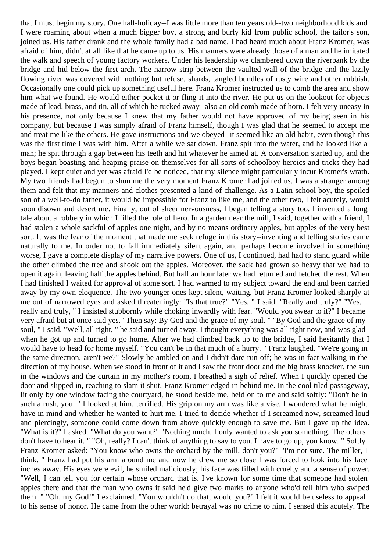that I must begin my story. One half-holiday--I was little more than ten years old--two neighborhood kids and I were roaming about when a much bigger boy, a strong and burly kid from public school, the tailor's son, joined us. His father drank and the whole family had a bad name. I had heard much about Franz Kromer, was afraid of him, didn't at all like that he came up to us. His manners were already those of a man and he imitated the walk and speech of young factory workers. Under his leadership we clambered down the riverbank by the bridge and hid below the first arch. The narrow strip between the vaulted wall of the bridge and the lazily flowing river was covered with nothing but refuse, shards, tangled bundles of rusty wire and other rubbish. Occasionally one could pick up something useful here. Franz Kromer instructed us to comb the area and show him what we found. He would either pocket it or fling it into the river. He put us on the lookout for objects made of lead, brass, and tin, all of which he tucked away--also an old comb made of horn. I felt very uneasy in his presence, not only because I knew that my father would not have approved of my being seen in his company, but because I was simply afraid of Franz himself, though I was glad that he seemed to accept me and treat me like the others. He gave instructions and we obeyed--it seemed like an old habit, even though this was the first time I was with him. After a while we sat down. Franz spit into the water, and he looked like a man; he spit through a gap between his teeth and hit whatever he aimed at. A conversation started up, and the boys began boasting and heaping praise on themselves for all sorts of schoolboy heroics and tricks they had played. I kept quiet and yet was afraid I'd be noticed, that my silence might particularly incur Kromer's wrath. My two friends had begun to shun me the very moment Franz Kromer had joined us. I was a stranger among them and felt that my manners and clothes presented a kind of challenge. As a Latin school boy, the spoiled son of a well-to-do father, it would be impossible for Franz to like me, and the other two, I felt acutely, would soon disown and desert me. Finally, out of sheer nervousness, I began telling a story too. I invented a long tale about a robbery in which I filled the role of hero. In a garden near the mill, I said, together with a friend, I had stolen a whole sackful of apples one night, and by no means ordinary apples, but apples of the very best sort. It was the fear of the moment that made me seek refuge in this story--inventing and telling stories came naturally to me. In order not to fall immediately silent again, and perhaps become involved in something worse, I gave a complete display of my narrative powers. One of us, I continued, had had to stand guard while the other climbed the tree and shook out the apples. Moreover, the sack had grown so heavy that we had to open it again, leaving half the apples behind. But half an hour later we had returned and fetched the rest. When I had finished I waited for approval of some sort. I had warmed to my subject toward the end and been carried away by my own eloquence. The two younger ones kept silent, waiting, but Franz Kromer looked sharply at me out of narrowed eyes and asked threateningly: "Is that true?" "Yes, " I said. "Really and truly?" "Yes, really and truly, "I insisted stubbornly while choking inwardly with fear. "Would you swear to it?" I became very afraid but at once said yes. "Then say: By God and the grace of my soul. " "By God and the grace of my soul, "I said. "Well, all right, " he said and turned away. I thought everything was all right now, and was glad when he got up and turned to go home. After we had climbed back up to the bridge, I said hesitantly that I would have to head for home myself. "You can't be in that much of a hurry." Franz laughed. "We're going in the same direction, aren't we?" Slowly he ambled on and I didn't dare run off; he was in fact walking in the direction of my house. When we stood in front of it and I saw the front door and the big brass knocker, the sun in the windows and the curtain in my mother's room, I breathed a sigh of relief. When I quickly opened the door and slipped in, reaching to slam it shut, Franz Kromer edged in behind me. In the cool tiled passageway, lit only by one window facing the courtyard, he stood beside me, held on to me and said softly: "Don't be in such a rush, you. " I looked at him, terrified. His grip on my arm was like a vise. I wondered what he might have in mind and whether he wanted to hurt me. I tried to decide whether if I screamed now, screamed loud and piercingly, someone could come down from above quickly enough to save me. But I gave up the idea. "What is it?" I asked. "What do you want?" "Nothing much. I only wanted to ask you something. The others don't have to hear it. " "Oh, really? I can't think of anything to say to you. I have to go up, you know. " Softly Franz Kromer asked: "You know who owns the orchard by the mill, don't you?" "I'm not sure. The miller, I think. " Franz had put his arm around me and now he drew me so close I was forced to look into his face inches away. His eyes were evil, he smiled maliciously; his face was filled with cruelty and a sense of power. "Well, I can tell you for certain whose orchard that is. I've known for some time that someone had stolen apples there and that the man who owns it said he'd give two marks to anyone who'd tell him who swiped them. " "Oh, my God!" I exclaimed. "You wouldn't do that, would you?" I felt it would be useless to appeal to his sense of honor. He came from the other world: betrayal was no crime to him. I sensed this acutely. The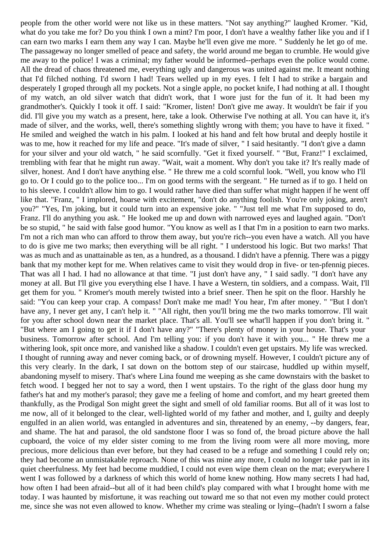people from the other world were not like us in these matters. "Not say anything?" laughed Kromer. "Kid, what do you take me for? Do you think I own a mint? I'm poor, I don't have a wealthy father like you and if I can earn two marks I earn them any way I can. Maybe he'll even give me more. " Suddenly he let go of me. The passageway no longer smelled of peace and safety, the world around me began to crumble. He would give me away to the police! I was a criminal; my father would be informed--perhaps even the police would come. All the dread of chaos threatened me, everything ugly and dangerous was united against me. It meant nothing that I'd filched nothing. I'd sworn I had! Tears welled up in my eyes. I felt I had to strike a bargain and desperately I groped through all my pockets. Not a single apple, no pocket knife, I had nothing at all. I thought of my watch, an old silver watch that didn't work, that I wore just for the fun of it. It had been my grandmother's. Quickly I took it off. I said: "Kromer, listen! Don't give me away. It wouldn't be fair if you did. I'll give you my watch as a present, here, take a look. Otherwise I've nothing at all. You can have it, it's made of silver, and the works, well, there's something slightly wrong with them; you have to have it fixed. " He smiled and weighed the watch in his palm. I looked at his hand and felt how brutal and deeply hostile it was to me, how it reached for my life and peace. "It's made of silver," I said hesitantly. "I don't give a damn for your silver and your old watch, " he said scornfully. "Get it fixed yourself. " "But, Franz!" I exclaimed, trembling with fear that he might run away. "Wait, wait a moment. Why don't you take it? It's really made of silver, honest. And I don't have anything else. " He threw me a cold scornful look. "Well, you know who I'll go to. Or I could go to the police too... I'm on good terms with the sergeant. " He turned as if to go. I held on to his sleeve. I couldn't allow him to go. I would rather have died than suffer what might happen if he went off like that. "Franz, " I implored, hoarse with excitement, "don't do anything foolish. You're only joking, aren't you?" "Yes, I'm joking, but it could turn into an expensive joke. " "Just tell me what I'm supposed to do, Franz. I'll do anything you ask. " He looked me up and down with narrowed eyes and laughed again. "Don't be so stupid, " he said with false good humor. "You know as well as I that I'm in a position to earn two marks. I'm not a rich man who can afford to throw them away, but you're rich--you even have a watch. All you have to do is give me two marks; then everything will be all right. " I understood his logic. But two marks! That was as much and as unattainable as ten, as a hundred, as a thousand. I didn't have a pfennig. There was a piggy bank that my mother kept for me. When relatives came to visit they would drop in five- or ten-pfennig pieces. That was all I had. I had no allowance at that time. "I just don't have any, "I said sadly. "I don't have any money at all. But I'll give you everything else I have. I have a Western, tin soldiers, and a compass. Wait, I'll get them for you. " Kromer's mouth merely twisted into a brief sneer. Then he spit on the floor. Harshly he said: "You can keep your crap. A compass! Don't make me mad! You hear, I'm after money. " "But I don't have any, I never get any, I can't help it. " "All right, then you'll bring me the two marks tomorrow. I'll wait for you after school down near the market place. That's all. You'll see what'll happen if you don't bring it. " "But where am I going to get it if I don't have any?" "There's plenty of money in your house. That's your business. Tomorrow after school. And I'm telling you: if you don't have it with you... " He threw me a withering look, spit once more, and vanished like a shadow. I couldn't even get upstairs. My life was wrecked. I thought of running away and never coming back, or of drowning myself. However, I couldn't picture any of this very clearly. In the dark, I sat down on the bottom step of our staircase, huddled up within myself, abandoning myself to misery. That's where Lina found me weeping as she came downstairs with the basket to fetch wood. I begged her not to say a word, then I went upstairs. To the right of the glass door hung my father's hat and my mother's parasol; they gave me a feeling of home and comfort, and my heart greeted them thankfully, as the Prodigal Son might greet the sight and smell of old familiar rooms. But all of it was lost to me now, all of it belonged to the clear, well-lighted world of my father and mother, and I, guilty and deeply engulfed in an alien world, was entangled in adventures and sin, threatened by an enemy, --by dangers, fear, and shame. The hat and parasol, the old sandstone floor I was so fond of, the broad picture above the hall cupboard, the voice of my elder sister coming to me from the living room were all more moving, more precious, more delicious than ever before, but they had ceased to be a refuge and something I could rely on; they had become an unmistakable reproach. None of this was mine any more, I could no longer take part in its quiet cheerfulness. My feet had become muddied, I could not even wipe them clean on the mat; everywhere I went I was followed by a darkness of which this world of home knew nothing. How many secrets I had had, how often I had been afraid--but all of it had been child's play compared with what I brought home with me today. I was haunted by misfortune, it was reaching out toward me so that not even my mother could protect me, since she was not even allowed to know. Whether my crime was stealing or lying--(hadn't I sworn a false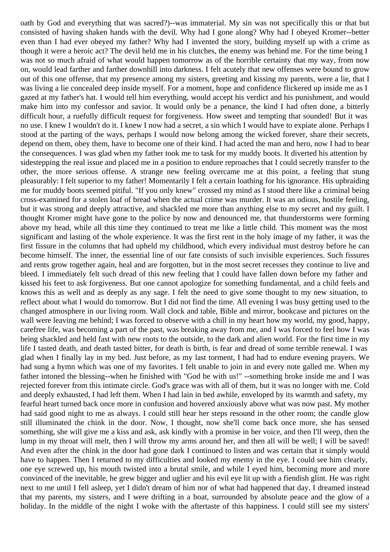oath by God and everything that was sacred?)--was immaterial. My sin was not specifically this or that but consisted of having shaken hands with the devil. Why had I gone along? Why had I obeyed Kromer--better even than I had ever obeyed my father? Why had I invented the story, building myself up with a crime as though it were a heroic act? The devil held me in his clutches, the enemy was behind me. For the time being I was not so much afraid of what would happen tomorrow as of the horrible certainty that my way, from now on, would lead farther and farther downhill into darkness. I felt acutely that new offenses were bound to grow out of this one offense, that my presence among my sisters, greeting and kissing my parents, were a lie, that I was living a lie concealed deep inside myself. For a moment, hope and confidence flickered up inside me as I gazed at my father's hat. I would tell him everything, would accept his verdict and his punishment, and would make him into my confessor and savior. It would only be a penance, the kind I had often done, a bitterly difficult hour, a ruefully difficult request for forgiveness. How sweet and tempting that sounded! But it was no use. I knew I wouldn't do it. I knew I now had a secret, a sin which I would have to expiate alone. Perhaps I stood at the parting of the ways, perhaps I would now belong among the wicked forever, share their secrets, depend on them, obey them, have to become one of their kind. I had acted the man and hero, now I had to bear the consequences. I was glad when my father took me to task for my muddy boots. It diverted his attention by sidestepping the real issue and placed me in a position to endure reproaches that I could secretly transfer to the other, the more serious offense. A strange new feeling overcame me at this point, a feeling that stung pleasurably: I felt superior to my father! Momentarily I felt a certain loathing for his ignorance. His upbraiding me for muddy boots seemed pitiful. "If you only knew" crossed my mind as I stood there like a criminal being cross-examined for a stolen loaf of bread when the actual crime was murder. It was an odious, hostile feeling, but it was strong and deeply attractive, and shackled me more than anything else to my secret and my guilt. I thought Kromer might have gone to the police by now and denounced me, that thunderstorms were forming above my head, while all this time they continued to treat me like a little child. This moment was the most significant and lasting of the whole experience. It was the first rent in the holy image of my father, it was the first fissure in the columns that had upheld my childhood, which every individual must destroy before he can become himself. The inner, the essential line of our fate consists of such invisible experiences. Such fissures and rents grow together again, heal and are forgotten, but in the most secret recesses they continue to live and bleed. I immediately felt such dread of this new feeling that I could have fallen down before my father and kissed his feet to ask forgiveness. But one cannot apologize for something fundamental, and a child feels and knows this as well and as deeply as any sage. I felt the need to give some thought to my new situation, to reflect about what I would do tomorrow. But I did not find the time. All evening I was busy getting used to the changed atmosphere in our living room. Wall clock and table, Bible and mirror, bookcase and pictures on the wall were leaving me behind; I was forced to observe with a chill in my heart how my world, my good, happy, carefree life, was becoming a part of the past, was breaking away from me, and I was forced to feel how I was being shackled and held fast with new roots to the outside, to the dark and alien world. For the first time in my life I tasted death, and death tasted bitter, for death is birth, is fear and dread of some terrible renewal. I was glad when I finally lay in my bed. Just before, as my last torment, I had had to endure evening prayers. We had sung a hymn which was one of my favorites. I felt unable to join in and every note galled me. When my father intoned the blessing--when he finished with "God be with us!" --something broke inside me and I was rejected forever from this intimate circle. God's grace was with all of them, but it was no longer with me. Cold and deeply exhausted, I had left them. When I had lain in bed awhile, enveloped by its warmth and safety, my fearful heart turned back once more in confusion and hovered anxiously above what was now past. My mother had said good night to me as always. I could still hear her steps resound in the other room; the candle glow still illuminated the chink in the door. Now, I thought, now she'll come back once more, she has sensed something, she will give me a kiss and ask, ask kindly with a promise in her voice, and then I'll weep, then the lump in my throat will melt, then I will throw my arms around her, and then all will be well; I will be saved! And even after the chink in the door had gone dark I continued to listen and was certain that it simply would have to happen. Then I returned to my difficulties and looked my enemy in the eye. I could see him clearly, one eye screwed up, his mouth twisted into a brutal smile, and while I eyed him, becoming more and more convinced of the inevitable, he grew bigger and uglier and his evil eye lit up with a fiendish glint. He was right next to me until I fell asleep, yet I didn't dream of him nor of what had happened that day. I dreamed instead that my parents, my sisters, and I were drifting in a boat, surrounded by absolute peace and the glow of a holiday. In the middle of the night I woke with the aftertaste of this happiness. I could still see my sisters'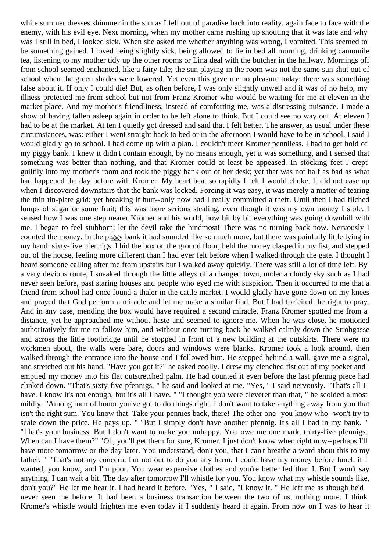white summer dresses shimmer in the sun as I fell out of paradise back into reality, again face to face with the enemy, with his evil eye. Next morning, when my mother came rushing up shouting that it was late and why was I still in bed, I looked sick. When she asked me whether anything was wrong, I vomited. This seemed to be something gained. I loved being slightly sick, being allowed to lie in bed all morning, drinking camomile tea, listening to my mother tidy up the other rooms or Lina deal with the butcher in the hallway. Mornings off from school seemed enchanted, like a fairy tale; the sun playing in the room was not the same sun shut out of school when the green shades were lowered. Yet even this gave me no pleasure today; there was something false about it. If only I could die! But, as often before, I was only slightly unwell and it was of no help, my illness protected me from school but not from Franz Kromer who would be waiting for me at eleven in the market place. And my mother's friendliness, instead of comforting me, was a distressing nuisance. I made a show of having fallen asleep again in order to be left alone to think. But I could see no way out. At eleven I had to be at the market. At ten I quietly got dressed and said that I felt better. The answer, as usual under these circumstances, was: either I went straight back to bed or in the afternoon I would have to be in school. I said I would gladly go to school. I had come up with a plan. I couldn't meet Kromer penniless. I had to get hold of my piggy bank. I knew it didn't contain enough, by no means enough, yet it was something, and I sensed that something was better than nothing, and that Kromer could at least be appeased. In stocking feet I crept guiltily into my mother's room and took the piggy bank out of her desk; yet that was not half as bad as what had happened the day before with Kromer. My heart beat so rapidly I felt I would choke. It did not ease up when I discovered downstairs that the bank was locked. Forcing it was easy, it was merely a matter of tearing the thin tin-plate grid; yet breaking it hurt--only now had I really committed a theft. Until then I had filched lumps of sugar or some fruit; this was more serious stealing, even though it was my own money I stole. I sensed how I was one step nearer Kromer and his world, how bit by bit everything was going downhill with me. I began to feel stubborn; let the devil take the hindmost! There was no turning back now. Nervously I counted the money. In the piggy bank it had sounded like so much more, but there was painfully little lying in my hand: sixty-five pfennigs. I hid the box on the ground floor, held the money clasped in my fist, and stepped out of the house, feeling more different than I had ever felt before when I walked through the gate. I thought I heard someone calling after me from upstairs but I walked away quickly. There was still a lot of time left. By a very devious route, I sneaked through the little alleys of a changed town, under a cloudy sky such as I had never seen before, past staring houses and people who eyed me with suspicion. Then it occurred to me that a friend from school had once found a thaler in the cattle market. I would gladly have gone down on my knees and prayed that God perform a miracle and let me make a similar find. But I had forfeited the right to pray. And in any case, mending the box would have required a second miracle. Franz Kromer spotted me from a distance, yet he approached me without haste and seemed to ignore me. When he was close, he motioned authoritatively for me to follow him, and without once turning back he walked calmly down the Strohgasse and across the little footbridge until he stopped in front of a new building at the outskirts. There were no workmen about, the walls were bare, doors and windows were blanks. Kromer took a look around, then walked through the entrance into the house and I followed him. He stepped behind a wall, gave me a signal, and stretched out his hand. "Have you got it?" he asked coolly. I drew my clenched fist out of my pocket and emptied my money into his flat outstretched palm. He had counted it even before the last pfennig piece had clinked down. "That's sixty-five pfennigs, " he said and looked at me. "Yes, " I said nervously. "That's all I have. I know it's not enough, but it's all I have. " "I thought you were cleverer than that, " he scolded almost mildly. "Among men of honor you've got to do things right. I don't want to take anything away from you that isn't the right sum. You know that. Take your pennies back, there! The other one--you know who--won't try to scale down the price. He pays up. " "But I simply don't have another pfennig. It's all I had in my bank. " "That's your business. But I don't want to make you unhappy. You owe me one mark, thirty-five pfennigs. When can I have them?" "Oh, you'll get them for sure, Kromer. I just don't know when right now--perhaps I'll have more tomorrow or the day later. You understand, don't you, that I can't breathe a word about this to my father. " "That's not my concern. I'm not out to do you any harm. I could have my money before lunch if I wanted, you know, and I'm poor. You wear expensive clothes and you're better fed than I. But I won't say anything. I can wait a bit. The day after tomorrow I'll whistle for you. You know what my whistle sounds like, don't you?" He let me hear it. I had heard it before. "Yes, "I said, "I know it. " He left me as though he'd never seen me before. It had been a business transaction between the two of us, nothing more. I think Kromer's whistle would frighten me even today if I suddenly heard it again. From now on I was to hear it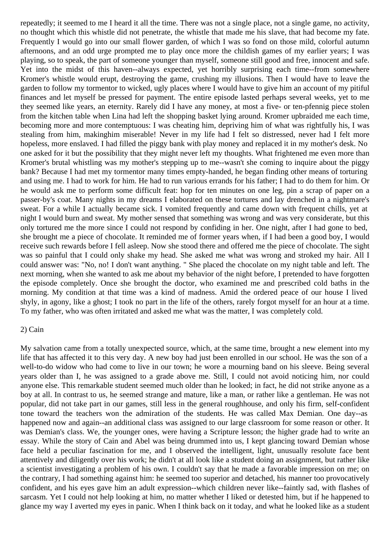repeatedly; it seemed to me I heard it all the time. There was not a single place, not a single game, no activity, no thought which this whistle did not penetrate, the whistle that made me his slave, that had become my fate. Frequently I would go into our small flower garden, of which I was so fond on those mild, colorful autumn afternoons, and an odd urge prompted me to play once more the childish games of my earlier years; I was playing, so to speak, the part of someone younger than myself, someone still good and free, innocent and safe. Yet into the midst of this haven--always expected, yet horribly surprising each time--from somewhere Kromer's whistle would erupt, destroying the game, crushing my illusions. Then I would have to leave the garden to follow my tormentor to wicked, ugly places where I would have to give him an account of my pitiful finances and let myself be pressed for payment. The entire episode lasted perhaps several weeks, yet to me they seemed like years, an eternity. Rarely did I have any money, at most a five- or ten-pfennig piece stolen from the kitchen table when Lina had left the shopping basket lying around. Kromer upbraided me each time, becoming more and more contemptuous: I was cheating him, depriving him of what was rightfully his, I was stealing from him, makinghim miserable! Never in my life had I felt so distressed, never had I felt more hopeless, more enslaved. I had filled the piggy bank with play money and replaced it in my mother's desk. No one asked for it but the possibility that they might never left my thoughts. What frightened me even more than Kromer's brutal whistling was my mother's stepping up to me--wasn't she coming to inquire about the piggy bank? Because I had met my tormentor many times empty-handed, he began finding other means of torturing and using me. I had to work for him. He had to run various errands for his father; I had to do them for him. Or he would ask me to perform some difficult feat: hop for ten minutes on one leg, pin a scrap of paper on a passer-by's coat. Many nights in my dreams I elaborated on these tortures and lay drenched in a nightmare's sweat. For a while I actually became sick. I vomited frequently and came down with frequent chills, yet at night I would burn and sweat. My mother sensed that something was wrong and was very considerate, but this only tortured me the more since I could not respond by confiding in her. One night, after I had gone to bed, she brought me a piece of chocolate. It reminded me of former years when, if I had been a good boy, I would receive such rewards before I fell asleep. Now she stood there and offered me the piece of chocolate. The sight was so painful that I could only shake my head. She asked me what was wrong and stroked my hair. All I could answer was: "No, no! I don't want anything. " She placed the chocolate on my night table and left. The next morning, when she wanted to ask me about my behavior of the night before, I pretended to have forgotten the episode completely. Once she brought the doctor, who examined me and prescribed cold baths in the morning. My condition at that time was a kind of madness. Amid the ordered peace of our house I lived shyly, in agony, like a ghost; I took no part in the life of the others, rarely forgot myself for an hour at a time. To my father, who was often irritated and asked me what was the matter, I was completely cold.

#### 2) Cain

My salvation came from a totally unexpected source, which, at the same time, brought a new element into my life that has affected it to this very day. A new boy had just been enrolled in our school. He was the son of a well-to-do widow who had come to live in our town; he wore a mourning band on his sleeve. Being several years older than I, he was assigned to a grade above me. Still, I could not avoid noticing him, nor could anyone else. This remarkable student seemed much older than he looked; in fact, he did not strike anyone as a boy at all. In contrast to us, he seemed strange and mature, like a man, or rather like a gentleman. He was not popular, did not take part in our games, still less in the general roughhouse, and only his firm, self-confident tone toward the teachers won the admiration of the students. He was called Max Demian. One day--as happened now and again--an additional class was assigned to our large classroom for some reason or other. It was Demian's class. We, the younger ones, were having a Scripture lesson; the higher grade had to write an essay. While the story of Cain and Abel was being drummed into us, I kept glancing toward Demian whose face held a peculiar fascination for me, and I observed the intelligent, light, unusually resolute face bent attentively and diligently over his work; he didn't at all look like a student doing an assignment, but rather like a scientist investigating a problem of his own. I couldn't say that he made a favorable impression on me; on the contrary, I had something against him: he seemed too superior and detached, his manner too provocatively confident, and his eyes gave him an adult expression--which children never like--faintly sad, with flashes of sarcasm. Yet I could not help looking at him, no matter whether I liked or detested him, but if he happened to glance my way I averted my eyes in panic. When I think back on it today, and what he looked like as a student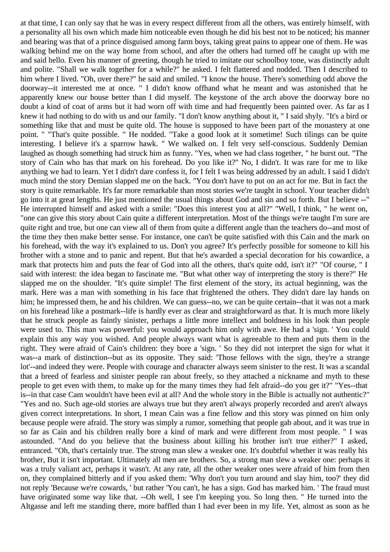at that time, I can only say that he was in every respect different from all the others, was entirely himself, with a personality all his own which made him noticeable even though he did his best not to be noticed; his manner and bearing was that of a prince disguised among farm boys, taking great pains to appear one of them. He was walking behind me on the way home from school, and after the others had turned off he caught up with me and said hello. Even his manner of greeting, though he tried to imitate our schoolboy tone, was distinctly adult and polite. "Shall we walk together for a while?" he asked. I felt flattered and nodded. Then I described to him where I lived. "Oh, over there?" he said and smiled. "I know the house. There's something odd above the doorway--it interested me at once. " I didn't know offhand what he meant and was astonished that he apparently knew our house better than I did myself. The keystone of the arch above the doorway bore no doubt a kind of coat of arms but it had worn off with time and had frequently been painted over. As far as I knew it had nothing to do with us and our family. "I don't know anything about it, " I said shyly. "It's a bird or something like that and must be quite old. The house is supposed to have been part of the monastery at one point. " "That's quite possible. " He nodded. "Take a good look at it sometime! Such tilings can be quite interesting. I believe it's a sparrow hawk. " We walked on. I felt very self-conscious. Suddenly Demian laughed as though something had struck him as funny. "Yes, when we had class together, " he burst out. "The story of Cain who has that mark on his forehead. Do you like it?" No, I didn't. It was rare for me to like anything we had to learn. Yet I didn't dare confess it, for I felt I was being addressed by an adult. I said I didn't much mind the story Demian slapped me on the back. "You don't have to put on an act for me. But in fact the story is quite remarkable. It's far more remarkable than most stories we're taught in school. Your teacher didn't go into it at great lengths. He just mentioned the usual things about God and sin and so forth. But I believe --" He interrupted himself and asked with a smile: "Does this interest you at all?" "Well, I think, " he went on, "one can give this story about Cain quite a different interpretation. Most of the things we're taught I'm sure are quite right and true, but one can view all of them from quite a different angle than the teachers do--and most of the time they then make better sense. For instance, one can't be quite satisfied with this Cain and the mark on his forehead, with the way it's explained to us. Don't you agree? It's perfectly possible for someone to kill his brother with a stone and to panic and repent. But that he's awarded a special decoration for his cowardice, a mark that protects him and puts the fear of God into all the others, that's quite odd, isn't it?" "Of course, " I said with interest: the idea began to fascinate me. "But what other way of interpreting the story is there?" He slapped me on the shoulder. "It's quite simple! The first element of the story, its actual beginning, was the mark. Here was a man with something in his face that frightened the others. They didn't dare lay hands on him; he impressed them, he and his children. We can guess--no, we can be quite certain--that it was not a mark on his forehead like a postmark--life is hardly ever as clear and straightforward as that. It is much more likely that he struck people as faintly sinister, perhaps a little more intellect and boldness in his look than people were used to. This man was powerful: you would approach him only with awe. He had a 'sign. ' You could explain this any way you wished. And people always want what is agreeable to them and puts them in the right. They were afraid of Cain's children: they bore a 'sign. ' So they did not interpret the sign for what it was--a mark of distinction--but as its opposite. They said: 'Those fellows with the sign, they're a strange lot'--and indeed they were. People with courage and character always seem sinister to the rest. It was a scandal that a breed of fearless and sinister people ran about freely, so they attached a nickname and myth to these people to get even with them, to make up for the many times they had felt afraid--do you get it?" "Yes--that is--in that case Cam wouldn't have been evil at all? And the whole story in the Bible is actually not authentic?" "Yes and no. Such age-old stories are always true but they aren't always properly recorded and aren't always given correct interpretations. In short, I mean Cain was a fine fellow and this story was pinned on him only because people were afraid. The story was simply a rumor, something that people gab about, and it was true in so far as Cain and his children really bore a kind of mark and were different from most people. " I was astounded. "And do you believe that the business about killing his brother isn't true either?" I asked, entranced. "Oh, that's certainly true. The strong man slew a weaker one. It's doubtful whether it was really his brother, But it isn't important. Ultimately all men are brothers. So, a strong man slew a weaker one: perhaps it was a truly valiant act, perhaps it wasn't. At any rate, all the other weaker ones were afraid of him from then on, they complained bitterly and if you asked them: 'Why don't you turn around and slay him, too?' they did not reply 'Because we're cowards, ' but rather 'You can't, he has a sign. God has marked him. ' The fraud must have originated some way like that. --Oh well, I see I'm keeping you. So long then. " He turned into the Altgasse and left me standing there, more baffled than I had ever been in my life. Yet, almost as soon as he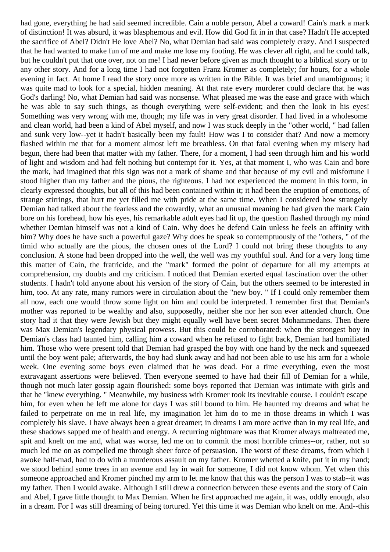had gone, everything he had said seemed incredible. Cain a noble person, Abel a coward! Cain's mark a mark of distinction! It was absurd, it was blasphemous and evil. How did God fit in in that case? Hadn't He accepted the sacrifice of Abel? Didn't He love Abel? No, what Demian had said was completely crazy. And I suspected that he had wanted to make fun of me and make me lose my footing. He was clever all right, and he could talk, but he couldn't put that one over, not on me! I had never before given as much thought to a biblical story or to any other story. And for a long time I had not forgotten Franz Kromer as completely; for hours, for a whole evening in fact. At home I read the story once more as written in the Bible. It was brief and unambiguous; it was quite mad to look for a special, hidden meaning. At that rate every murderer could declare that he was God's darling! No, what Demian had said was nonsense. What pleased me was the ease and grace with which he was able to say such things, as though everything were self-evident; and then the look in his eyes! Something was very wrong with me, though; my life was in very great disorder. I had lived in a wholesome and clean world, had been a kind of Abel myself, and now I was stuck deeply in the "other world, " had fallen and sunk very low--yet it hadn't basically been my fault! How was I to consider that? And now a memory flashed within me that for a moment almost left me breathless. On that fatal evening when my misery had begun, there had been that matter with my father. There, for a moment, I had seen through him and his world of light and wisdom and had felt nothing but contempt for it. Yes, at that moment I, who was Cain and bore the mark, had imagined that this sign was not a mark of shame and that because of my evil and misfortune I stood higher than my father and the pious, the righteous. I had not experienced the moment in this form, in clearly expressed thoughts, but all of this had been contained within it; it had been the eruption of emotions, of strange stirrings, that hurt me yet filled me with pride at the same time. When I considered how strangely Demian had talked about the fearless and the cowardly, what an unusual meaning he had given the mark Cain bore on his forehead, how his eyes, his remarkable adult eyes had lit up, the question flashed through my mind whether Demian himself was not a kind of Cain. Why does he defend Cain unless he feels an affinity with him? Why does he have such a powerful gaze? Why does he speak so contemptuously of the "others, " of the timid who actually are the pious, the chosen ones of the Lord? I could not bring these thoughts to any conclusion. A stone had been dropped into the well, the well was my youthful soul. And for a very long time this matter of Cain, the fratricide, and the "mark" formed the point of departure for all my attempts at comprehension, my doubts and my criticism. I noticed that Demian exerted equal fascination over the other students. I hadn't told anyone about his version of the story of Cain, but the others seemed to be interested in him, too. At any rate, many rumors were in circulation about the "new boy. " If I could only remember them all now, each one would throw some light on him and could be interpreted. I remember first that Demian's mother was reported to be wealthy and also, supposedly, neither she nor her son ever attended church. One story had it that they were Jewish but they might equally well have been secret Mohammedans. Then there was Max Demian's legendary physical prowess. But this could be corroborated: when the strongest boy in Demian's class had taunted him, calling him a coward when he refused to fight back, Demian had humiliated him. Those who were present told that Demian had grasped the boy with one hand by the neck and squeezed until the boy went pale; afterwards, the boy had slunk away and had not been able to use his arm for a whole week. One evening some boys even claimed that he was dead. For a time everything, even the most extravagant assertions were believed. Then everyone seemed to have had their fill of Demian for a while, though not much later gossip again flourished: some boys reported that Demian was intimate with girls and that he "knew everything. " Meanwhile, my business with Kromer took its inevitable course. I couldn't escape him, for even when he left me alone for days I was still bound to him. He haunted my dreams and what he failed to perpetrate on me in real life, my imagination let him do to me in those dreams in which I was completely his slave. I have always been a great dreamer; in dreams I am more active than in my real life, and these shadows sapped me of health and energy. A recurring nightmare was that Kromer always maltreated me, spit and knelt on me and, what was worse, led me on to commit the most horrible crimes--or, rather, not so much led me on as compelled me through sheer force of persuasion. The worst of these dreams, from which I awoke half-mad, had to do with a murderous assault on my father. Kromer whetted a knife, put it in my hand; we stood behind some trees in an avenue and lay in wait for someone, I did not know whom. Yet when this someone approached and Kromer pinched my arm to let me know that this was the person I was to stab--it was my father. Then I would awake. Although I still drew a connection between these events and the story of Cain and Abel, I gave little thought to Max Demian. When he first approached me again, it was, oddly enough, also in a dream. For I was still dreaming of being tortured. Yet this time it was Demian who knelt on me. And--this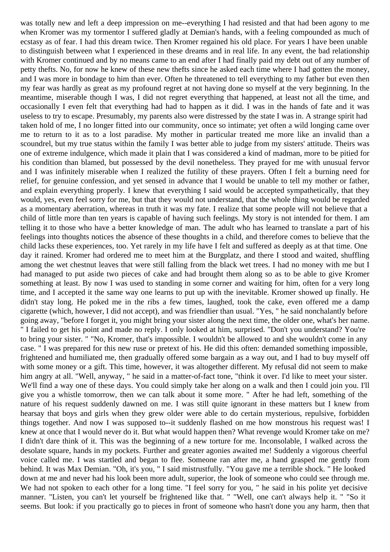was totally new and left a deep impression on me--everything I had resisted and that had been agony to me when Kromer was my tormentor I suffered gladly at Demian's hands, with a feeling compounded as much of ecstasy as of fear. I had this dream twice. Then Kromer regained his old place. For years I have been unable to distinguish between what I experienced in these dreams and in real life. In any event, the bad relationship with Kromer continued and by no means came to an end after I had finally paid my debt out of any number of petty thefts. No, for now he knew of these new thefts since he asked each time where I had gotten the money, and I was more in bondage to him than ever. Often he threatened to tell everything to my father but even then my fear was hardly as great as my profound regret at not having done so myself at the very beginning. In the meantime, miserable though I was, I did not regret everything that happened, at least not all the time, and occasionally I even felt that everything had had to happen as it did. I was in the hands of fate and it was useless to try to escape. Presumably, my parents also were distressed by the state I was in. A strange spirit had taken hold of me, I no longer fitted into our community, once so intimate; yet often a wild longing came over me to return to it as to a lost paradise. My mother in particular treated me more like an invalid than a scoundrel, but my true status within the family I was better able to judge from my sisters' attitude. Theirs was one of extreme indulgence, which made it plain that I was considered a kind of madman, more to be pitied for his condition than blamed, but possessed by the devil nonetheless. They prayed for me with unusual fervor and I was infinitely miserable when I realized the futility of these prayers. Often I felt a burning need for relief, for genuine confession, and yet sensed in advance that I would be unable to tell my mother or father, and explain everything properly. I knew that everything I said would be accepted sympathetically, that they would, yes, even feel sorry for me, but that they would not understand, that the whole thing would be regarded as a momentary aberration, whereas in truth it was my fate. I realize that some people will not believe that a child of little more than ten years is capable of having such feelings. My story is not intended for them. I am telling it to those who have a better knowledge of man. The adult who has learned to translate a part of his feelings into thoughts notices the absence of these thoughts in a child, and therefore comes to believe that the child lacks these experiences, too. Yet rarely in my life have I felt and suffered as deeply as at that time. One day it rained. Kromer had ordered me to meet him at the Burgplatz, and there I stood and waited, shuffling among the wet chestnut leaves that were still falling from the black wet trees. I had no money with me but I had managed to put aside two pieces of cake and had brought them along so as to be able to give Kromer something at least. By now I was used to standing in some corner and waiting for him, often for a very long time, and I accepted it the same way one learns to put up with the inevitable. Kromer showed up finally. He didn't stay long. He poked me in the ribs a few times, laughed, took the cake, even offered me a damp cigarette (which, however, I did not accept), and was friendlier than usual. "Yes, " he said nonchalantly before going away, "before I forget it, you might bring your sister along the next time, the older one, what's her name. " I failed to get his point and made no reply. I only looked at him, surprised. "Don't you understand? You're to bring your sister. " "No, Kromer, that's impossible. I wouldn't be allowed to and she wouldn't come in any case. " I was prepared for this new ruse or pretext of his. He did this often: demanded something impossible, frightened and humiliated me, then gradually offered some bargain as a way out, and I had to buy myself off with some money or a gift. This time, however, it was altogether different. My refusal did not seem to make him angry at all. "Well, anyway, " he said in a matter-of-fact tone, "think it over. I'd like to meet your sister. We'll find a way one of these days. You could simply take her along on a walk and then I could join you. I'll give you a whistle tomorrow, then we can talk about it some more. " After he had left, something of the nature of his request suddenly dawned on me. I was still quite ignorant in these matters but I knew from hearsay that boys and girls when they grew older were able to do certain mysterious, repulsive, forbidden things together. And now I was supposed to--it suddenly flashed on me how monstrous his request was! I knew at once that I would never do it. But what would happen then? What revenge would Kromer take on me? I didn't dare think of it. This was the beginning of a new torture for me. Inconsolable, I walked across the desolate square, hands in my pockets. Further and greater agonies awaited me! Suddenly a vigorous cheerful voice called me. I was startled and began to flee. Someone ran after me, a hand grasped me gently from behind. It was Max Demian. "Oh, it's you, " I said mistrustfully. "You gave me a terrible shock. " He looked down at me and never had his look been more adult, superior, the look of someone who could see through me. We had not spoken to each other for a long time. "I feel sorry for you, " he said in his polite yet decisive manner. "Listen, you can't let yourself be frightened like that. " "Well, one can't always help it. " "So it seems. But look: if you practically go to pieces in front of someone who hasn't done you any harm, then that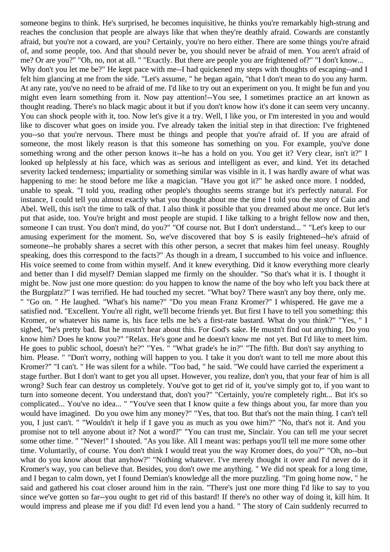someone begins to think. He's surprised, he becomes inquisitive, he thinks you're remarkably high-strung and reaches the conclusion that people are always like that when they're deathly afraid. Cowards are constantly afraid, but you're not a coward, are you? Certainly, you're no hero either. There are some things you're afraid of, and some people, too. And that should never be, you should never be afraid of men. You aren't afraid of me? Or are you?" "Oh, no, not at all. " "Exactly. But there are people you are frightened of?" "I don't know... Why don't you let me be?" He kept pace with me--I had quickened my steps with thoughts of escaping--and I felt him glancing at me from the side. "Let's assume, " he began again, "that I don't mean to do you any harm. At any rate, you've no need to be afraid of me. I'd like to try out an experiment on you. It might be fun and you might even learn something from it. Now pay attention!--You see, I sometimes practice an art known as thought reading. There's no black magic about it but if you don't know how it's done it can seem very uncanny. You can shock people with it, too. Now let's give it a try. Well, I like you, or I'm interested in you and would like to discover what goes on inside you. I've already taken the initial step in that direction: I've frightened you--so that you're nervous. There must be things and people that you're afraid of. If you are afraid of someone, the most likely reason is that this someone has something on you. For example, you've done something wrong and the other person knows it--he has a hold on you. You get it? Very clear, isn't it?" I looked up helplessly at his face, which was as serious and intelligent as ever, and kind. Yet its detached severity lacked tenderness; impartiality or something similar was visible in it. I was hardly aware of what was happening to me: he stood before me like a magician. "Have you got it?" he asked once more. I nodded, unable to speak. "I told you, reading other people's thoughts seems strange but it's perfectly natural. For instance, I could tell you almost exactly what you thought about me the time I told you the story of Cain and Abel. Well, this isn't the time to talk of that. I also think it possible that you dreamed about me once. But let's put that aside, too. You're bright and most people are stupid. I like talking to a bright fellow now and then, someone I can trust. You don't mind, do you?" "Of course not. But I don't understand... " "Let's keep to our amusing experiment for the moment. So, we've discovered that boy S is easily frightened--he's afraid of someone--he probably shares a secret with this other person, a secret that makes him feel uneasy. Roughly speaking, does this correspond to the facts?" As though in a dream, I succumbed to his voice and influence. His voice seemed to come from within myself. And it knew everything. Did it know everything more clearly and better than I did myself? Demian slapped me firmly on the shoulder. "So that's what it is. I thought it might be. Now just one more question: do you happen to know the name of the boy who left you back there at the Burgplatz?" I was terrified. He had touched my secret. "What boy? There wasn't any boy there, only me. " "Go on. " He laughed. "What's his name?" "Do you mean Franz Kromer?" I whispered. He gave me a satisfied nod. "Excellent. You're all right, we'll become friends yet. But first I have to tell you something: this Kromer, or whatever his name is, his face tells me he's a first-rate bastard. What do you think?" "Yes, " I sighed, "he's pretty bad. But he mustn't hear about this. For God's sake. He mustn't find out anything. Do you know him? Does he know you?" "Relax. He's gone and he doesn't know me not yet. But I'd like to meet him. He goes to public school, doesn't he?" "Yes. " "What grade's he in?" "The fifth. But don't say anything to him. Please. " "Don't worry, nothing will happen to you. I take it you don't want to tell me more about this Kromer?" "I can't. " He was silent for a while. "Too bad, " he said. "We could have carried the experiment a stage further. But I don't want to get you all upset. However, you realize, don't you, that your fear of him is all wrong? Such fear can destroy us completely. You've got to get rid of it, you've simply got to, if you want to turn into someone decent. You understand that, don't you?" "Certainly, you're completely right... But it's so complicated... You've no idea... " "You've seen that I know quite a few things about you, far more than you would have imagined. Do you owe him any money?" "Yes, that too. But that's not the main thing. I can't tell you, I just can't. " "Wouldn't it help if I gave you as much as you owe him?" "No, that's not it. And you promise not to tell anyone about it? Not a word?" "You can trust me, Sinclair. You can tell me your secret some other time. " "Never!" I shouted. "As you like. All I meant was: perhaps you'll tell me more some other time. Voluntarily, of course. You don't think I would treat you the way Kromer does, do you?" "Oh, no--but what do you know about that anyhow?" "Nothing whatever. I've merely thought it over and I'd never do it Kromer's way, you can believe that. Besides, you don't owe me anything. "We did not speak for a long time, and I began to calm down, yet I found Demian's knowledge all the more puzzling. "I'm going home now, " he said and gathered his coat closer around him in the rain. "There's just one more thing I'd like to say to you since we've gotten so far--you ought to get rid of this bastard! If there's no other way of doing it, kill him. It would impress and please me if you did! I'd even lend you a hand. " The story of Cain suddenly recurred to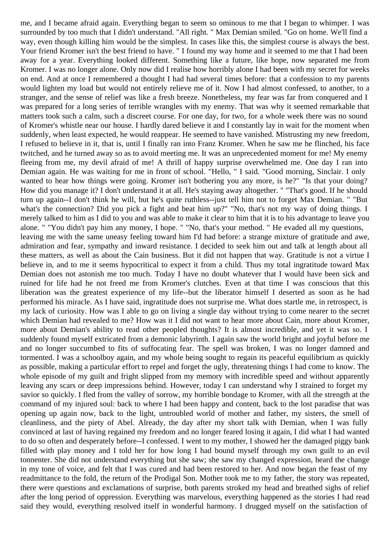me, and I became afraid again. Everything began to seem so ominous to me that I began to whimper. I was surrounded by too much that I didn't understand. "All right. " Max Demian smiled. "Go on home. We'll find a way, even though killing him would be the simplest. In cases like this, the simplest course is always the best. Your friend Kromer isn't the best friend to have. " I found my way home and it seemed to me that I had been away for a year. Everything looked different. Something like a future, like hope, now separated me from Kromer. I was no longer alone. Only now did I realise how horribly alone I had been with my secret for weeks on end. And at once I remembered a thought I had had several times before: that a confession to my parents would lighten my load but would not entirely relieve me of it. Now I had almost confessed, to another, to a stranger, and the sense of relief was like a fresh breeze. Nonetheless, my fear was far from conquered and I was prepared for a long series of terrible wrangles with my enemy. That was why it seemed remarkable that matters took such a calm, such a discreet course. For one day, for two, for a whole week there was no sound of Kromer's whistle near our house. I hardly dared believe it and I constantly lay in wait for the moment when suddenly, when least expected, he would reappear. He seemed to have vanished. Mistrusting my new freedom, I refused to believe in it, that is, until I finally ran into Franz Kromer. When he saw me he flinched, his face twitched, and he turned away so as to avoid meeting me. It was an unprecedented moment for me! My enemy fleeing from me, my devil afraid of me! A thrill of happy surprise overwhelmed me. One day I ran into Demian again. He was waiting for me in front of school. "Hello, " I said. "Good morning, Sinclair. I only wanted to hear how things were going. Kromer isn't bothering you any more, is he?" "Is that your doing? How did you manage it? I don't understand it at all. He's staying away altogether. " "That's good. If he should turn up again--I don't think he will, but he's quite ruthless--just tell him not to forget Max Demian. " "But what's the connection? Did you pick a fight and beat him up?" "No, that's not my way of doing things. I merely talked to him as I did to you and was able to make it clear to him that it is to his advantage to leave you alone. " "You didn't pay him any money, I hope. " "No, that's your method. " He evaded all my questions, leaving me with the same uneasy feeling toward him I'd had before: a strange mixture of gratitude and awe, admiration and fear, sympathy and inward resistance. I decided to seek him out and talk at length about all these matters, as well as about the Cain business. But it did not happen that way. Gratitude is not a virtue I believe in, and to me it seems hypocritical to expect it from a child. Thus my total ingratitude toward Max Demian does not astonish me too much. Today I have no doubt whatever that I would have been sick and ruined for life had he not freed me from Kromer's clutches. Even at that time I was conscious that this liberation was the greatest experience of my life--but the liberator himself I deserted as soon as he had performed his miracle. As I have said, ingratitude does not surprise me. What does startle me, in retrospect, is my lack of curiosity. How was I able to go on living a single day without trying to come nearer to the secret which Demian had revealed to me? How was it I did not want to hear more about Cain, more about Kromer, more about Demian's ability to read other peopled thoughts? It is almost incredible, and yet it was so. I suddenly found myself extricated from a demonic labyrinth. I again saw the world bright and joyful before me and no longer succumbed to fits of suffocating fear. The spell was broken, I was no longer damned and tormented. I was a schoolboy again, and my whole being sought to regain its peaceful equilibrium as quickly as possible, making a particular effort to repel and forget the ugly, threatening things I had come to know. The whole episode of my guilt and fright slipped from my memory with incredible speed and without apparently leaving any scars or deep impressions behind. However, today I can understand why I strained to forget my savior so quickly. I fled from the valley of sorrow, my horrible bondage to Kromer, with all the strength at the command of my injured soul: back to where I had been happy and content, back to the lost paradise that was opening up again now, back to the light, untroubled world of mother and father, my sisters, the smell of cleanliness, and the piety of Abel. Already, the day after my short talk with Demian, when I was fully convinced at last of having regained my freedom and no longer feared losing it again, I did what I had wanted to do so often and desperately before--I confessed. I went to my mother, I showed her the damaged piggy bank filled with play money and I told her for how long I had bound myself through my own guilt to an evil tonnenter. She did not understand everything but she saw; she saw my changed expression, heard the change in my tone of voice, and felt that I was cured and had been restored to her. And now began the feast of my readmittance to the fold, the return of the Prodigal Son. Mother took me to my father, the story was repeated, there were questions and exclamations of surprise, both parents stroked my head and breathed sighs of relief after the long period of oppression. Everything was marvelous, everything happened as the stories I had read said they would, everything resolved itself in wonderful harmony. I drugged myself on the satisfaction of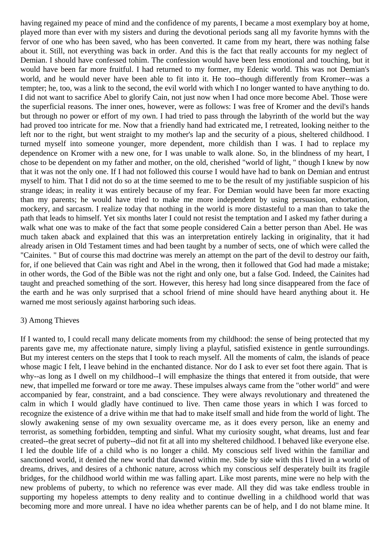having regained my peace of mind and the confidence of my parents, I became a most exemplary boy at home, played more than ever with my sisters and during the devotional periods sang all my favorite hymns with the fervor of one who has been saved, who has been converted. It came from my heart, there was nothing false about it. Still, not everything was back in order. And this is the fact that really accounts for my neglect of Demian. I should have confessed tohim. The confession would have been less emotional and touching, but it would have been far more fruitful. I had returned to my former, my Edenic world. This was not Demian's world, and he would never have been able to fit into it. He too--though differently from Kromer--was a tempter; he, too, was a link to the second, the evil world with which I no longer wanted to have anything to do. I did not want to sacrifice Abel to glorify Cain, not just now when I had once more become Abel. Those were the superficial reasons. The inner ones, however, were as follows: I was free of Kromer and the devil's hands but through no power or effort of my own. I had tried to pass through the labyrinth of the world but the way had proved too intricate for me. Now that a friendly hand had extricated me, I retreated, looking neither to the left nor to the right, but went straight to my mother's lap and the security of a pious, sheltered childhood. I turned myself into someone younger, more dependent, more childish than I was. I had to replace my dependence on Kromer with a new one, for I was unable to walk alone. So, in the blindness of my heart, I chose to be dependent on my father and mother, on the old, cherished "world of light, " though I knew by now that it was not the only one. If I had not followed this course I would have had to bank on Demian and entrust myself to him. That I did not do so at the time seemed to me to be the result of my justifiable suspicion of his strange ideas; in reality it was entirely because of my fear. For Demian would have been far more exacting than my parents; he would have tried to make me more independent by using persuasion, exhortation, mockery, and sarcasm. I realize today that nothing in the world is more distasteful to a man than to take the path that leads to himself. Yet six months later I could not resist the temptation and I asked my father during a walk what one was to make of the fact that some people considered Cain a better person than Abel. He was much taken aback and explained that this was an interpretation entirely lacking in originality, that it had already arisen in Old Testament times and had been taught by a number of sects, one of which were called the "Cainites. " But of course this mad doctrine was merely an attempt on the part of the devil to destroy our faith, for, if one believed that Cain was right and Abel in the wrong, then it followed that God had made a mistake; in other words, the God of the Bible was not the right and only one, but a false God. Indeed, the Cainites had taught and preached something of the sort. However, this heresy had long since disappeared from the face of the earth and he was only surprised that a school friend of mine should have heard anything about it. He warned me most seriously against harboring such ideas.

### 3) Among Thieves

If I wanted to, I could recall many delicate moments from my childhood: the sense of being protected that my parents gave me, my affectionate nature, simply living a playful, satisfied existence in gentle surroundings. But my interest centers on the steps that I took to reach myself. All the moments of calm, the islands of peace whose magic I felt, I leave behind in the enchanted distance. Nor do I ask to ever set foot there again. That is why--as long as I dwell on my childhood--I will emphasize the things that entered it from outside, that were new, that impelled me forward or tore me away. These impulses always came from the "other world" and were accompanied by fear, constraint, and a bad conscience. They were always revolutionary and threatened the calm in which I would gladly have continued to live. Then came those years in which I was forced to recognize the existence of a drive within me that had to make itself small and hide from the world of light. The slowly awakening sense of my own sexuality overcame me, as it does every person, like an enemy and terrorist, as something forbidden, tempting and sinful. What my curiosity sought, what dreams, lust and fear created--the great secret of puberty--did not fit at all into my sheltered childhood. I behaved like everyone else. I led the double life of a child who is no longer a child. My conscious self lived within the familiar and sanctioned world, it denied the new world that dawned within me. Side by side with this I lived in a world of dreams, drives, and desires of a chthonic nature, across which my conscious self desperately built its fragile bridges, for the childhood world within me was falling apart. Like most parents, mine were no help with the new problems of puberty, to which no reference was ever made. All they did was take endless trouble in supporting my hopeless attempts to deny reality and to continue dwelling in a childhood world that was becoming more and more unreal. I have no idea whether parents can be of help, and I do not blame mine. It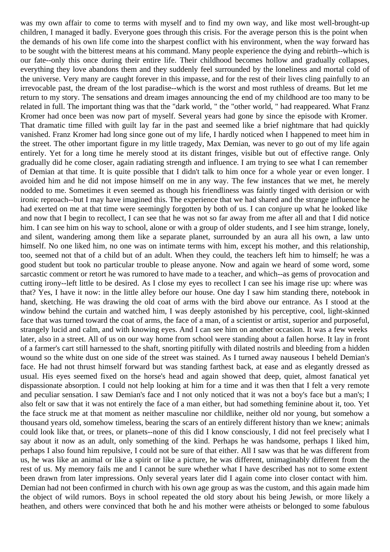was my own affair to come to terms with myself and to find my own way, and like most well-brought-up children, I managed it badly. Everyone goes through this crisis. For the average person this is the point when the demands of his own life come into the sharpest conflict with his environment, when the way forward has to be sought with the bitterest means at his command. Many people experience the dying and rebirth--which is our fate--only this once during their entire life. Their childhood becomes hollow and gradually collapses, everything they love abandons them and they suddenly feel surrounded by the loneliness and mortal cold of the universe. Very many are caught forever in this impasse, and for the rest of their lives cling painfully to an irrevocable past, the dream of the lost paradise--which is the worst and most ruthless of dreams. But let me return to my story. The sensations and dream images announcing the end of my childhood are too many to be related in full. The important thing was that the "dark world, " the "other world, " had reappeared. What Franz Kromer had once been was now part of myself. Several years had gone by since the episode with Kromer. That dramatic time filled with guilt lay far in the past and seemed like a brief nightmare that had quickly vanished. Franz Kromer had long since gone out of my life, I hardly noticed when I happened to meet him in the street. The other important figure in my little tragedy, Max Demian, was never to go out of my life again entirely. Yet for a long time he merely stood at its distant fringes, visible but out of effective range. Only gradually did he come closer, again radiating strength and influence. I am trying to see what I can remember of Demian at that time. It is quite possible that I didn't talk to him once for a whole year or even longer. I avoided him and he did not impose himself on me in any way. The few instances that we met, he merely nodded to me. Sometimes it even seemed as though his friendliness was faintly tinged with derision or with ironic reproach--but I may have imagined this. The experience that we had shared and the strange influence he had exerted on me at that time were seemingly forgotten by both of us. I can conjure up what he looked like and now that I begin to recollect, I can see that he was not so far away from me after all and that I did notice him. I can see him on his way to school, alone or with a group of older students, and I see him strange, lonely, and silent, wandering among them like a separate planet, surrounded by an aura all his own, a law unto himself. No one liked him, no one was on intimate terms with him, except his mother, and this relationship, too, seemed not that of a child but of an adult. When they could, the teachers left him to himself; he was a good student but took no particular trouble to please anyone. Now and again we heard of some word, some sarcastic comment or retort he was rumored to have made to a teacher, and which--as gems of provocation and cutting irony--left little to be desired. As I close my eyes to recollect I can see his image rise up: where was that? Yes, I have it now: in the little alley before our house. One day I saw him standing there, notebook in hand, sketching. He was drawing the old coat of arms with the bird above our entrance. As I stood at the window behind the curtain and watched him, I was deeply astonished by his perceptive, cool, light-skinned face that was turned toward the coat of arms, the face of a man, of a scientist or artist, superior and purposeful, strangely lucid and calm, and with knowing eyes. And I can see him on another occasion. It was a few weeks later, also in a street. All of us on our way home from school were standing about a fallen horse. It lay in front of a farmer's cart still harnessed to the shaft, snorting pitifully with dilated nostrils and bleeding from a hidden wound so the white dust on one side of the street was stained. As I turned away nauseous I beheld Demian's face. He had not thrust himself forward but was standing farthest back, at ease and as elegantly dressed as usual. His eyes seemed fixed on the horse's head and again showed that deep, quiet, almost fanatical yet dispassionate absorption. I could not help looking at him for a time and it was then that I felt a very remote and peculiar sensation. I saw Demian's face and I not only noticed that it was not a boy's face but a man's; I also felt or saw that it was not entirely the face of a man either, but had something feminine about it, too. Yet the face struck me at that moment as neither masculine nor childlike, neither old nor young, but somehow a thousand years old, somehow timeless, bearing the scars of an entirely different history than we knew; animals could look like that, or trees, or planets--none of this did I know consciously, I did not feel precisely what I say about it now as an adult, only something of the kind. Perhaps he was handsome, perhaps I liked him, perhaps I also found him repulsive, I could not be sure of that either. All I saw was that he was different from us, he was like an animal or like a spirit or like a picture, he was different, unimaginably different from the rest of us. My memory fails me and I cannot be sure whether what I have described has not to some extent been drawn from later impressions. Only several years later did I again come into closer contact with him. Demian had not been confirmed in church with his own age group as was the custom, and this again made him the object of wild rumors. Boys in school repeated the old story about his being Jewish, or more likely a heathen, and others were convinced that both he and his mother were atheists or belonged to some fabulous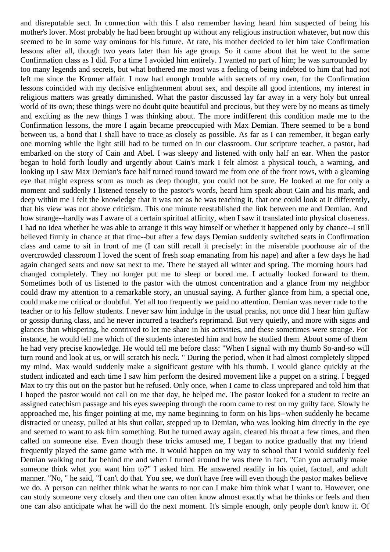and disreputable sect. In connection with this I also remember having heard him suspected of being his mother's lover. Most probably he had been brought up without any religious instruction whatever, but now this seemed to be in some way ominous for his future. At rate, his mother decided to let him take Confirmation lessons after all, though two years later than his age group. So it came about that he went to the same Confirmation class as I did. For a time I avoided him entirely. I wanted no part of him; he was surrounded by too many legends and secrets, but what bothered me most was a feeling of being indebted to him that had not left me since the Kromer affair. I now had enough trouble with secrets of my own, for the Confirmation lessons coincided with my decisive enlightenment about sex, and despite all good intentions, my interest in religious matters was greatly diminished. What the pastor discussed lay far away in a very holy but unreal world of its own; these things were no doubt quite beautiful and precious, but they were by no means as timely and exciting as the new things I was thinking about. The more indifferent this condition made me to the Confirmation lessons, the more I again became preoccupied with Max Demian. There seemed to be a bond between us, a bond that I shall have to trace as closely as possible. As far as I can remember, it began early one morning while the light still had to be turned on in our classroom. Our scripture teacher, a pastor, had embarked on the story of Cain and Abel. I was sleepy and listened with only half an ear. When the pastor began to hold forth loudly and urgently about Cain's mark I felt almost a physical touch, a warning, and looking up I saw Max Demian's face half turned round toward me from one of the front rows, with a gleaming eye that might express scorn as much as deep thought, you could not be sure. He looked at me for only a moment and suddenly I listened tensely to the pastor's words, heard him speak about Cain and his mark, and deep within me I felt the knowledge that it was not as he was teaching it, that one could look at it differently, that his view was not above criticism. This one minute reestablished the link between me and Demian. And how strange--hardly was I aware of a certain spiritual affinity, when I saw it translated into physical closeness. I had no idea whether he was able to arrange it this way himself or whether it happened only by chance--I still believed firmly in chance at that time--but after a few days Demian suddenly switched seats in Confirmation class and came to sit in front of me (I can still recall it precisely: in the miserable poorhouse air of the overcrowded classroom I loved the scent of fresh soap emanating from his nape) and after a few days he had again changed seats and now sat next to me. There he stayed all winter and spring. The morning hours had changed completely. They no longer put me to sleep or bored me. I actually looked forward to them. Sometimes both of us listened to the pastor with the utmost concentration and a glance from my neighbor could draw my attention to a remarkable story, an unusual saying. A further glance from him, a special one, could make me critical or doubtful. Yet all too frequently we paid no attention. Demian was never rude to the teacher or to his fellow students. I never saw him indulge in the usual pranks, not once did I hear him guffaw or gossip during class, and he never incurred a teacher's reprimand. But very quietly, and more with signs and glances than whispering, he contrived to let me share in his activities, and these sometimes were strange. For instance, he would tell me which of the students interested him and how he studied them. About some of them he had very precise knowledge. He would tell me before class: "When I signal with my thumb So-and-so will turn round and look at us, or will scratch his neck. " During the period, when it had almost completely slipped my mind, Max would suddenly make a significant gesture with his thumb. I would glance quickly at the student indicated and each time I saw him perform the desired movement like a puppet on a string. I begged Max to try this out on the pastor but he refused. Only once, when I came to class unprepared and told him that I hoped the pastor would not call on me that day, he helped me. The pastor looked for a student to recite an assigned catechism passage and his eyes sweeping through the room came to rest on my guilty face. Slowly he approached me, his finger pointing at me, my name beginning to form on his lips--when suddenly he became distracted or uneasy, pulled at his shut collar, stepped up to Demian, who was looking him directly in the eye and seemed to want to ask him something. But he turned away again, cleared his throat a few times, and then called on someone else. Even though these tricks amused me, I began to notice gradually that my friend frequently played the same game with me. It would happen on my way to school that I would suddenly feel Demian walking not far behind me and when I turned around he was there in fact. "Can you actually make someone think what you want him to?" I asked him. He answered readily in his quiet, factual, and adult manner. "No, " he said, "I can't do that. You see, we don't have free will even though the pastor makes believe we do. A person can neither think what he wants to nor can I make him think what I want to. However, one can study someone very closely and then one can often know almost exactly what he thinks or feels and then one can also anticipate what he will do the next moment. It's simple enough, only people don't know it. Of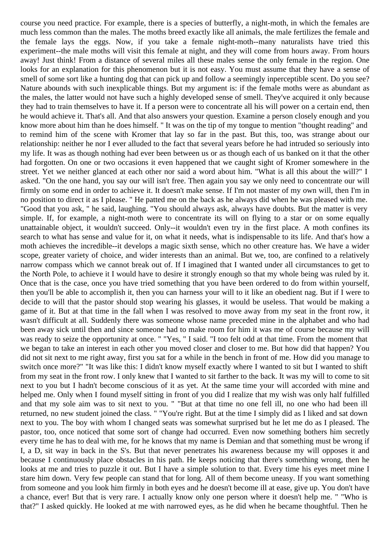course you need practice. For example, there is a species of butterfly, a night-moth, in which the females are much less common than the males. The moths breed exactly like all animals, the male fertilizes the female and the female lays the eggs. Now, if you take a female night-moth--many naturalists have tried this experiment--the male moths will visit this female at night, and they will come from hours away. From hours away! Just think! From a distance of several miles all these males sense the only female in the region. One looks for an explanation for this phenomenon but it is not easy. You must assume that they have a sense of smell of some sort like a hunting dog that can pick up and follow a seemingly inperceptible scent. Do you see? Nature abounds with such inexplicable things. But my argument is: if the female moths were as abundant as the males, the latter would not have such a highly developed sense of smell. They've acquired it only because they had to train themselves to have it. If a person were to concentrate all his will power on a certain end, then he would achieve it. That's all. And that also answers your question. Examine a person closely enough and you know more about him than he does himself. "It was on the tip of my tongue to mention "thought reading" and to remind him of the scene with Kromer that lay so far in the past. But this, too, was strange about our relationship: neither he nor I ever alluded to the fact that several years before he had intruded so seriously into my life. It was as though nothing had ever been between us or as though each of us banked on it that the other had forgotten. On one or two occasions it even happened that we caught sight of Kromer somewhere in the street. Yet we neither glanced at each other nor said a word about him. "What is all this about the will?" I asked. "On the one hand, you say our will isn't free. Then again you say we only need to concentrate our will firmly on some end in order to achieve it. It doesn't make sense. If I'm not master of my own will, then I'm in no position to direct it as I please. " He patted me on the back as he always did when he was pleased with me. "Good that you ask, " he said, laughing. "You should always ask, always have doubts. But the matter is very simple. If, for example, a night-moth were to concentrate its will on flying to a star or on some equally unattainable object, it wouldn't succeed. Only--it wouldn't even try in the first place. A moth confines its search to what has sense and value for it, on what it needs, what is indispensable to its life. And that's how a moth achieves the incredible--it develops a magic sixth sense, which no other creature has. We have a wider scope, greater variety of choice, and wider interests than an animal. But we, too, are confined to a relatively narrow compass which we cannot break out of. If I imagined that I wanted under all circumstances to get to the North Pole, to achieve it I would have to desire it strongly enough so that my whole being was ruled by it. Once that is the case, once you have tried something that you have been ordered to do from within yourself, then you'll be able to accomplish it, then you can harness your will to it like an obedient nag. But if I were to decide to will that the pastor should stop wearing his glasses, it would be useless. That would be making a game of it. But at that time in the fall when I was resolved to move away from my seat in the front row, it wasn't difficult at all. Suddenly there was someone whose name preceded mine in the alphabet and who had been away sick until then and since someone had to make room for him it was me of course because my will was ready to seize the opportunity at once. " "Yes, " I said. "I too felt odd at that time. From the moment that we began to take an interest in each other you moved closer and closer to me. But how did that happen? You did not sit next to me right away, first you sat for a while in the bench in front of me. How did you manage to switch once more?" "It was like this: I didn't know myself exactly where I wanted to sit but I wanted to shift from my seat in the front row. I only knew that I wanted to sit farther to the back. It was my will to come to sit next to you but I hadn't become conscious of it as yet. At the same time your will accorded with mine and helped me. Only when I found myself sitting in front of you did I realize that my wish was only half fulfilled and that my sole aim was to sit next to you. " "But at that time no one fell ill, no one who had been ill returned, no new student joined the class. " "You're right. But at the time I simply did as I liked and sat down next to you. The boy with whom I changed seats was somewhat surprised but he let me do as I pleased. The pastor, too, once noticed that some sort of change had occurred. Even now something bothers him secretly every time he has to deal with me, for he knows that my name is Demian and that something must be wrong if I, a D, sit way in back in the S's. But that never penetrates his awareness because my will opposes it and because I continuously place obstacles in his path. He keeps noticing that there's something wrong, then he looks at me and tries to puzzle it out. But I have a simple solution to that. Every time his eyes meet mine I stare him down. Very few people can stand that for long. All of them become uneasy. If you want something from someone and you look him firmly in both eyes and he doesn't become ill at ease, give up. You don't have a chance, ever! But that is very rare. I actually know only one person where it doesn't help me. " "Who is that?" I asked quickly. He looked at me with narrowed eyes, as he did when he became thoughtful. Then he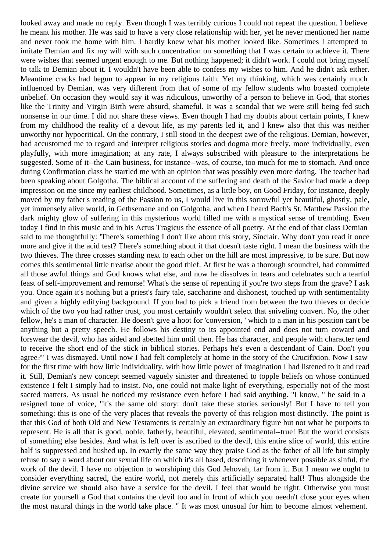looked away and made no reply. Even though I was terribly curious I could not repeat the question. I believe he meant his mother. He was said to have a very close relationship with her, yet he never mentioned her name and never took me home with him. I hardly knew what his mother looked like. Sometimes I attempted to imitate Demian and fix my will with such concentration on something that I was certain to achieve it. There were wishes that seemed urgent enough to me. But nothing happened; it didn't work. I could not bring myself to talk to Demian about it. I wouldn't have been able to confess my wishes to him. And he didn't ask either. Meantime cracks had begun to appear in my religious faith. Yet my thinking, which was certainly much influenced by Demian, was very different from that of some of my fellow students who boasted complete unbelief. On occasion they would say it was ridiculous, unworthy of a person to believe in God, that stories like the Trinity and Virgin Birth were absurd, shameful. It was a scandal that we were still being fed such nonsense in our time. I did not share these views. Even though I had my doubts about certain points, I knew from my childhood the reality of a devout life, as my parents led it, and I knew also that this was neither unworthy nor hypocritical. On the contrary, I still stood in the deepest awe of the religious. Demian, however, had accustomed me to regard and interpret religious stories and dogma more freely, more individually, even playfully, with more imagination; at any rate, I always subscribed with pleasure to the interpretations he suggested. Some of it--the Cain business, for instance--was, of course, too much for me to stomach. And once during Confirmation class he startled me with an opinion that was possibly even more daring. The teacher had been speaking about Golgotha. The biblical account of the suffering and death of the Savior had made a deep impression on me since my earliest childhood. Sometimes, as a little boy, on Good Friday, for instance, deeply moved by my father's reading of the Passion to us, I would live in this sorrowful yet beautiful, ghostly, pale, yet immensely alive world, in Gethsemane and on Golgotha, and when I heard Bach's St. Matthew Passion the dark mighty glow of suffering in this mysterious world filled me with a mystical sense of trembling. Even today I find in this music and in his Actus Tragicus the essence of all poetry. At the end of that class Demian said to me thoughtfully: 'There's something I don't like about this story, Sinclair. Why don't you read it once more and give it the acid test? There's something about it that doesn't taste right. I mean the business with the two thieves. The three crosses standing next to each other on the hill are most impressive, to be sure. But now comes this sentimental little treatise about the good thief. At first he was a thorough scoundrel, had committed all those awful things and God knows what else, and now he dissolves in tears and celebrates such a tearful feast of self-improvement and remorse! What's the sense of repenting if you're two steps from the grave? I ask you. Once again it's nothing but a priest's fairy tale, saccharine and dishonest, touched up with sentimentality and given a highly edifying background. If you had to pick a friend from between the two thieves or decide which of the two you had rather trust, you most certainly wouldn't select that sniveling convert. No, the other fellow, he's a man of character. He doesn't give a hoot for 'conversion, ' which to a man in his position can't be anything but a pretty speech. He follows his destiny to its appointed end and does not turn coward and forswear the devil, who has aided and abetted him until then. He has character, and people with character tend to receive the short end of the stick in biblical stories. Perhaps he's even a descendant of Cain. Don't you agree?" I was dismayed. Until now I had felt completely at home in the story of the Crucifixion. Now I saw for the first time with how little individuality, with how little power of imagination I had listened to it and read it. Still, Demian's new concept seemed vaguely sinister and threatened to topple beliefs on whose continued existence I felt I simply had to insist. No, one could not make light of everything, especially not of the most sacred matters. As usual he noticed my resistance even before I had said anything. "I know, " he said in a resigned tone of voice, "it's the same old story: don't take these stories seriously! But I have to tell you something: this is one of the very places that reveals the poverty of this religion most distinctly. The point is that this God of both Old and New Testaments is certainly an extraordinary figure but not what he purports to represent. He is all that is good, noble, fatherly, beautiful, elevated, sentimental--true! But the world consists of something else besides. And what is left over is ascribed to the devil, this entire slice of world, this entire half is suppressed and hushed up. In exactly the same way they praise God as the father of all life but simply refuse to say a word about our sexual life on which it's all based, describing it whenever possible as sinful, the work of the devil. I have no objection to worshiping this God Jehovah, far from it. But I mean we ought to consider everything sacred, the entire world, not merely this artificially separated half! Thus alongside the divine service we should also have a service for the devil. I feel that would be right. Otherwise you must create for yourself a God that contains the devil too and in front of which you needn't close your eyes when the most natural things in the world take place. "It was most unusual for him to become almost vehement.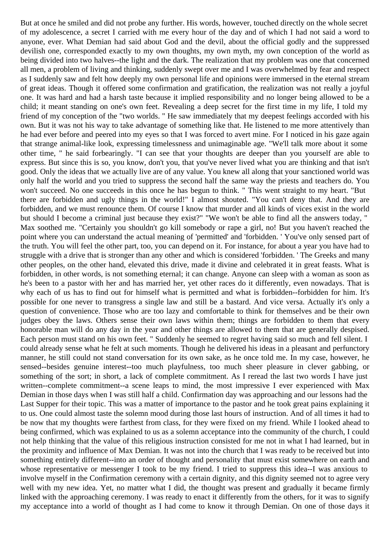But at once he smiled and did not probe any further. His words, however, touched directly on the whole secret of my adolescence, a secret I carried with me every hour of the day and of which I had not said a word to anyone, ever. What Demian had said about God and the devil, about the official godly and the suppressed devilish one, corresponded exactly to my own thoughts, my own myth, my own conception of the world as being divided into two halves--the light and the dark. The realization that my problem was one that concerned all men, a problem of living and thinking, suddenly swept over me and I was overwhelmed by fear and respect as I suddenly saw and felt how deeply my own personal life and opinions were immersed in the eternal stream of great ideas. Though it offered some confirmation and gratification, the realization was not really a joyful one. It was hard and had a harsh taste because it implied responsibility and no longer being allowed to be a child; it meant standing on one's own feet. Revealing a deep secret for the first time in my life, I told my friend of my conception of the "two worlds. " He saw immediately that my deepest feelings accorded with his own. But it was not his way to take advantage of something like that. He listened to me more attentively than he had ever before and peered into my eyes so that I was forced to avert mine. For I noticed in his gaze again that strange animal-like look, expressing timelessness and unimaginable age. "We'll talk more about it some other time, " he said forbearingly. "I can see that your thoughts are deeper than you yourself are able to express. But since this is so, you know, don't you, that you've never lived what you are thinking and that isn't good. Only the ideas that we actually live are of any value. You knew all along that your sanctioned world was only half the world and you tried to suppress the second half the same way the priests and teachers do. You won't succeed. No one succeeds in this once he has begun to think. " This went straight to my heart. "But there are forbidden and ugly things in the world!" I almost shouted. "You can't deny that. And they are forbidden, and we must renounce them. Of course I know that murder and all kinds of vices exist in the world but should I become a criminal just because they exist?" "We won't be able to find all the answers today, " Max soothed me. "Certainly you shouldn't go kill somebody or rape a girl, no! But you haven't reached the point where you can understand the actual meaning of 'permitted' and 'forbidden. ' You've only sensed part of the truth. You will feel the other part, too, you can depend on it. For instance, for about a year you have had to struggle with a drive that is stronger than any other and which is considered 'forbidden. ' The Greeks and many other peoples, on the other hand, elevated this drive, made it divine and celebrated it in great feasts. What is forbidden, in other words, is not something eternal; it can change. Anyone can sleep with a woman as soon as he's been to a pastor with her and has married her, yet other races do it differently, even nowadays. That is why each of us has to find out for himself what is permitted and what is forbidden--forbidden for him. It's possible for one never to transgress a single law and still be a bastard. And vice versa. Actually it's only a question of convenience. Those who are too lazy and comfortable to think for themselves and be their own judges obey the laws. Others sense their own laws within them; things are forbidden to them that every honorable man will do any day in the year and other things are allowed to them that are generally despised. Each person must stand on his own feet. " Suddenly he seemed to regret having said so much and fell silent. I could already sense what he felt at such moments. Though he delivered his ideas in a pleasant and perfunctory manner, he still could not stand conversation for its own sake, as he once told me. In my case, however, he sensed--besides genuine interest--too much playfulness, too much sheer pleasure in clever gabbing, or something of the sort; in short, a lack of complete commitment. As I reread the last two words I have just written--complete commitment--a scene leaps to mind, the most impressive I ever experienced with Max Demian in those days when I was still half a child. Confirmation day was approaching and our lessons had the Last Supper for their topic. This was a matter of importance to the pastor and he took great pains explaining it to us. One could almost taste the solemn mood during those last hours of instruction. And of all times it had to be now that my thoughts were farthest from class, for they were fixed on my friend. While I looked ahead to being confirmed, which was explained to us as a solemn acceptance into the community of the church, I could not help thinking that the value of this religious instruction consisted for me not in what I had learned, but in the proximity and influence of Max Demian. It was not into the church that I was ready to be received but into something entirely different--into an order of thought and personality that must exist somewhere on earth and whose representative or messenger I took to be my friend. I tried to suppress this idea--I was anxious to involve myself in the Confirmation ceremony with a certain dignity, and this dignity seemed not to agree very well with my new idea. Yet, no matter what I did, the thought was present and gradually it became firmly linked with the approaching ceremony. I was ready to enact it differently from the others, for it was to signify my acceptance into a world of thought as I had come to know it through Demian. On one of those days it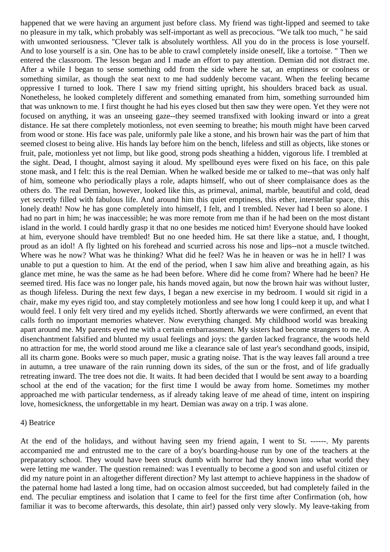happened that we were having an argument just before class. My friend was tight-lipped and seemed to take no pleasure in my talk, which probably was self-important as well as precocious. "We talk too much, " he said with unwonted seriousness. "Clever talk is absolutely worthless. All you do in the process is lose yourself. And to lose yourself is a sin. One has to be able to crawl completely inside oneself, like a tortoise. " Then we entered the classroom. The lesson began and I made an effort to pay attention. Demian did not distract me. After a while I began to sense something odd from the side where he sat, an emptiness or coolness or something similar, as though the seat next to me had suddenly become vacant. When the feeling became oppressive I turned to look. There I saw my friend sitting upright, his shoulders braced back as usual. Nonetheless, he looked completely different and something emanated from him, something surrounded him that was unknown to me. I first thought he had his eyes closed but then saw they were open. Yet they were not focused on anything, it was an unseeing gaze--they seemed transfixed with looking inward or into a great distance. He sat there completely motionless, not even seeming to breathe; his mouth might have been carved from wood or stone. His face was pale, uniformly pale like a stone, and his brown hair was the part of him that seemed closest to being alive. His hands lay before him on the bench, lifeless and still as objects, like stones or fruit, pale, motionless yet not limp, but like good, strong pods sheathing a hidden, vigorous life. I trembled at the sight. Dead, I thought, almost saying it aloud. My spellbound eyes were fixed on his face, on this pale stone mask, and I felt: this is the real Demian. When he walked beside me or talked to me--that was only half of him, someone who periodically plays a role, adapts himself, who out of sheer complaisance does as the others do. The real Demian, however, looked like this, as primeval, animal, marble, beautiful and cold, dead yet secretly filled with fabulous life. And around him this quiet emptiness, this ether, interstellar space, this lonely death! Now he has gone completely into himself, I felt, and I trembled. Never had I been so alone. I had no part in him; he was inaccessible; he was more remote from me than if he had been on the most distant island in the world. I could hardly grasp it that no one besides me noticed him! Everyone should have looked at him, everyone should have trembled! But no one heeded him. He sat there like a statue, and, I thought, proud as an idol! A fly lighted on his forehead and scurried across his nose and lips--not a muscle twitched. Where was he now? What was he thinking? What did he feel? Was he in heaven or was he in hell? I was unable to put a question to him. At the end of the period, when I saw him alive and breathing again, as his glance met mine, he was the same as he had been before. Where did he come from? Where had he been? He seemed tired. His face was no longer pale, his hands moved again, but now the brown hair was without luster, as though lifeless. During the next few days, I began a new exercise in my bedroom. I would sit rigid in a chair, make my eyes rigid too, and stay completely motionless and see how long I could keep it up, and what I would feel. I only felt very tired and my eyelids itched. Shortly afterwards we were confirmed, an event that calls forth no important memories whatever. Now everything changed. My childhood world was breaking apart around me. My parents eyed me with a certain embarrassment. My sisters had become strangers to me. A disenchantment falsified and blunted my usual feelings and joys: the garden lacked fragrance, the woods held no attraction for me, the world stood around me like a clearance sale of last year's secondhand goods, insipid, all its charm gone. Books were so much paper, music a grating noise. That is the way leaves fall around a tree in autumn, a tree unaware of the rain running down its sides, of the sun or the frost, and of life gradually retreating inward. The tree does not die. It waits. It had been decided that I would be sent away to a boarding school at the end of the vacation; for the first time I would be away from home. Sometimes my mother approached me with particular tenderness, as if already taking leave of me ahead of time, intent on inspiring love, homesickness, the unforgettable in my heart. Demian was away on a trip. I was alone.

### 4) Beatrice

At the end of the holidays, and without having seen my friend again, I went to St. ------. My parents accompanied me and entrusted me to the care of a boy's boarding-house run by one of the teachers at the preparatory school. They would have been struck dumb with horror had they known into what world they were letting me wander. The question remained: was I eventually to become a good son and useful citizen or did my nature point in an altogether different direction? My last attempt to achieve happiness in the shadow of the paternal home had lasted a long time, had on occasion almost succeeded, but had completely failed in the end. The peculiar emptiness and isolation that I came to feel for the first time after Confirmation (oh, how familiar it was to become afterwards, this desolate, thin air!) passed only very slowly. My leave-taking from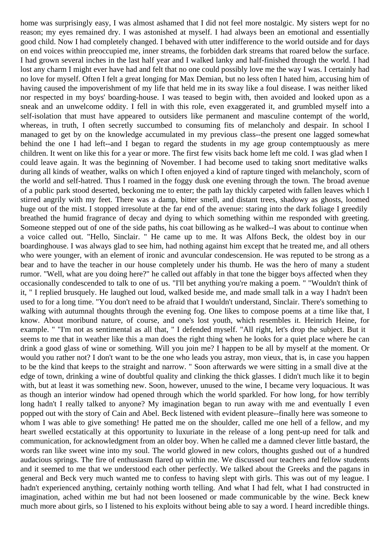home was surprisingly easy, I was almost ashamed that I did not feel more nostalgic. My sisters wept for no reason; my eyes remained dry. I was astonished at myself. I had always been an emotional and essentially good child. Now I had completely changed. I behaved with utter indifference to the world outside and for days on end voices within preoccupied me, inner streams, the forbidden dark streams that roared below the surface. I had grown several inches in the last half year and I walked lanky and half-finished through the world. I had lost any charm I might ever have had and felt that no one could possibly love me the way I was. I certainly had no love for myself. Often I felt a great longing for Max Demian, but no less often I hated him, accusing him of having caused the impoverishment of my life that held me in its sway like a foul disease. I was neither liked nor respected in my boys' boarding-house. I was teased to begin with, then avoided and looked upon as a sneak and an unwelcome oddity. I fell in with this role, even exaggerated it, and grumbled myself into a self-isolation that must have appeared to outsiders like permanent and masculine contempt of the world, whereas, in truth, I often secretly succumbed to consuming fits of melancholy and despair. In school I managed to get by on the knowledge accumulated in my previous class--the present one lagged somewhat behind the one I had left--and I began to regard the students in my age group contemptuously as mere children. It went on like this for a year or more. The first few visits back home left me cold. I was glad when I could leave again. It was the beginning of November. I had become used to taking snort meditative walks during all kinds of weather, walks on which I often enjoyed a kind of rapture tinged with melancholy, scorn of the world and self-hatred. Thus I roamed in the foggy dusk one evening through the town. The broad avenue of a public park stood deserted, beckoning me to enter; the path lay thickly carpeted with fallen leaves which I stirred angrily with my feet. There was a damp, bitter smell, and distant trees, shadowy as ghosts, loomed huge out of the mist. I stopped irresolute at the far end of the avenue: staring into the dark foliage I greedily breathed the humid fragrance of decay and dying to which something within me responded with greeting. Someone stepped out of one of the side paths, his coat billowing as he walked--I was about to continue when a voice called out. "Hello, Sinclair. " He came up to me. It was Alfons Beck, the oldest boy in our boardinghouse. I was always glad to see him, had nothing against him except that he treated me, and all others who were younger, with an element of ironic and avuncular condescension. He was reputed to be strong as a bear and to have the teacher in our house completely under his thumb. He was the hero of many a student rumor. "Well, what are you doing here?" he called out affably in that tone the bigger boys affected when they occasionally condescended to talk to one of us. "I'll bet anything you're making a poem. " "Wouldn't think of it, " I replied brusquely. He laughed out loud, walked beside me, and made small talk in a way I hadn't been used to for a long time. "You don't need to be afraid that I wouldn't understand, Sinclair. There's something to walking with autumnal thoughts through the evening fog. One likes to compose poems at a time like that, I know. About moribund nature, of course, and one's lost youth, which resembles it. Heinrich Heine, for example. " "I'm not as sentimental as all that, " I defended myself. "All right, let's drop the subject. But it seems to me that in weather like this a man does the right thing when he looks for a quiet place where he can drink a good glass of wine or something. Will you join me? I happen to be all by myself at the moment. Or would you rather not? I don't want to be the one who leads you astray, mon vieux, that is, in case you happen to be the kind that keeps to the straight and narrow. " Soon afterwards we were sitting in a small dive at the edge of town, drinking a wine of doubtful quality and clinking the thick glasses. I didn't much like it to begin with, but at least it was something new. Soon, however, unused to the wine, I became very loquacious. It was as though an interior window had opened through which the world sparkled. For how long, for how terribly long hadn't I really talked to anyone? My imagination began to run away with me and eventually I even popped out with the story of Cain and Abel. Beck listened with evident pleasure--finally here was someone to whom I was able to give something! He patted me on the shoulder, called me one hell of a fellow, and my heart swelled ecstatically at this opportunity to luxuriate in the release of a long pent-up need for talk and communication, for acknowledgment from an older boy. When he called me a damned clever little bastard, the words ran like sweet wine into my soul. The world glowed in new colors, thoughts gushed out of a hundred audacious springs. The fire of enthusiasm flared up within me. We discussed our teachers and fellow students and it seemed to me that we understood each other perfectly. We talked about the Greeks and the pagans in general and Beck very much wanted me to confess to having slept with girls. This was out of my league. I hadn't experienced anything, certainly nothing worth telling. And what I had felt, what I had constructed in imagination, ached within me but had not been loosened or made communicable by the wine. Beck knew much more about girls, so I listened to his exploits without being able to say a word. I heard incredible things.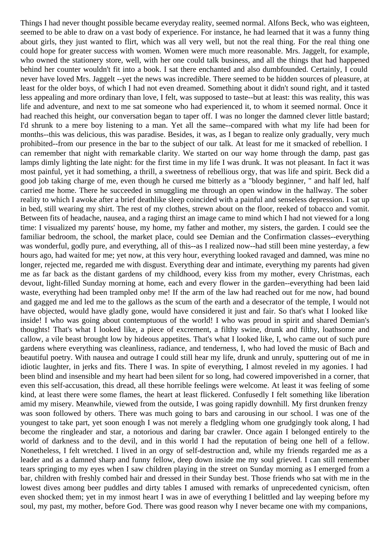Things I had never thought possible became everyday reality, seemed normal. Alfons Beck, who was eighteen, seemed to be able to draw on a vast body of experience. For instance, he had learned that it was a funny thing about girls, they just wanted to flirt, which was all very well, but not the real thing. For the real thing one could hope for greater success with women. Women were much more reasonable. Mrs. Jaggelt, for example, who owned the stationery store, well, with her one could talk business, and all the things that had happened behind her counter wouldn't fit into a book. I sat there enchanted and also dumbfounded. Certainly, I could never have loved Mrs. Jaggelt --yet the news was incredible. There seemed to be hidden sources of pleasure, at least for the older boys, of which I had not even dreamed. Something about it didn't sound right, and it tasted less appealing and more ordinary than love, I felt, was supposed to taste--but at least: this was reality, this was life and adventure, and next to me sat someone who had experienced it, to whom it seemed normal. Once it had reached this height, our conversation began to taper off. I was no longer the damned clever little bastard; I'd shrunk to a mere boy listening to a man. Yet all the same--compared with what my life had been for months--this was delicious, this was paradise. Besides, it was, as I began to realize only gradually, very much prohibited--from our presence in the bar to the subject of our talk. At least for me it smacked of rebellion. I can remember that night with remarkable clarity. We started on our way home through the damp, past gas lamps dimly lighting the late night: for the first time in my life I was drunk. It was not pleasant. In fact it was most painful, yet it had something, a thrill, a sweetness of rebellious orgy, that was life and spirit. Beck did a good job taking charge of me, even though he cursed me bitterly as a "bloody beginner, " and half led, half carried me home. There he succeeded in smuggling me through an open window in the hallway. The sober reality to which I awoke after a brief deathlike sleep coincided with a painful and senseless depression. I sat up in bed, still wearing my shirt. The rest of my clothes, strewn about on the floor, reeked of tobacco and vomit. Between fits of headache, nausea, and a raging thirst an image came to mind which I had not viewed for a long time: I visualized my parents' house, my home, my father and mother, my sisters, the garden. I could see the familiar bedroom, the school, the market place, could see Demian and the Confirmation classes--everything was wonderful, godly pure, and everything, all of this--as I realized now--had still been mine yesterday, a few hours ago, had waited for me; yet now, at this very hour, everything looked ravaged and damned, was mine no longer, rejected me, regarded me with disgust. Everything dear and intimate, everything my parents had given me as far back as the distant gardens of my childhood, every kiss from my mother, every Christmas, each devout, light-filled Sunday morning at home, each and every flower in the garden--everything had been laid waste, everything had been trampled onby me! If the arm of the law had reached out for me now, had bound and gagged me and led me to the gallows as the scum of the earth and a desecrator of the temple, I would not have objected, would have gladly gone, would have considered it just and fair. So that's what I looked like inside! I who was going about contemptuous of the world! I who was proud in spirit and shared Demian's thoughts! That's what I looked like, a piece of excrement, a filthy swine, drunk and filthy, loathsome and callow, a vile beast brought low by hideous appetites. That's what I looked like, I, who came out of such pure gardens where everything was cleanliness, radiance, and tenderness, I, who had loved the music of Bach and beautiful poetry. With nausea and outrage I could still hear my life, drunk and unruly, sputtering out of me in idiotic laughter, in jerks and fits. There I was. In spite of everything, I almost reveled in my agonies. I had been blind and insensible and my heart had been silent for so long, had cowered impoverished in a corner, that even this self-accusation, this dread, all these horrible feelings were welcome. At least it was feeling of some kind, at least there were some flames, the heart at least flickered. Confusedly I felt something like liberation amid my misery. Meanwhile, viewed from the outside, I was going rapidly downhill. My first drunken frenzy was soon followed by others. There was much going to bars and carousing in our school. I was one of the youngest to take part, yet soon enough I was not merely a fledgling whom one grudgingly took along, I had become the ringleader and star, a notorious and daring bar crawler. Once again I belonged entirely to the world of darkness and to the devil, and in this world I had the reputation of being one hell of a fellow. Nonetheless, I felt wretched. I lived in an orgy of self-destruction and, while my friends regarded me as a leader and as a damned sharp and funny fellow, deep down inside me my soul grieved. I can still remember tears springing to my eyes when I saw children playing in the street on Sunday morning as I emerged from a bar, children with freshly combed hair and dressed in their Sunday best. Those friends who sat with me in the lowest dives among beer puddles and dirty tables I amused with remarks of unprecedented cynicism, often even shocked them; yet in my inmost heart I was in awe of everything I belittled and lay weeping before my soul, my past, my mother, before God. There was good reason why I never became one with my companions,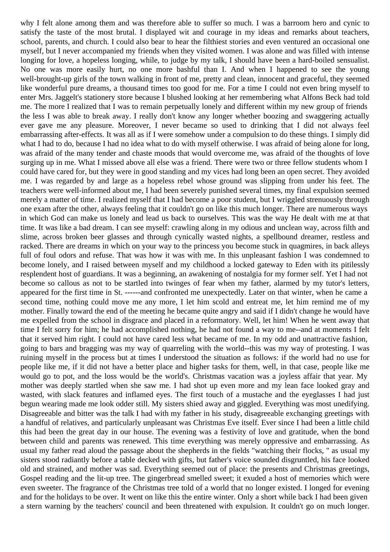why I felt alone among them and was therefore able to suffer so much. I was a barroom hero and cynic to satisfy the taste of the most brutal. I displayed wit and courage in my ideas and remarks about teachers, school, parents, and church. I could also bear to hear the filthiest stories and even ventured an occasional one myself, but I never accompanied my friends when they visited women. I was alone and was filled with intense longing for love, a hopeless longing, while, to judge by my talk, I should have been a hard-boiled sensualist. No one was more easily hurt, no one more bashful than I. And when I happened to see the young well-brought-up girls of the town walking in front of me, pretty and clean, innocent and graceful, they seemed like wonderful pure dreams, a thousand times too good for me. For a time I could not even bring myself to enter Mrs. Jaggelt's stationery store because I blushed looking at her remembering what Alfons Beck had told me. The more I realized that I was to remain perpetually lonely and different within my new group of friends the less I was able to break away. I really don't know any longer whether boozing and swaggering actually ever gave me any pleasure. Moreover, I never became so used to drinking that I did not always feel embarrassing after-effects. It was all as if I were somehow under a compulsion to do these things. I simply did what I had to do, because I had no idea what to do with myself otherwise. I was afraid of being alone for long, was afraid of the many tender and chaste moods that would overcome me, was afraid of the thoughts of love surging up in me. What I missed above all else was a friend. There were two or three fellow students whom I could have cared for, but they were in good standing and my vices had long been an open secret. They avoided me. I was regarded by and large as a hopeless rebel whose ground was slipping from under his feet. The teachers were well-informed about me, I had been severely punished several times, my final expulsion seemed merely a matter of time. I realized myself that I had become a poor student, but I wriggled strenuously through one exam after the other, always feeling that it couldn't go on like this much longer. There are numerous ways in which God can make us lonely and lead us back to ourselves. This was the way He dealt with me at that time. It was like a bad dream. I can see myself: crawling along in my odious and unclean way, across filth and slime, across broken beer glasses and through cynically wasted nights, a spellbound dreamer, restless and racked. There are dreams in which on your way to the princess you become stuck in quagmires, in back alleys full of foul odors and refuse. That was how it was with me. In this unpleasant fashion I was condemned to become lonely, and I raised between myself and my childhood a locked gateway to Eden with its pitilessly resplendent host of guardians. It was a beginning, an awakening of nostalgia for my former self. Yet I had not become so callous as not to be startled into twinges of fear when my father, alarmed by my tutor's letters, appeared for the first time in St. ------and confronted me unexpectedly. Later on that winter, when he came a second time, nothing could move me any more, I let him scold and entreat me, let him remind me of my mother. Finally toward the end of the meeting he became quite angry and said if I didn't change he would have me expelled from the school in disgrace and placed in a reformatory. Well, let him! When he went away that time I felt sorry for him; he had accomplished nothing, he had not found a way to me--and at moments I felt that it served him right. I could not have cared less what became of me. In my odd and unattractive fashion, going to bars and bragging was my way of quarreling with the world--this was my way of protesting. I was ruining myself in the process but at times I understood the situation as follows: if the world had no use for people like me, if it did not have a better place and higher tasks for them, well, in that case, people like me would go to pot, and the loss would be the world's. Christmas vacation was a joyless affair that year. My mother was deeply startled when she saw me. I had shot up even more and my lean face looked gray and wasted, with slack features and inflamed eyes. The first touch of a mustache and the eyeglasses I had just begun wearing made me look odder still. My sisters shied away and giggled. Everything was most unedifying. Disagreeable and bitter was the talk I had with my father in his study, disagreeable exchanging greetings with a handful of relatives, and particularly unpleasant was Christmas Eve itself. Ever since I had been a little child this had been the great day in our house. The evening was a festivity of love and gratitude, when the bond between child and parents was renewed. This time everything was merely oppressive and embarrassing. As usual my father read aloud the passage about the shepherds in the fields "watching their flocks, " as usual my sisters stood radiantly before a table decked with gifts, but father's voice sounded disgruntled, his face looked old and strained, and mother was sad. Everything seemed out of place: the presents and Christmas greetings, Gospel reading and the lit-up tree. The gingerbread smelled sweet; it exuded a host of memories which were even sweeter. The fragrance of the Christmas tree told of a world that no longer existed. I longed for evening and for the holidays to be over. It went on like this the entire winter. Only a short while back I had been given a stern warning by the teachers' council and been threatened with expulsion. It couldn't go on much longer.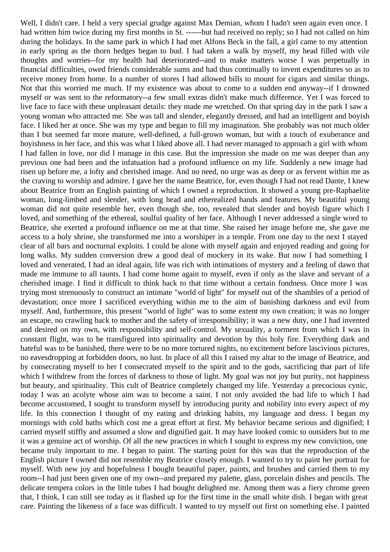Well, I didn't care. I held a very special grudge against Max Demian, whom I hadn't seen again even once. I had written him twice during my first months in St. ------but had received no reply; so I had not called on him during the holidays. In the same park in which I had met Alfons Beck in the fall, a girl came to my attention in early spring as the thorn hedges began to bud. I had taken a walk by myself, my head filled with vile thoughts and worries--for my health had deteriorated--and to make matters worse I was perpetually in financial difficulties, owed friends considerable sums and had thus continually to invent expenditures so as to receive money from home. In a number of stores I had allowed bills to mount for cigars and similar things. Not that this worried me much. If my existence was about to come to a sudden end anyway--if I drowned myself or was sent to the reformatory--a few small extras didn't make much difference. Yet I was forced to live face to face with these unpleasant details: they made me wretched. On that spring day in the park I saw a young woman who attracted me. She was tall and slender, elegantly dressed, and had an intelligent and boyish face. I liked her at once. She was my type and began to fill my imagination. She probably was not much older than I but seemed far more mature, well-defined, a full-grown woman, but with a touch of exuberance and boyishness in her face, and this was what I liked above all. I had never managed to approach a girl with whom I had fallen in love, nor did I manage in this case. But the impression she made on me was deeper than any previous one had been and the infatuation had a profound influence on my life. Suddenly a new image had risen up before me, a lofty and cherished image. And no need, no urge was as deep or as fervent within me as the craving to worship and admire. I gave her the name Beatrice, for, even though I had not read Dante, I knew about Beatrice from an English painting of which I owned a reproduction. It showed a young pre-Raphaelite woman, long-limbed and slender, with long head and etherealized hands and features. My beautiful young woman did not quite resemble her, even though she, too, revealed that slender and boyish figure which I loved, and something of the ethereal, soulful quality of her face. Although I never addressed a single word to Beatrice, she exerted a profound influence on me at that time. She raised her image before me, she gave me access to a holy shrine, she transformed me into a worshiper in a temple. From one day to the next I stayed clear of all bars and nocturnal exploits. I could be alone with myself again and enjoyed reading and going for long walks. My sudden conversion drew a good deal of mockery in its wake. But now I had something I loved and venerated, I had an ideal again, life was rich with intimations of mystery and a feeling of dawn that made me immune to all taunts. I had come home again to myself, even if only as the slave and servant of a cherished image. I find it difficult to think back to that time without a certain fondness. Once more I was trying most strenuously to construct an intimate "world of light" for myself out of the shambles of a period of devastation; once more I sacrificed everything within me to the aim of banishing darkness and evil from myself. And, furthermore, this present "world of light" was to some extent my own creation; it was no longer an escape, no crawling back to mother and the safety of irresponsibility; it was a new duty, one I had invented and desired on my own, with responsibility and self-control. My sexuality, a torment from which I was in constant flight, was to be transfigured into spirituality and devotion by this holy fire. Everything dark and hateful was to be banished, there were to be no more tortured nights, no excitement before lascivious pictures, no eavesdropping at forbidden doors, no lust. In place of all this I raised my altar to the image of Beatrice, and by consecrating myself to her I consecrated myself to the spirit and to the gods, sacrificing that part of life which I withdrew from the forces of darkness to those of light. My goal was not joy but purity, not happiness but beauty, and spirituality. This cult of Beatrice completely changed my life. Yesterday a precocious cynic, today I was an acolyte whose aim was to become a saint. I not only avoided the bad life to which I had become accustomed, I sought to transform myself by introducing purity and nobility into every aspect of my life. In this connection I thought of my eating and drinking habits, my language and dress. I began my mornings with cold baths which cost me a great effort at first. My behavior became serious and dignified; I carried myself stiffly and assumed a slow and dignified gait. It may have looked comic to outsiders but to me it was a genuine act of worship. Of all the new practices in which I sought to express my new conviction, one became truly important to me. I began to paint. The starting point for this was that the reproduction of the English picture I owned did not resemble my Beatrice closely enough. I wanted to try to paint her portrait for myself. With new joy and hopefulness I bought beautiful paper, paints, and brushes and carried them to my room--I had just been given one of my own--and prepared my palette, glass, porcelain dishes and pencils. The delicate tempera colors in the little tubes I had bought delighted me. Among them was a fiery chrome green that, I think, I can still see today as it flashed up for the first time in the small white dish. I began with great care. Painting the likeness of a face was difficult. I wanted to try myself out first on something else. I painted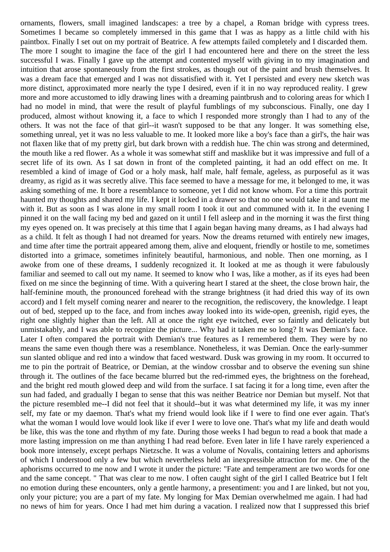ornaments, flowers, small imagined landscapes: a tree by a chapel, a Roman bridge with cypress trees. Sometimes I became so completely immersed in this game that I was as happy as a little child with his paintbox. Finally I set out on my portrait of Beatrice. A few attempts failed completely and I discarded them. The more I sought to imagine the face of the girl I had encountered here and there on the street the less successful I was. Finally I gave up the attempt and contented myself with giving in to my imagination and intuition that arose spontaneously from the first strokes, as though out of the paint and brush themselves. It was a dream face that emerged and I was not dissatisfied with it. Yet I persisted and every new sketch was more distinct, approximated more nearly the type I desired, even if it in no way reproduced reality. I grew more and more accustomed to idly drawing lines with a dreaming paintbrush and to coloring areas for which I had no model in mind, that were the result of playful fumblings of my subconscious. Finally, one day I produced, almost without knowing it, a face to which I responded more strongly than I had to any of the others. It was not the face of that girl--it wasn't supposed to be that any longer. It was something else, something unreal, yet it was no less valuable to me. It looked more like a boy's face than a girl's, the hair was not flaxen like that of my pretty girl, but dark brown with a reddish hue. The chin was strong and determined, the mouth like a red flower. As a whole it was somewhat stiff and masklike but it was impressive and full of a secret life of its own. As I sat down in front of the completed painting, it had an odd effect on me. It resembled a kind of image of God or a holy mask, half male, half female, ageless, as purposeful as it was dreamy, as rigid as it was secretly alive. This face seemed to have a message for me, it belonged to me, it was asking something of me. It bore a resemblance to someone, yet I did not know whom. For a time this portrait haunted my thoughts and shared my life. I kept it locked in a drawer so that no one would take it and taunt me with it. But as soon as I was alone in my small room I took it out and communed with it. In the evening I pinned it on the wall facing my bed and gazed on it until I fell asleep and in the morning it was the first thing my eyes opened on. It was precisely at this time that I again began having many dreams, as I had always had as a child. It felt as though I had not dreamed for years. Now the dreams returned with entirely new images, and time after time the portrait appeared among them, alive and eloquent, friendly or hostile to me, sometimes distorted into a grimace, sometimes infinitely beautiful, harmonious, and noble. Then one morning, as I awoke from one of these dreams, I suddenly recognized it. It looked at me as though it were fabulously familiar and seemed to call out my name. It seemed to know who I was, like a mother, as if its eyes had been fixed on me since the beginning of time. With a quivering heart I stared at the sheet, the close brown hair, the half-feminine mouth, the pronounced forehead with the strange brightness (it had dried this way of its own accord) and I felt myself coming nearer and nearer to the recognition, the rediscovery, the knowledge. I leapt out of bed, stepped up to the face, and from inches away looked into its wide-open, greenish, rigid eyes, the right one slightly higher than the left. All at once the right eye twitched, ever so faintly and delicately but unmistakably, and I was able to recognize the picture... Why had it taken me so long? It was Demian's face. Later I often compared the portrait with Demian's true features as I remembered them. They were by no means the same even though there was a resemblance. Nonetheless, it was Demian. Once the early-summer sun slanted oblique and red into a window that faced westward. Dusk was growing in my room. It occurred to me to pin the portrait of Beatrice, or Demian, at the window crossbar and to observe the evening sun shine through it. The outlines of the face became blurred but the red-rimmed eyes, the brightness on the forehead, and the bright red mouth glowed deep and wild from the surface. I sat facing it for a long time, even after the sun had faded, and gradually I began to sense that this was neither Beatrice nor Demian but myself. Not that the picture resembled me--I did not feel that it should--but it was what determined my life, it was my inner self, my fate or my daemon. That's what my friend would look like if I were to find one ever again. That's what the woman I would love would look like if ever I were to love one. That's what my life and death would be like, this was the tone and rhythm of my fate. During those weeks I had begun to read a book that made a more lasting impression on me than anything I had read before. Even later in life I have rarely experienced a book more intensely, except perhaps Nietzsche. It was a volume of Novalis, containing letters and aphorisms of which I understood only a few but which nevertheless held an inexpressible attraction for me. One of the aphorisms occurred to me now and I wrote it under the picture: "Fate and temperament are two words for one and the same concept. " That was clear to me now. I often caught sight of the girl I called Beatrice but I felt no emotion during these encounters, only a gentle harmony, a presentiment: you and I are linked, but not you, only your picture; you are a part of my fate. My longing for Max Demian overwhelmed me again. I had had no news of him for years. Once I had met him during a vacation. I realized now that I suppressed this brief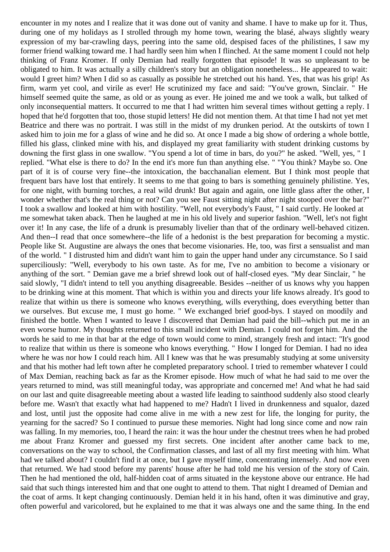encounter in my notes and I realize that it was done out of vanity and shame. I have to make up for it. Thus, during one of my holidays as I strolled through my home town, wearing the blasé, always slightly weary expression of my bar-crawling days, peering into the same old, despised faces of the philistines, I saw my former friend walking toward me. I had hardly seen him when I flinched. At the same moment I could not help thinking of Franz Kromer. If only Demian had really forgotten that episode! It was so unpleasant to be obligated to him. It was actually a silly children's story but an obligation nonetheless... He appeared to wait: would I greet him? When I did so as casually as possible he stretched out his hand. Yes, that was his grip! As firm, warm vet cool, and virile as ever! He scrutinized my face and said: "You've grown, Sinclair. "He himself seemed quite the same, as old or as young as ever. He joined me and we took a walk, but talked of only inconsequential matters. It occurred to me that I had written him several times without getting a reply. I hoped that he'd forgotten that too, those stupid letters! He did not mention them. At that time I had not yet met Beatrice and there was no portrait. I was still in the midst of my drunken period. At the outskirts of town I asked him to join me for a glass of wine and he did so. At once I made a big show of ordering a whole bottle, filled his glass, clinked mine with his, and displayed my great familiarity with student drinking customs by downing the first glass in one swallow. "You spend a lot of time in bars, do you?" he asked. "Well, yes, "I replied. "What else is there to do? In the end it's more fun than anything else. " "You think? Maybe so. One part of it is of course very fine--the intoxication, the bacchanalian element. But I think most people that frequent bars have lost that entirely. It seems to me that going to bars is something genuinely philistine. Yes, for one night, with burning torches, a real wild drunk! But again and again, one little glass after the other, I wonder whether that's the real thing or not? Can you see Faust sitting night after night stooped over the bar?" I took a swallow and looked at him with hostility. "Well, not everybody's Faust, " I said curtly. He looked at me somewhat taken aback. Then he laughed at me in his old lively and superior fashion. "Well, let's not fight over it! In any case, the life of a drunk is presumably livelier than that of the ordinary well-behaved citizen. And then--I read that once somewhere--the life of a hedonist is the best preparation for becoming a mystic. People like St. Augustine are always the ones that become visionaries. He, too, was first a sensualist and man of the world. " I distrusted him and didn't want him to gain the upper hand under any circumstance. So I said superciliously: "Well, everybody to his own taste. As for me, I've no ambition to become a visionary or anything of the sort. " Demian gave me a brief shrewd look out of half-closed eyes. "My dear Sinclair, " he said slowly, "I didn't intend to tell you anything disagreeable. Besides --neither of us knows why you happen to be drinking wine at this moment. That which is within you and directs your life knows already. It's good to realize that within us there is someone who knows everything, wills everything, does everything better than we ourselves. But excuse me, I must go home. " We exchanged brief good-bys. I stayed on moodily and finished the bottle. When I wanted to leave I discovered that Demian had paid the bill--which put me in an even worse humor. My thoughts returned to this small incident with Demian. I could not forget him. And the words he said to me in that bar at the edge of town would come to mind, strangely fresh and intact: "It's good to realize that within us there is someone who knows everything. " How I longed for Demian. I had no idea where he was nor how I could reach him. All I knew was that he was presumably studying at some university and that his mother had left town after he completed preparatory school. I tried to remember whatever I could of Max Demian, reaching back as far as the Kromer episode. How much of what he had said to me over the years returned to mind, was still meaningful today, was appropriate and concerned me! And what he had said on our last and quite disagreeable meeting about a wasted life leading to sainthood suddenly also stood clearly before me. Wasn't that exactly what had happened to me? Hadn't I lived in drunkenness and squalor, dazed and lost, until just the opposite had come alive in me with a new zest for life, the longing for purity, the yearning for the sacred? So I continued to pursue these memories. Night had long since come and now rain was falling. In my memories, too, I heard the rain: it was the hour under the chestnut trees when he had probed me about Franz Kromer and guessed my first secrets. One incident after another came back to me, conversations on the way to school, the Confirmation classes, and last of all my first meeting with him. What had we talked about? I couldn't find it at once, but I gave myself time, concentrating intensely. And now even that returned. We had stood before my parents' house after he had told me his version of the story of Cain. Then he had mentioned the old, half-hidden coat of arms situated in the keystone above our entrance. He had said that such things interested him and that one ought to attend to them. That night I dreamed of Demian and the coat of arms. It kept changing continuously. Demian held it in his hand, often it was diminutive and gray, often powerful and varicolored, but he explained to me that it was always one and the same thing. In the end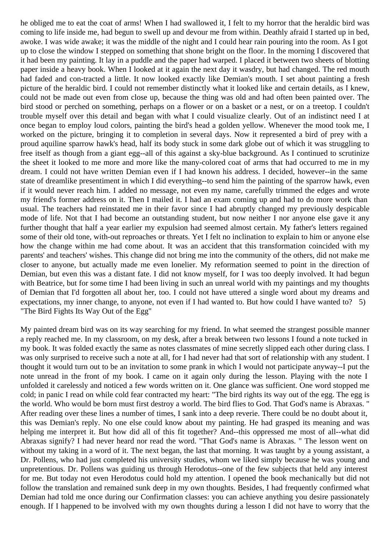he obliged me to eat the coat of arms! When I had swallowed it, I felt to my horror that the heraldic bird was coming to life inside me, had begun to swell up and devour me from within. Deathly afraid I started up in bed, awoke. I was wide awake; it was the middle of the night and I could hear rain pouring into the room. As I got up to close the window I stepped on something that shone bright on the floor. In the morning I discovered that it had been my painting. It lay in a puddle and the paper had warped. I placed it between two sheets of blotting paper inside a heavy book. When I looked at it again the next day it wasdry, but had changed. The red mouth had faded and con-tracted a little. It now looked exactly like Demian's mouth. I set about painting a fresh picture of the heraldic bird. I could not remember distinctly what it looked like and certain details, as I knew, could not be made out even from close up, because the thing was old and had often been painted over. The bird stood or perched on something, perhaps on a flower or on a basket or a nest, or on a treetop. I couldn't trouble myself over this detail and began with what I could visualize clearly. Out of an indistinct need I at once began to employ loud colors, painting the bird's head a golden yellow. Whenever the mood took me, I worked on the picture, bringing it to completion in several days. Now it represented a bird of prey with a proud aquiline sparrow hawk's head, half its body stuck in some dark globe out of which it was struggling to free itself as though from a giant egg--all of this against a sky-blue background. As I continued to scrutinize the sheet it looked to me more and more like the many-colored coat of arms that had occurred to me in my dream. I could not have written Demian even if I had known his address. I decided, however--in the same state of dreamlike presentiment in which I did everything--to send him the painting of the sparrow hawk, even if it would never reach him. I added no message, not even my name, carefully trimmed the edges and wrote my friend's former address on it. Then I mailed it. I had an exam coming up and had to do more work than usual. The teachers had reinstated me in their favor since I had abruptly changed my previously despicable mode of life. Not that I had become an outstanding student, but now neither I nor anyone else gave it any further thought that half a year earlier my expulsion had seemed almost certain. My father's letters regained some of their old tone, with-out reproaches or threats. Yet I felt no inclination to explain to him or anyone else how the change within me had come about. It was an accident that this transformation coincided with my parents' and teachers' wishes. This change did not bring me into the community of the others, did not make me closer to anyone, but actually made me even lonelier. My reformation seemed to point in the direction of Demian, but even this was a distant fate. I did not know myself, for I was too deeply involved. It had begun with Beatrice, but for some time I had been living in such an unreal world with my paintings and my thoughts of Demian that I'd forgotten all about her, too. I could not have uttered a single word about my dreams and expectations, my inner change, to anyone, not even if I had wanted to. But how could I have wanted to?  $\quad$  5) "The Bird Fights Its Way Out of the Egg"

My painted dream bird was on its way searching for my friend. In what seemed the strangest possible manner a reply reached me. In my classroom, on my desk, after a break between two lessons I found a note tucked in my book. It was folded exactly the same as notes classmates of mine secretly slipped each other during class. I was only surprised to receive such a note at all, for I had never had that sort of relationship with any student. I thought it would turn out to be an invitation to some prank in which I would not participate anyway--I put the note unread in the front of my book. I came on it again only during the lesson. Playing with the note I unfolded it carelessly and noticed a few words written on it. One glance was sufficient. One word stopped me cold; in panic I read on while cold fear contracted my heart: "The bird rights its way out of the egg. The egg is the world. Who would be born must first destroy a world. The bird flies to God. That God's name is Abraxas. " After reading over these lines a number of times, I sank into a deep reverie. There could be no doubt about it, this was Demian's reply. No one else could know about my painting. He had grasped its meaning and was helping me interpret it. But how did all of this fit together? And--this oppressed me most of all--what did Abraxas signify? I had never heard nor read the word. "That God's name is Abraxas. " The lesson went on without my taking in a word of it. The next began, the last that morning. It was taught by a young assistant, a Dr. Pollens, who had just completed his university studies, whom we liked simply because he was young and unpretentious. Dr. Pollens was guiding us through Herodotus--one of the few subjects that held any interest for me. But today not even Herodotus could hold my attention. I opened the book mechanically but did not follow the translation and remained sunk deep in my own thoughts. Besides, I had frequently confirmed what Demian had told me once during our Confirmation classes: you can achieve anything you desire passionately enough. If I happened to be involved with my own thoughts during a lesson I did not have to worry that the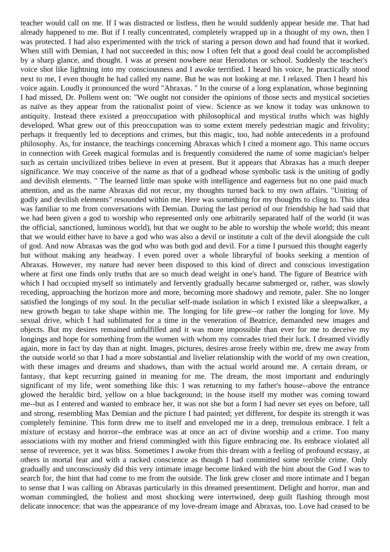teacher would call on me. If I was distracted or listless, then he would suddenly appear beside me. That had already happened to me. But if I really concentrated, completely wrapped up in a thought of my own, then I was protected. I had also experimented with the trick of staring a person down and had found that it worked. When still with Demian, I had not succeeded in this; now I often felt that a good deal could be accomplished by a sharp glance, and thought. I was at present nowhere near Herodotus or school. Suddenly the teacher's voice shot like lightning into my consciousness and I awoke terrified. I heard his voice, he practically stood next to me, I even thought he had called my name. But he was not looking at me. I relaxed. Then I heard his voice again. Loudly it pronounced the word "Abraxas. " In the course of a long explanation, whose beginning I had missed, Dr. Pollens went on: "We ought not consider the opinions of those sects and mystical societies as naïve as they appear from the rationalist point of view. Science as we know it today was unknown to antiquity. Instead there existed a preoccupation with philosophical and mystical truths which was highly developed. What grew out of this preoccupation was to some extent merely pedestrian magic and frivolity; perhaps it frequently led to deceptions and crimes, but this magic, too, had noble antecedents in a profound philosophy. As, for instance, the teachings concerning Abraxas which I cited a moment ago. This name occurs in connection with Greek magical formulas and is frequently considered the name of some magician's helper such as certain uncivilized tribes believe in even at present. But it appears that Abraxas has a much deeper significance. We may conceive of the name as that of a godhead whose symbolic task is the uniting of godly and devilish elements. " The learned little man spoke with intelligence and eagerness but no one paid much attention, and as the name Abraxas did not recur, my thoughts turned back to my own affairs. "Uniting of godly and devilish elements" resounded within me. Here was something for my thoughts to cling to. This idea was familiar to me from conversations with Demian. During the last period of our friendship he had said that we had been given a god to worship who represented only one arbitrarily separated half of the world (it was the official, sanctioned, luminous world), but that we ought to be able to worship the whole world; this meant that we would either have to have a god who was also a devil or institute a cult of the devil alongside the cult of god. And now Abraxas was the god who was both god and devil. For a time I pursued this thought eagerly but without making any headway. I even pored over a whole libraryful of books seeking a mention of Abraxas. However, my nature had never been disposed to this kind of direct and conscious investigation where at first one finds only truths that are so much dead weight in one's hand. The figure of Beatrice with which I had occupied myself so intimately and fervently gradually became submerged or, rather, was slowly receding, approaching the horizon more and more, becoming more shadowy and remote, paler. She no longer satisfied the longings of my soul. In the peculiar self-made isolation in which I existed like a sleepwalker, a new growth began to take shape within me. The longing for life grew--or rather the longing for love. My sexual drive, which I had sublimated for a time in the veneration of Beatrice, demanded new images and objects. But my desires remained unfulfilled and it was more impossible than ever for me to deceive my longings and hope for something from the women with whom my comrades tried their luck. I dreamed vividly again, more in fact by day than at night. Images, pictures, desires arose freely within me, drew me away from the outside world so that I had a more substantial and livelier relationship with the world of my own creation, with these images and dreams and shadows, than with the actual world around me. A certain dream, or fantasy, that kept recurring gained in meaning for me. The dream, the most important and enduringly significant of my life, went something like this: I was returning to my father's house--above the entrance glowed the heraldic bird, yellow on a blue background; in the house itself my mother was coming toward me--but as I entered and wanted to embrace her, it was not she but a form I had never set eyes on before, tall and strong, resembling Max Demian and the picture I had painted; yet different, for despite its strength it was completely feminine. This form drew me to itself and enveloped me in a deep, tremulous embrace. I felt a mixture of ecstasy and horror--the embrace was at once an act of divine worship and a crime. Too many associations with my mother and friend commingled with this figure embracing me. Its embrace violated all sense of reverence, yet it was bliss. Sometimes I awoke from this dream with a feeling of profound ecstasy, at others in mortal fear and with a racked conscience as though I had committed some terrible crime. Only gradually and unconsciously did this very intimate image become linked with the hint about the God I was to search for, the hint that had come to me from the outside. The link grew closer and more intimate and I began to sense that I was calling on Abraxas particularly in this dreamed presentiment. Delight and horror, man and woman commingled, the holiest and most shocking were intertwined, deep guilt flashing through most delicate innocence: that was the appearance of my love-dream image and Abraxas, too. Love had ceased to be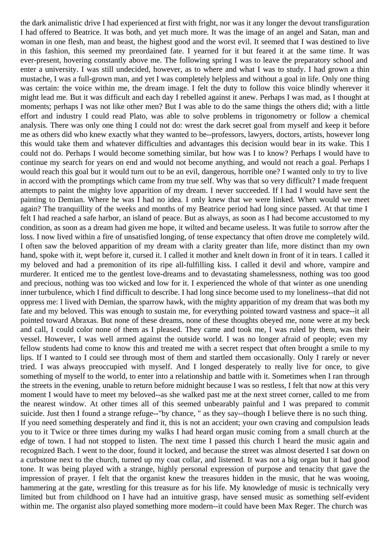the dark animalistic drive I had experienced at first with fright, nor was it any longer the devout transfiguration I had offered to Beatrice. It was both, and yet much more. It was the image of an angel and Satan, man and woman in one flesh, man and beast, the highest good and the worst evil. It seemed that I was destined to live in this fashion, this seemed my preordained fate. I yearned for it but feared it at the same time. It was ever-present, hovering constantly above me. The following spring I was to leave the preparatory school and enter a university. I was still undecided, however, as to where and what I was to study. I had grown a thin mustache, I was a full-grown man, and yet I was completely helpless and without a goal in life. Only one thing was certain: the voice within me, the dream image. I felt the duty to follow this voice blindly wherever it might lead me. But it was difficult and each day I rebelled against it anew. Perhaps I was mad, as I thought at moments; perhaps I was not like other men? But I was able to do the same things the others did; with a little effort and industry I could read Plato, was able to solve problems in trigonometry or follow a chemical analysis. There was only one thing I could not do: wrest the dark secret goal from myself and keep it before me as others did who knew exactly what they wanted to be--professors, lawyers, doctors, artists, however long this would take them and whatever difficulties and advantages this decision would bear in its wake. This I could not do. Perhaps I would become something similar, but how was I to know? Perhaps I would have to continue my search for years on end and would not become anything, and would not reach a goal. Perhaps I would reach this goal but it would turn out to be an evil, dangerous, horrible one? I wanted only to try to live in accord with the promptings which came from my true self. Why was that so very difficult? I made frequent attempts to paint the mighty love apparition of my dream. I never succeeded. If I had I would have sent the painting to Demian. Where he was I had no idea. I only knew that we were linked. When would we meet again? The tranquillity of the weeks and months of my Beatrice period had long since passed. At that time I felt I had reached a safe harbor, an island of peace. But as always, as soon as I had become accustomed to my condition, as soon as a dream had given me hope, it wilted and became useless. It was futile to sorrow after the loss. I now lived within a fire of unsatisfied longing, of tense expectancy that often drove me completely wild. I often saw the beloved apparition of my dream with a clarity greater than life, more distinct than my own hand, spoke with it, wept before it, cursed it. I called it mother and knelt down in front of it in tears. I called it my beloved and had a premonition of its ripe all-fulfilling kiss. I called it devil and whore, vampire and murderer. It enticed me to the gentlest love-dreams and to devastating shamelessness, nothing was too good and precious, nothing was too wicked and low for it. I experienced the whole of that winter as one unending inner turbulence, which I find difficult to describe. I had long since become used to my loneliness--that did not oppress me: I lived with Demian, the sparrow hawk, with the mighty apparition of my dream that was both my fate and my beloved. This was enough to sustain me, for everything pointed toward vastness and space--it all pointed toward Abraxas. But none of these dreams, none of these thoughts obeyed me, none were at my beck and call, I could color none of them as I pleased. They came and took me, I was ruled by them, was their vessel. However, I was well armed against the outside world. I was no longer afraid of people; even my fellow students had come to know this and treated me with a secret respect that often brought a smile to my lips. If I wanted to I could see through most of them and startled them occasionally. Only I rarely or never tried. I was always preoccupied with myself. And I longed desperately to really live for once, to give something of myself to the world, to enter into a relationship and battle with it. Sometimes when I ran through the streets in the evening, unable to return before midnight because I was so restless, I felt that now at this very moment I would have to meet my beloved--as she walked past me at the next street corner, called to me from the nearest window. At other times all of this seemed unbearably painful and I was prepared to commit suicide. Just then I found a strange refuge--"by chance, " as they say--though I believe there is no such thing. If you need something desperately and find it, this is not an accident; your own craving and compulsion leads you to it Twice or three times during my walks I had heard organ music coming from a small church at the edge of town. I had not stopped to listen. The next time I passed this church I heard the music again and recognized Bach. I went to the door, found it locked, and because the street was almost deserted I sat down on a curbstone next to the church, turned up my coat collar, and listened. It was not a big organ but it had good tone. It was being played with a strange, highly personal expression of purpose and tenacity that gave the impression of prayer. I felt that the organist knew the treasures hidden in the music, that he was wooing, hammering at the gate, wrestling for this treasure as for his life. My knowledge of music is technically very limited but from childhood on I have had an intuitive grasp, have sensed music as something self-evident within me. The organist also played something more modern--it could have been Max Reger. The church was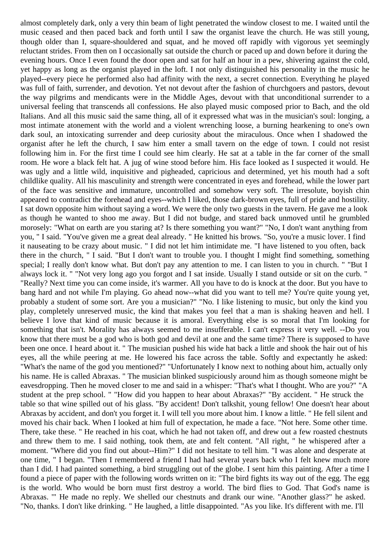almost completely dark, only a very thin beam of light penetrated the window closest to me. I waited until the music ceased and then paced back and forth until I saw the organist leave the church. He was still young, though older than I, square-shouldered and squat, and he moved off rapidly with vigorous yet seemingly reluctant strides. From then on I occasionally sat outside the church or paced up and down before it during the evening hours. Once I even found the door open and sat for half an hour in a pew, shivering against the cold, yet happy as long as the organist played in the loft. I not only distinguished his personality in the music he played--every piece he performed also had affinity with the next, a secret connection. Everything he played was full of faith, surrender, and devotion. Yet not devout after the fashion of churchgoers and pastors, devout the way pilgrims and mendicants were in the Middle Ages, devout with that unconditional surrender to a universal feeling that transcends all confessions. He also played music composed prior to Bach, and the old Italians. And all this music said the same thing, all of it expressed what was in the musician's soul: longing, a most intimate atonement with the world and a violent wrenching loose, a burning hearkening to one's own dark soul, an intoxicating surrender and deep curiosity about the miraculous. Once when I shadowed the organist after he left the church, I saw him enter a small tavern on the edge of town. I could not resist following him in. For the first time I could see him clearly. He sat at a table in the far corner of the small room. He wore a black felt hat. A jug of wine stood before him. His face looked as I suspected it would. He was ugly and a little wild, inquisitive and pigheaded, capricious and determined, yet his mouth had a soft childlike quality. All his masculinity and strength were concentrated in eyes and forehead, while the lower part of the face was sensitive and immature, uncontrolled and somehow very soft. The irresolute, boyish chin appeared to contradict the forehead and eyes--which I liked, those dark-brown eyes, full of pride and hostility. I sat down opposite him without saying a word. We were the only two guests in the tavern. He gave me a look as though he wanted to shoo me away. But I did not budge, and stared back unmoved until he grumbled morosely: "What on earth are you staring at? Is there something you want?" "No, I don't want anything from you, " I said. "You've given me a great deal already. " He knitted his brows. "So, you're a music lover. I find it nauseating to be crazy about music. " I did not let him intimidate me. "I have listened to you often, back there in the church, " I said. "But I don't want to trouble you. I thought I might find something, something special; I really don't know what. But don't pay any attention to me. I can listen to you in church. " "But I always lock it. " "Not very long ago you forgot and I sat inside. Usually I stand outside or sit on the curb. " "Really? Next time you can come inside, it's warmer. All you have to do is knock at the door. But you have to bang hard and not while I'm playing. Go ahead now--what did you want to tell me? You're quite young yet, probably a student of some sort. Are you a musician?" "No. I like listening to music, but only the kind you play, completely unreserved music, the kind that makes you feel that a man is shaking heaven and hell. I believe I love that kind of music because it is amoral. Everything else is so moral that I'm looking for something that isn't. Morality has always seemed to me insufferable. I can't express it very well. --Do you know that there must be a god who is both god and devil at one and the same time? There is supposed to have been one once. I heard about it. " The musician pushed his wide hat back a little and shook the hair out of his eyes, all the while peering at me. He lowered his face across the table. Softly and expectantly he asked: "What's the name of the god you mentioned?" "Unfortunately I know next to nothing about him, actually only his name. He is called Abraxas. " The musician blinked suspiciously around him as though someone might be eavesdropping. Then he moved closer to me and said in a whisper: "That's what I thought. Who are you?" "A student at the prep school. " "How did you happen to hear about Abraxas?" "By accident. " He struck the table so that wine spilled out of his glass. "By accident! Don't talkshit, young fellow! One doesn't hear about Abraxas by accident, and don't you forget it. I will tell you more about him. I know a little. " He fell silent and moved his chair back. When I looked at him full of expectation, he made a face. "Not here. Some other time. There, take these. "He reached in his coat, which he had not taken off, and drew out a few roasted chestnuts and threw them to me. I said nothing, took them, ate and felt content. "All right, " he whispered after a moment. "Where did you find out about--Him?" I did not hesitate to tell him. "I was alone and desperate at one time, " I began. "Then I remembered a friend I had had several years back who I felt knew much more than I did. I had painted something, a bird struggling out of the globe. I sent him this painting. After a time I found a piece of paper with the following words written on it: "The bird fights its way out of the egg. The egg is the world. Who would be born must first destroy a world. The bird flies to God. That God's name is Abraxas. "" He made no reply. We shelled our chestnuts and drank our wine. "Another glass?" he asked. "No, thanks. I don't like drinking. " He laughed, a little disappointed. "As you like. It's different with me. I'll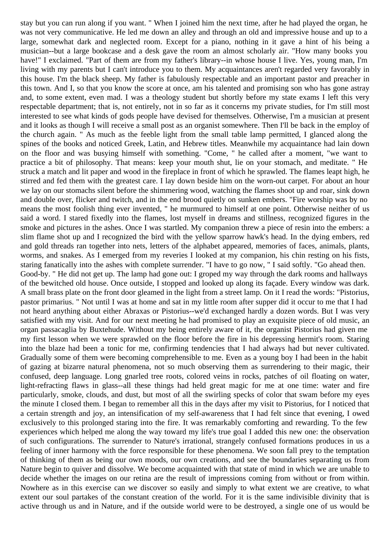stay but you can run along if you want. " When I joined him the next time, after he had played the organ, he was not very communicative. He led me down an alley and through an old and impressive house and up to a large, somewhat dark and neglected room. Except for a piano, nothing in it gave a hint of his being a musician--but a large bookcase and a desk gave the room an almost scholarly air. "How many books you have!" I exclaimed. "Part of them are from my father's library--in whose house I live. Yes, young man, I'm living with my parents but I can't introduce you to them. My acquaintances aren't regarded very favorably in this house. I'm the black sheep. My father is fabulously respectable and an important pastor and preacher in this town. And I, so that you know the score at once, am his talented and promising son who has gone astray and, to some extent, even mad. I was a theology student but shortly before my state exams I left this very respectable department; that is, not entirely, not in so far as it concerns my private studies, for I'm still most interested to see what kinds of gods people have devised for themselves. Otherwise, I'm a musician at present and it looks as though I will receive a small post as an organist somewhere. Then I'll be back in the employ of the church again. " As much as the feeble light from the small table lamp permitted, I glanced along the spines of the books and noticed Greek, Latin, and Hebrew titles. Meanwhile my acquaintance had lain down on the floor and was busying himself with something. "Come, " he called after a moment, "we want to practice a bit of philosophy. That means: keep your mouth shut, lie on your stomach, and meditate. " He struck a match and lit paper and wood in the fireplace in front of which he sprawled. The flames leapt high, he stirred and fed them with the greatest care. I lay down beside him on the worn-out carpet. For about an hour we lay on our stomachs silent before the shimmering wood, watching the flames shoot up and roar, sink down and double over, flicker and twitch, and in the end brood quietly on sunken embers. "Fire worship was by no means the most foolish thing ever invented, " he murmured to himself at one point. Otherwise neither of us said a word. I stared fixedly into the flames, lost myself in dreams and stillness, recognized figures in the smoke and pictures in the ashes. Once I was startled. My companion threw a piece of resin into the embers: a slim flame shot up and I recognized the bird with the yellow sparrow hawk's head. In the dying embers, red and gold threads ran together into nets, letters of the alphabet appeared, memories of faces, animals, plants, worms, and snakes. As I emerged from my reveries I looked at my companion, his chin resting on his fists, staring fanatically into the ashes with complete surrender. "I have to go now, "I said softly. "Go ahead then. Good-by. "He did not get up. The lamp had gone out: I groped my way through the dark rooms and hallways of the bewitched old house. Once outside, I stopped and looked up along its façade. Every window was dark. A small brass plate on the front door gleamed in the light from a street lamp. On it I read the words: "Pistorius, pastor primarius. " Not until I was at home and sat in my little room after supper did it occur to me that I had not heard anything about either Abraxas or Pistorius--we'd exchanged hardly a dozen words. But I was very satisfied with my visit. And for our next meeting he had promised to play an exquisite piece of old music, an organ passacaglia by Buxtehude. Without my being entirely aware of it, the organist Pistorius had given me my first lesson when we were sprawled on the floor before the fire in his depressing hermit's room. Staring into the blaze had been a tonic for me, confirming tendencies that I had always had but never cultivated. Gradually some of them were becoming comprehensible to me. Even as a young boy I had been in the habit of gazing at bizarre natural phenomena, not so much observing them as surrendering to their magic, their confused, deep language. Long gnarled tree roots, colored veins in rocks, patches of oil floating on water, light-refracting flaws in glass--all these things had held great magic for me at one time: water and fire particularly, smoke, clouds, and dust, but most of all the swirling specks of color that swam before my eyes the minute I closed them. I began to remember all this in the days after my visit to Pistorius, for I noticed that a certain strength and joy, an intensification of my self-awareness that I had felt since that evening, I owed exclusively to this prolonged staring into the fire. It was remarkably comforting and rewarding. To the few experiences which helped me along the way toward my life's true goal I added this new one: the observation of such configurations. The surrender to Nature's irrational, strangely confused formations produces in us a feeling of inner harmony with the force responsible for these phenomena. We soon fall prey to the temptation of thinking of them as being our own moods, our own creations, and see the boundaries separating us from Nature begin to quiver and dissolve. We become acquainted with that state of mind in which we are unable to decide whether the images on our retina are the result of impressions coming from without or from within. Nowhere as in this exercise can we discover so easily and simply to what extent we are creative, to what extent our soul partakes of the constant creation of the world. For it is the same indivisible divinity that is active through us and in Nature, and if the outside world were to be destroyed, a single one of us would be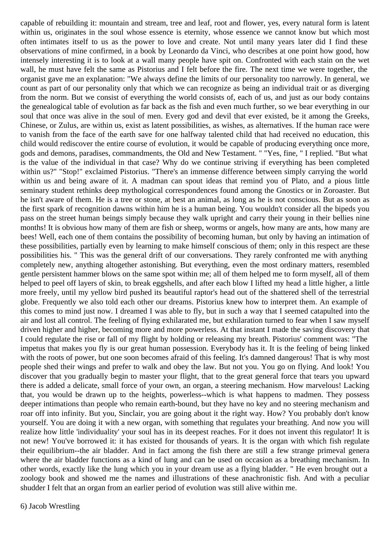capable of rebuilding it: mountain and stream, tree and leaf, root and flower, yes, every natural form is latent within us, originates in the soul whose essence is eternity, whose essence we cannot know but which most often intimates itself to us as the power to love and create. Not until many years later did I find these observations of mine confirmed, in a book by Leonardo da Vinci, who describes at one point how good, how intensely interesting it is to look at a wall many people have spit on. Confronted with each stain on the wet wall, he must have felt the same as Pistorius and I felt before the fire. The next time we were together, the organist gave me an explanation: "We always define the limits of our personality too narrowly. In general, we count as part of our personality only that which we can recognize as being an individual trait or as diverging from the norm. But we consist of everything the world consists of, each of us, and just as our body contains the genealogical table of evolution as far back as the fish and even much further, so we bear everything in our soul that once was alive in the soul of men. Every god and devil that ever existed, be it among the Greeks, Chinese, or Zulus, are within us, exist as latent possibilities, as wishes, as alternatives. If the human race were to vanish from the face of the earth save for one halfway talented child that had received no education, this child would rediscover the entire course of evolution, it would be capable of producing everything once more, gods and demons, paradises, commandments, the Old and New Testament. " "Yes, fine, "I replied. "But what is the value of the individual in that case? Why do we continue striving if everything has been completed within us?" "Stop!" exclaimed Pistorius. "There's an immense difference between simply carrying the world within us and being aware of it. A madman can spout ideas that remind you of Plato, and a pious little seminary student rethinks deep mythological correspondences found among the Gnostics or in Zoroaster. But he isn't aware of them. He is a tree or stone, at best an animal, as long as he is not conscious. But as soon as the first spark of recognition dawns within him he is a human being. You wouldn't consider all the bipeds you pass on the street human beings simply because they walk upright and carry their young in their bellies nine months! It is obvious how many of them are fish or sheep, worms or angels, how many are ants, how many are bees! Well, each one of them contains the possibility of becoming human, but only by having an intimation of these possibilities, partially even by learning to make himself conscious of them; only in this respect are these possibilities his. " This was the general drift of our conversations. They rarely confronted me with anything completely new, anything altogether astonishing. But everything, even the most ordinary matters, resembled gentle persistent hammer blows on the same spot within me; all of them helped me to form myself, all of them helped to peel off layers of skin, to break eggshells, and after each blow I lifted my head a little higher, a little more freely, until my yellow bird pushed its beautiful raptor's head out of the shattered shell of the terrestrial globe. Frequently we also told each other our dreams. Pistorius knew how to interpret them. An example of this comes to mind just now. I dreamed I was able to fly, but in such a way that I seemed catapulted into the air and lost all control. The feeling of flying exhilarated me, but exhilaration turned to fear when I saw myself driven higher and higher, becoming more and more powerless. At that instant I made the saving discovery that I could regulate the rise or fall of my flight by holding or releasing my breath. Pistorius' comment was: "The impetus that makes you fly is our great human possession. Everybody has it. It is the feeling of being linked with the roots of power, but one soon becomes afraid of this feeling. It's damned dangerous! That is why most people shed their wings and prefer to walk and obey the law. But not you. You go on flying. And look! You discover that you gradually begin to master your flight, that to the great general force that tears you upward there is added a delicate, small force of your own, an organ, a steering mechanism. How marvelous! Lacking that, you would be drawn up to the heights, powerless--which is what happens to madmen. They possess deeper intimations than people who remain earth-bound, but they have no key and no steering mechanism and roar off into infinity. But you, Sinclair, you are going about it the right way. How? You probably don't know yourself. You are doing it with a new organ, with something that regulates your breathing. And now you will realize how little 'individuality' your soul has in its deepest reaches. For it does not invent this regulator! It is not new! You've borrowed it: it has existed for thousands of years. It is the organ with which fish regulate their equilibrium--the air bladder. And in fact among the fish there are still a few strange primeval genera where the air bladder functions as a kind of lung and can be used on occasion as a breathing mechanism. In other words, exactly like the lung which you in your dream use as a flying bladder. " He even brought out a zoology book and showed me the names and illustrations of these anachronistic fish. And with a peculiar shudder I felt that an organ from an earlier period of evolution was still alive within me.

6) Jacob Wrestling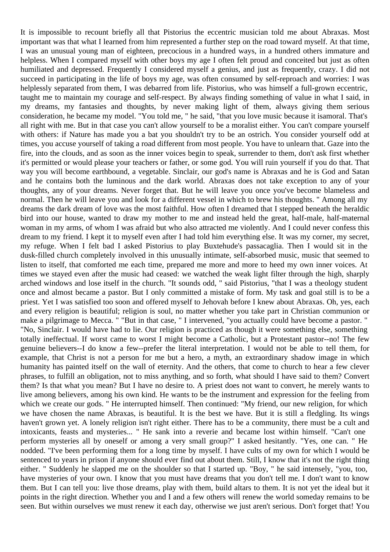It is impossible to recount briefly all that Pistorius the eccentric musician told me about Abraxas. Most important was that what I learned from him represented a further step on the road toward myself. At that time, I was an unusual young man of eighteen, precocious in a hundred ways, in a hundred others immature and helpless. When I compared myself with other boys my age I often felt proud and conceited but just as often humiliated and depressed. Frequently I considered myself a genius, and just as frequently, crazy. I did not succeed in participating in the life of boys my age, was often consumed by self-reproach and worries: I was helplessly separated from them, I was debarred from life. Pistorius, who was himself a full-grown eccentric, taught me to maintain my courage and self-respect. By always finding something of value in what I said, in my dreams, my fantasies and thoughts, by never making light of them, always giving them serious consideration, he became my model. "You told me, " he said, "that you love music because it isamoral. That's all right with me. But in that case you can't allow yourself to be a moralist either. You can't compare yourself with others: if Nature has made you a bat you shouldn't try to be an ostrich. You consider yourself odd at times, you accuse yourself of taking a road different from most people. You have to unlearn that. Gaze into the fire, into the clouds, and as soon as the inner voices begin to speak, surrender to them, don't ask first whether it's permitted or would please your teachers or father, or some god. You will ruin yourself if you do that. That way you will become earthbound, a vegetable. Sinclair, our god's name is Abraxas and he is God and Satan and he contains both the luminous and the dark world. Abraxas does not take exception to any of your thoughts, any of your dreams. Never forget that. But he will leave you once you've become blameless and normal. Then he will leave you and look for a different vessel in which to brew his thoughts. " Among all my dreams the dark dream of love was the most faithful. How often I dreamed that I stepped beneath the heraldic bird into our house, wanted to draw my mother to me and instead held the great, half-male, half-maternal woman in my arms, of whom I was afraid but who also attracted me violently. And I could never confess this dream to my friend. I kept it to myself even after I had told him everything else. It was my corner, my secret, my refuge. When I felt bad I asked Pistorius to play Buxtehude's passacaglia. Then I would sit in the dusk-filled church completely involved in this unusually intimate, self-absorbed music, music that seemed to listen to itself, that comforted me each time, prepared me more and more to heed my own inner voices. At times we stayed even after the music had ceased: we watched the weak light filter through the high, sharply arched windows and lose itself in the church. "It sounds odd, " said Pistorius, "that I was a theology student once and almost became a pastor. But I only committed a mistake of form. My task and goal still is to be a priest. Yet I was satisfied too soon and offered myself to Jehovah before I knew about Abraxas. Oh, yes, each and every religion is beautiful; religion is soul, no matter whether you take part in Christian communion or make a pilgrimage to Mecca. " "But in that case, " I intervened, "you actually could have become a pastor. " "No, Sinclair. I would have had to lie. Our religion is practiced as though it were something else, something totally ineffectual. If worst came to worst I might become a Catholic, but a Protestant pastor--no! The few genuine believers--I do know a few--prefer the literal interpretation. I would not be able to tell them, for example, that Christ is not a person for me but a hero, a myth, an extraordinary shadow image in which humanity has painted itself on the wall of eternity. And the others, that come to church to hear a few clever phrases, to fulfill an obligation, not to miss anything, and so forth, what should I have said to them? Convert them? Is that what you mean? But I have no desire to. A priest does not want to convert, he merely wants to live among believers, among his own kind. He wants to be the instrument and expression for the feeling from which we create our gods. " He interrupted himself. Then continued: "My friend, our new religion, for which we have chosen the name Abraxas, is beautiful. It is the best we have. But it is still a fledgling. Its wings haven't grown yet. A lonely religion isn't right either. There has to be a community, there must be a cult and intoxicants, feasts and mysteries... " He sank into a reverie and became lost within himself. "Can't one perform mysteries all by oneself or among a very small group?" I asked hesitantly. "Yes, one can. " He nodded. "I've been performing them for a long time by myself. I have cults of my own for which I would be sentenced to years in prison if anyone should ever find out about them. Still, I know that it's not the right thing either. " Suddenly he slapped me on the shoulder so that I started up. "Boy, " he said intensely, "you, too, have mysteries of your own. I know that you must have dreams that you don't tell me. I don't want to know them. But I can tell you: live those dreams, play with them, build altars to them. It is not yet the ideal but it points in the right direction. Whether you and I and a few others will renew the world someday remains to be seen. But within ourselves we must renew it each day, otherwise we just aren't serious. Don't forget that! You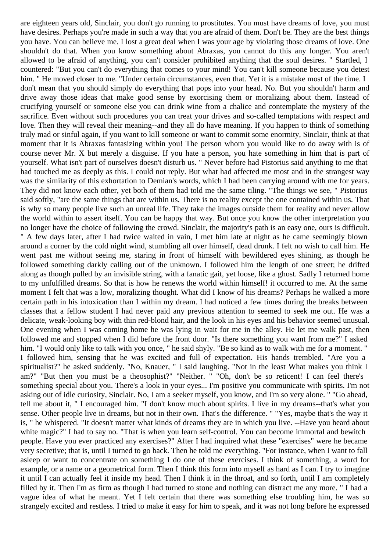are eighteen years old, Sinclair, you don't go running to prostitutes. You must have dreams of love, you must have desires. Perhaps you're made in such a way that you are afraid of them. Don't be. They are the best things you have. You can believe me. I lost a great deal when I was your age by violating those dreams of love. One shouldn't do that. When you know something about Abraxas, you cannot do this any longer. You aren't allowed to be afraid of anything, you can't consider prohibited anything that the soul desires. " Startled, I countered: "But you can't do everything that comes to your mind! You can't kill someone because you detest him. " He moved closer to me. "Under certain circumstances, even that. Yet it is a mistake most of the time. I don't mean that you should simply do everything that pops into your head. No. But you shouldn't harm and drive away those ideas that make good sense by exorcising them or moralizing about them. Instead of crucifying yourself or someone else you can drink wine from a chalice and contemplate the mystery of the sacrifice. Even without such procedures you can treat your drives and so-called temptations with respect and love. Then they will reveal their meaning--and they all do have meaning. If you happen to think of something truly mad or sinful again, if you want to kill someone or want to commit some enormity, Sinclair, think at that moment that it is Abraxas fantasizing within you! The person whom you would like to do away with is of course never Mr. X but merely a disguise. If you hate a person, you hate something in him that is part of yourself. What isn't part of ourselves doesn't disturb us. " Never before had Pistorius said anything to me that had touched me as deeply as this. I could not reply. But what had affected me most and in the strangest way was the similarity of this exhortation to Demian's words, which I had been carrying around with me for years. They did not know each other, yet both of them had told me the same tiling. "The things we see, " Pistorius said softly, "are the same things that are within us. There is no reality except the one contained within us. That is why so many people live such an unreal life. They take the images outside them for reality and never allow the world within to assert itself. You can be happy that way. But once you know the other interpretation you no longer have the choice of following the crowd. Sinclair, the majority's path is an easy one, ours is difficult. " A few days later, after I had twice waited in vain, I met him late at night as he came seemingly blown around a corner by the cold night wind, stumbling all over himself, dead drunk. I felt no wish to call him. He went past me without seeing me, staring in front of himself with bewildered eyes shining, as though he followed something darkly calling out of the unknown. I followed him the length of one street; he drifted along as though pulled by an invisible string, with a fanatic gait, yet loose, like a ghost. Sadly I returned home to my unfulfilled dreams. So that is how he renews the world within himself! it occurred to me. At the same moment I felt that was a low, moralizing thought. What did I know of his dreams? Perhaps he walked a more certain path in his intoxication than I within my dream. I had noticed a few times during the breaks between classes that a fellow student I had never paid any previous attention to seemed to seek me out. He was a delicate, weak-looking boy with thin red-blond hair, and the look in his eyes and his behavior seemed unusual. One evening when I was coming home he was lying in wait for me in the alley. He let me walk past, then followed me and stopped when I did before the front door. "Is there something you want from me?" I asked him. "I would only like to talk with you once, " he said shyly. "Be so kind as to walk with me for a moment. " I followed him, sensing that he was excited and full of expectation. His hands trembled. "Are you a spiritualist?" he asked suddenly. "No, Knauer, " I said laughing. "Not in the least What makes you think I am?" "But then you must be a theosophist?" "Neither. " "Oh, don't be so reticent! I can feel there's something special about you. There's a look in your eyes... I'm positive you communicate with spirits. I'm not asking out of idle curiosity, Sinclair. No, I am a seeker myself, you know, and I'm so very alone. " "Go ahead, tell me about it, " I encouraged him. "I don't know much about spirits. I live in my dreams--that's what you sense. Other people live in dreams, but not in their own. That's the difference. " "Yes, maybe that's the way it is, " he whispered. "It doesn't matter what kinds of dreams they are in which you live. --Have you heard about white magic?" I had to say no. "That is when you learn self-control. You can become immortal and bewitch people. Have you ever practiced any exercises?" After I had inquired what these "exercises" were he became very secretive; that is, until I turned to go back. Then he told me everything. "For instance, when I want to fall asleep or want to concentrate on something I do one of these exercises. I think of something, a word for example, or a name or a geometrical form. Then I think this form into myself as hard as I can. I try to imagine it until I can actually feel it inside my head. Then I think it in the throat, and so forth, until I am completely filled by it. Then I'm as firm as though I had turned to stone and nothing can distract me any more. " I had a vague idea of what he meant. Yet I felt certain that there was something else troubling him, he was so strangely excited and restless. I tried to make it easy for him to speak, and it was not long before he expressed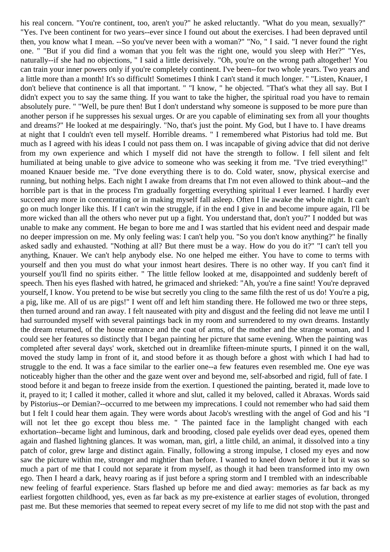his real concern. "You're continent, too, aren't you?" he asked reluctantly. "What do you mean, sexually?" "Yes. I've been continent for two years--ever since I found out about the exercises. I had been depraved until then, you know what I mean. --So you've never been with a woman?" "No, "I said. "I never found the right one. " "But if you did find a woman that you felt was the right one, would you sleep with Her?" "Yes, naturally--if she had no objections, "I said a little derisively. "Oh, you're on the wrong path altogether! You can train your inner powers only if you're completely continent. I've been--for two whole years. Two years and a little more than a month! It's so difficult! Sometimes I think I can't stand it much longer. " "Listen, Knauer, I don't believe that continence is all that important. " "I know, " he objected. "That's what they all say. But I didn't expect you to say the same thing. If you want to take the higher, the spiritual road you have to remain absolutely pure. " "Well, be pure then! But I don't understand why someone is supposed to be more pure than another person if he suppresses his sexual urges. Or are you capable of eliminating sex from all your thoughts and dreams?" He looked at me despairingly. "No, that's just the point. My God, but I have to. I have dreams at night that I couldn't even tell myself. Horrible dreams. " I remembered what Pistorius had told me. But much as I agreed with his ideas I could not pass them on. I was incapable of giving advice that did not derive from my own experience and which I myself did not have the strength to follow. I fell silent and felt humiliated at being unable to give advice to someone who was seeking it from me. "I've tried everything!" moaned Knauer beside me. "I've done everything there is to do. Cold water, snow, physical exercise and running, but nothing helps. Each night I awake from dreams that I'm not even allowed to think about--and the horrible part is that in the process I'm gradually forgetting everything spiritual I ever learned. I hardly ever succeed any more in concentrating or in making myself fall asleep. Often I lie awake the whole night. It can't go on much longer like this. If I can't win the struggle, if in the end I give in and become impure again, I'll be more wicked than all the others who never put up a fight. You understand that, don't you?" I nodded but was unable to make any comment. He began to bore me and I was startled that his evident need and despair made no deeper impression on me. My only feeling was: I can't help you. "So you don't know anything?" he finally asked sadly and exhausted. "Nothing at all? But there must be a way. How do you do it?" "I can't tell you anything, Knauer. We can't help anybody else. No one helped me either. You have to come to terms with yourself and then you must do what your inmost heart desires. There is no other way. If you can't find it yourself you'll find no spirits either. " The little fellow looked at me, disappointed and suddenly bereft of speech. Then his eyes flashed with hatred, he grimaced and shrieked: "Ah, you're a fine saint! You're depraved yourself, I know. You pretend to be wise but secretly you cling to the same filth the rest of us do! You're a pig, a pig, like me. All of us are pigs!" I went off and left him standing there. He followed me two or three steps, then turned around and ran away. I felt nauseated with pity and disgust and the feeling did not leave me until I had surrounded myself with several paintings back in my room and surrendered to my own dreams. Instantly the dream returned, of the house entrance and the coat of arms, of the mother and the strange woman, and I could see her features so distinctly that I began painting her picture that same evening. When the painting was completed after several days' work, sketched out in dreamlike fifteen-minute spurts, I pinned it on the wall, moved the study lamp in front of it, and stood before it as though before a ghost with which I had had to struggle to the end. It was a face similar to the earlier one--a few features even resembled me. One eye was noticeably higher than the other and the gaze went over and beyond me, self-absorbed and rigid, full of fate. I stood before it and began to freeze inside from the exertion. I questioned the painting, berated it, made love to it, prayed to it; I called it mother, called it whore and slut, called it my beloved, called it Abraxas. Words said by Pistorius--or Demian?--occurred to me between my imprecations. I could not remember who had said them but I felt I could hear them again. They were words about Jacob's wrestling with the angel of God and his "I will not let thee go except thou bless me. " The painted face in the lamplight changed with each exhortation--became light and luminous, dark and brooding, closed pale eyelids over dead eyes, opened them again and flashed lightning glances. It was woman, man, girl, a little child, an animal, it dissolved into a tiny patch of color, grew large and distinct again. Finally, following a strong impulse, I closed my eyes and now saw the picture within me, stronger and mightier than before. I wanted to kneel down before it but it was so much a part of me that I could not separate it from myself, as though it had been transformed into my own ego. Then I heard a dark, heavy roaring as if just before a spring storm and I trembled with an indescribable new feeling of fearful experience. Stars flashed up before me and died away: memories as far back as my earliest forgotten childhood, yes, even as far back as my pre-existence at earlier stages of evolution, thronged past me. But these memories that seemed to repeat every secret of my life to me did not stop with the past and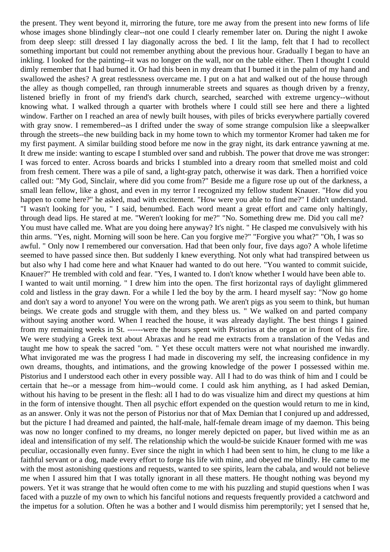the present. They went beyond it, mirroring the future, tore me away from the present into new forms of life whose images shone blindingly clear--not one could I clearly remember later on. During the night I awoke from deep sleep: still dressed I lay diagonally across the bed. I lit the lamp, felt that I had to recollect something important but could not remember anything about the previous hour. Gradually I began to have an inkling. I looked for the painting--it was no longer on the wall, nor on the table either. Then I thought I could dimly remember that I had burned it. Or had this been in my dream that I burned it in the palm of my hand and swallowed the ashes? A great restlessness overcame me. I put on a hat and walked out of the house through the alley as though compelled, ran through innumerable streets and squares as though driven by a frenzy, listened briefly in front of my friend's dark church, searched, searched with extreme urgency--without knowing what. I walked through a quarter with brothels where I could still see here and there a lighted window. Farther on I reached an area of newly built houses, with piles of bricks everywhere partially covered with gray snow. I remembered--as I drifted under the sway of some strange compulsion like a sleepwalker through the streets--the new building back in my home town to which my tormentor Kromer had taken me for my first payment. A similar building stood before me now in the gray night, its dark entrance yawning at me. It drew me inside: wanting to escape I stumbled over sand and rubbish. The power that drove me was stronger: I was forced to enter. Across boards and bricks I stumbled into a dreary room that smelled moist and cold from fresh cement. There was a pile of sand, a light-gray patch, otherwise it was dark. Then a horrified voice called out: "My God, Sinclair, where did you come from?" Beside me a figure rose up out of the darkness, a small lean fellow, like a ghost, and even in my terror I recognized my fellow student Knauer. "How did you happen to come here?" he asked, mad with excitement. "How were you able to find me?" I didn't understand. "I wasn't looking for you, " I said, benumbed. Each word meant a great effort and came only haltingly, through dead lips. He stared at me. "Weren't looking for me?" "No. Something drew me. Did you call me? You must have called me. What are you doing here anyway? It's night. " He clasped me convulsively with his thin arms. "Yes, night. Morning will soon be here. Can you forgive me?" "Forgive you what?" "Oh, I was so awful. " Only now I remembered our conversation. Had that been only four, five days ago? A whole lifetime seemed to have passed since then. But suddenly I knew everything. Not only what had transpired between us but also why I had come here and what Knauer had wanted to do out here. "You wanted to commit suicide, Knauer?" He trembled with cold and fear. "Yes, I wanted to. I don't know whether I would have been able to. I wanted to wait until morning. " I drew him into the open. The first horizontal rays of daylight glimmered cold and listless in the gray dawn. For a while I led the boy by the arm. I heard myself say: "Now go home and don't say a word to anyone! You were on the wrong path. We aren't pigs as you seem to think, but human beings. We create gods and struggle with them, and they bless us. " We walked on and parted company without saying another word. When I reached the house, it was already daylight. The best things I gained from my remaining weeks in St. ------were the hours spent with Pistorius at the organ or in front of his fire. We were studying a Greek text about Abraxas and he read me extracts from a translation of the Vedas and taught me how to speak the sacred "om. " Yet these occult matters were not what nourished me inwardly. What invigorated me was the progress I had made in discovering my self, the increasing confidence in my own dreams, thoughts, and intimations, and the growing knowledge of the power I possessed within me. Pistorius and I understood each other in every possible way. All I had to do was think of him and I could be certain that he--or a message from him--would come. I could ask him anything, as I had asked Demian, without his having to be present in the flesh: all I had to do was visualize him and direct my questions at him in the form of intensive thought. Then all psychic effort expended on the question would return to me in kind, as an answer. Only it was not the person of Pistorius nor that of Max Demian that I conjured up and addressed, but the picture I had dreamed and painted, the half-male, half-female dream image of my daemon. This being was now no longer confined to my dreams, no longer merely depicted on paper, but lived within me as an ideal and intensification of my self. The relationship which the would-be suicide Knauer formed with me was peculiar, occasionally even funny. Ever since the night in which I had been sent to him, he clung to me like a faithful servant or a dog, made every effort to forge his life with mine, and obeyed me blindly. He came to me with the most astonishing questions and requests, wanted to see spirits, learn the cabala, and would not believe me when I assured him that I was totally ignorant in all these matters. He thought nothing was beyond my powers. Yet it was strange that he would often come to me with his puzzling and stupid questions when I was faced with a puzzle of my own to which his fanciful notions and requests frequently provided a catchword and the impetus for a solution. Often he was a bother and I would dismiss him peremptorily; yet I sensed that he,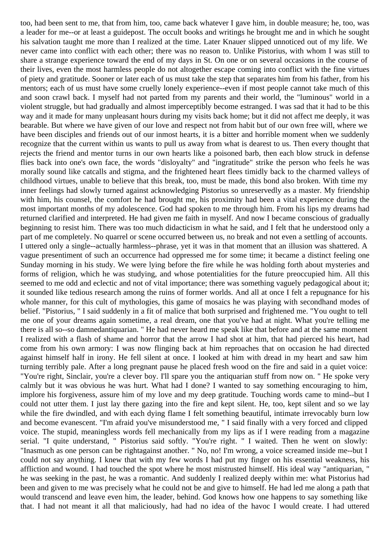too, had been sent to me, that from him, too, came back whatever I gave him, in double measure; he, too, was a leader for me--or at least a guidepost. The occult books and writings he brought me and in which he sought his salvation taught me more than I realized at the time. Later Knauer slipped unnoticed out of my life. We never came into conflict with each other; there was no reason to. Unlike Pistorius, with whom I was still to share a strange experience toward the end of my days in St. On one or on several occasions in the course of their lives, even the most harmless people do not altogether escape coming into conflict with the fine virtues of piety and gratitude. Sooner or later each of us must take the step that separates him from his father, from his mentors; each of us must have some cruelly lonely experience--even if most people cannot take much of this and soon crawl back. I myself had not parted from my parents and their world, the "luminous" world in a violent struggle, but had gradually and almost imperceptibly become estranged. I was sad that it had to be this way and it made for many unpleasant hours during my visits back home; but it did not affect me deeply, it was bearable. But where we have given of our love and respect not from habit but of our own free will, where we have been disciples and friends out of our inmost hearts, it is a bitter and horrible moment when we suddenly recognize that the current within us wants to pull us away from what is dearest to us. Then every thought that rejects the friend and mentor turns in our own hearts like a poisoned barb, then each blow struck in defense flies back into one's own face, the words "disloyalty" and "ingratitude" strike the person who feels he was morally sound like catcalls and stigma, and the frightened heart flees timidly back to the charmed valleys of childhood virtues, unable to believe that this break, too, must be made, this bond also broken. With time my inner feelings had slowly turned against acknowledging Pistorius so unreservedly as a master. My friendship with him, his counsel, the comfort he had brought me, his proximity had been a vital experience during the most important months of my adolescence. God had spoken to me through him. From his lips my dreams had returned clarified and interpreted. He had given me faith in myself. And now I became conscious of gradually beginning to resist him. There was too much didacticism in what he said, and I felt that he understood only a part of me completely. No quarrel or scene occurred between us, no break and not even a settling of accounts. I uttered only a single--actually harmless--phrase, yet it was in that moment that an illusion was shattered. A vague presentiment of such an occurrence had oppressed me for some time; it became a distinct feeling one Sunday morning in his study. We were lying before the fire while he was holding forth about mysteries and forms of religion, which he was studying, and whose potentialities for the future preoccupied him. All this seemed to me odd and eclectic and not of vital importance; there was something vaguely pedagogical about it; it sounded like tedious research among the ruins of former worlds. And all at once I felt a repugnance for his whole manner, for this cult of mythologies, this game of mosaics he was playing with secondhand modes of belief. "Pistorius, "I said suddenly in a fit of malice that both surprised and frightened me. "You ought to tell me one of your dreams again sometime, a real dream, one that you've had at night. What you're telling me there is all so--so damnedantiquarian. " He had never heard me speak like that before and at the same moment I realized with a flash of shame and horror that the arrow I had shot at him, that had pierced his heart, had come from his own armory: I was now flinging back at him reproaches that on occasion he had directed against himself half in irony. He fell silent at once. I looked at him with dread in my heart and saw him turning terribly pale. After a long pregnant pause he placed fresh wood on the fire and said in a quiet voice: "You're right, Sinclair, you're a clever boy. I'll spare you the antiquarian stuff from now on. " He spoke very calmly but it was obvious he was hurt. What had I done? I wanted to say something encouraging to him, implore his forgiveness, assure him of my love and my deep gratitude. Touching words came to mind--but I could not utter them. I just lay there gazing into the fire and kept silent. He, too, kept silent and so we lay while the fire dwindled, and with each dying flame I felt something beautiful, intimate irrevocably burn low and become evanescent. "I'm afraid you've misunderstood me, " I said finally with a very forced and clipped voice. The stupid, meaningless words fell mechanically from my lips as if I were reading from a magazine serial. "I quite understand, " Pistorius said softly. "You're right. " I waited. Then he went on slowly: "Inasmuch as one person can be rightagainst another. " No, no! I'm wrong, a voice screamed inside me--but I could not say anything. I knew that with my few words I had put my finger on his essential weakness, his affliction and wound. I had touched the spot where he most mistrusted himself. His ideal way "antiquarian, " he was seeking in the past, he was a romantic. And suddenly I realized deeply within me: what Pistorius had been and given to me was precisely what he could not be and give to himself. He had led me along a path that would transcend and leave even him, the leader, behind. God knows how one happens to say something like that. I had not meant it all that maliciously, had had no idea of the havoc I would create. I had uttered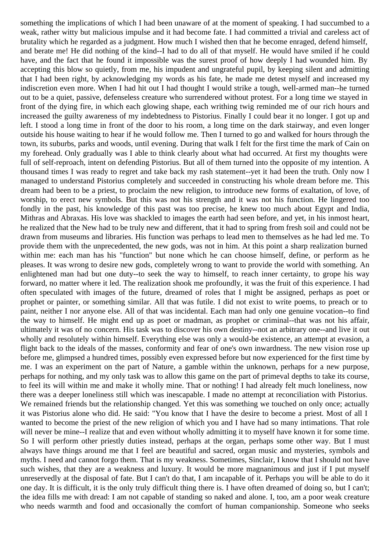something the implications of which I had been unaware of at the moment of speaking. I had succumbed to a weak, rather witty but malicious impulse and it had become fate. I had committed a trivial and careless act of brutality which he regarded as a judgment. How much I wished then that he become enraged, defend himself, and berate me! He did nothing of the kind--I had to do all of that myself. He would have smiled if he could have, and the fact that he found it impossible was the surest proof of how deeply I had wounded him. By accepting this blow so quietly, from me, his impudent and ungrateful pupil, by keeping silent and admitting that I had been right, by acknowledging my words as his fate, he made me detest myself and increased my indiscretion even more. When I had hit out I had thought I would strike a tough, well-armed man--he turned out to be a quiet, passive, defenseless creature who surrendered without protest. For a long time we stayed in front of the dying fire, in which each glowing shape, each writhing twig reminded me of our rich hours and increased the guilty awareness of my indebtedness to Pistorius. Finally I could bear it no longer. I got up and left. I stood a long time in front of the door to his room, a long time on the dark stairway, and even longer outside his house waiting to hear if he would follow me. Then I turned to go and walked for hours through the town, its suburbs, parks and woods, until evening. During that walk I felt for the first time the mark of Cain on my forehead. Only gradually was I able to think clearly about what had occurred. At first my thoughts were full of self-reproach, intent on defending Pistorius. But all of them turned into the opposite of my intention. A thousand times I was ready to regret and take back my rash statement--yet it had been the truth. Only now I managed to understand Pistorius completely and succeeded in constructing his whole dream before me. This dream had been to be a priest, to proclaim the new religion, to introduce new forms of exaltation, of love, of worship, to erect new symbols. But this was not his strength and it was not his function. He lingered too fondly in the past, his knowledge of this past was too precise, he knew too much about Egypt and India, Mithras and Abraxas. His love was shackled to images the earth had seen before, and yet, in his inmost heart, he realized that the New had to be truly new and different, that it had to spring from fresh soil and could not be drawn from museums and libraries. His function was perhaps to lead men to themselves as he had led me. To provide them with the unprecedented, the new gods, was not in him. At this point a sharp realization burned within me: each man has his "function" but none which he can choose himself, define, or perform as he pleases. It was wrong to desire new gods, completely wrong to want to provide the world with something. An enlightened man had but one duty--to seek the way to himself, to reach inner certainty, to grope his way forward, no matter where it led. The realization shook me profoundly, it was the fruit of this experience. I had often speculated with images of the future, dreamed of roles that I might be assigned, perhaps as poet or prophet or painter, or something similar. All that was futile. I did not exist to write poems, to preach or to paint, neither I nor anyone else. All of that was incidental. Each man had only one genuine vocation--to find the way to himself. He might end up as poet or madman, as prophet or criminal--that was not his affair, ultimately it was of no concern. His task was to discover his own destiny--not an arbitrary one--and live it out wholly and resolutely within himself. Everything else was only a would-be existence, an attempt at evasion, a flight back to the ideals of the masses, conformity and fear of one's own inwardness. The new vision rose up before me, glimpsed a hundred times, possibly even expressed before but now experienced for the first time by me. I was an experiment on the part of Nature, a gamble within the unknown, perhaps for a new purpose, perhaps for nothing, and my only task was to allow this game on the part of primeval depths to take its course, to feel its will within me and make it wholly mine. That or nothing! I had already felt much loneliness, now there was a deeper loneliness still which was inescapable. I made no attempt at reconciliation with Pistorius. We remained friends but the relationship changed. Yet this was something we touched on only once; actually it was Pistorius alone who did. He said: "You know that I have the desire to become a priest. Most of all I wanted to become the priest of the new religion of which you and I have had so many intimations. That role will never be mine--I realize that and even without wholly admitting it to myself have known it for some time. So I will perform other priestly duties instead, perhaps at the organ, perhaps some other way. But I must always have things around me that I feel are beautiful and sacred, organ music and mysteries, symbols and myths. I need and cannot forgo them. That is my weakness. Sometimes, Sinclair, I know that I should not have such wishes, that they are a weakness and luxury. It would be more magnanimous and just if I put myself unreservedly at the disposal of fate. But I can't do that, I am incapable of it. Perhaps you will be able to do it one day. It is difficult, it is the only truly difficult thing there is. I have often dreamed of doing so, but I can't; the idea fills me with dread: I am not capable of standing so naked and alone. I, too, am a poor weak creature who needs warmth and food and occasionally the comfort of human companionship. Someone who seeks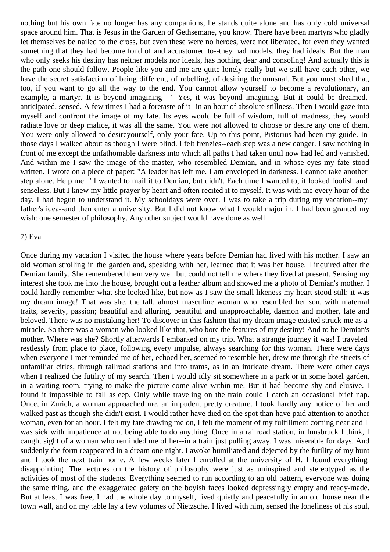nothing but his own fate no longer has any companions, he stands quite alone and has only cold universal space around him. That is Jesus in the Garden of Gethsemane, you know. There have been martyrs who gladly let themselves be nailed to the cross, but even these were no heroes, were not liberated, for even they wanted something that they had become fond of and accustomed to--they had models, they had ideals. But the man who only seeks his destiny has neither models nor ideals, has nothing dear and consoling! And actually this is the path one should follow. People like you and me are quite lonely really but we still have each other, we have the secret satisfaction of being different, of rebelling, of desiring the unusual. But you must shed that, too, if you want to go all the way to the end. You cannot allow yourself to become a revolutionary, an example, a martyr. It is beyond imagining --" Yes, it was beyond imagining. But it could be dreamed, anticipated, sensed. A few times I had a foretaste of it--in an hour of absolute stillness. Then I would gaze into myself and confront the image of my fate. Its eyes would be full of wisdom, full of madness, they would radiate love or deep malice, it was all the same. You were not allowed to choose or desire any one of them. You were only allowed to desireyourself, only your fate. Up to this point, Pistorius had been my guide. In those days I walked about as though I were blind. I felt frenzies--each step was a new danger. I saw nothing in front of me except the unfathomable darkness into which all paths I had taken until now had led and vanished. And within me I saw the image of the master, who resembled Demian, and in whose eyes my fate stood written. I wrote on a piece of paper: "A leader has left me. I am enveloped in darkness. I cannot take another step alone. Help me. " I wanted to mail it to Demian, but didn't. Each time I wanted to, it looked foolish and senseless. But I knew my little prayer by heart and often recited it to myself. It was with me every hour of the day. I had begun to understand it. My schooldays were over. I was to take a trip during my vacation--my father's idea--and then enter a university. But I did not know what I would major in. I had been granted my wish: one semester of philosophy. Any other subject would have done as well.

### 7) Eva

Once during my vacation I visited the house where years before Demian had lived with his mother. I saw an old woman strolling in the garden and, speaking with her, learned that it was her house. I inquired after the Demian family. She remembered them very well but could not tell me where they lived at present. Sensing my interest she took me into the house, brought out a leather album and showed me a photo of Demian's mother. I could hardly remember what she looked like, but now as I saw the small likeness my heart stood still: it was my dream image! That was she, the tall, almost masculine woman who resembled her son, with maternal traits, severity, passion; beautiful and alluring, beautiful and unapproachable, daemon and mother, fate and beloved. There was no mistaking her! To discover in this fashion that my dream image existed struck me as a miracle. So there was a woman who looked like that, who bore the features of my destiny! And to be Demian's mother. Where was she? Shortly afterwards I embarked on my trip. What a strange journey it was! I traveled restlessly from place to place, following every impulse, always searching for this woman. There were days when everyone I met reminded me of her, echoed her, seemed to resemble her, drew me through the streets of unfamiliar cities, through railroad stations and into trams, as in an intricate dream. There were other days when I realized the futility of my search. Then I would idly sit somewhere in a park or in some hotel garden, in a waiting room, trying to make the picture come alive within me. But it had become shy and elusive. I found it impossible to fall asleep. Only while traveling on the train could I catch an occasional brief nap. Once, in Zurich, a woman approached me, an impudent pretty creature. I took hardly any notice of her and walked past as though she didn't exist. I would rather have died on the spot than have paid attention to another woman, even for an hour. I felt my fate drawing me on, I felt the moment of my fulfillment coming near and I was sick with impatience at not being able to do anything. Once in a railroad station, in Innsbruck I think, I caught sight of a woman who reminded me of her--in a train just pulling away. I was miserable for days. And suddenly the form reappeared in a dream one night. I awoke humiliated and dejected by the futility of my hunt and I took the next train home. A few weeks later I enrolled at the university of H. I found everything disappointing. The lectures on the history of philosophy were just as uninspired and stereotyped as the activities of most of the students. Everything seemed to run according to an old pattern, everyone was doing the same thing, and the exaggerated gaiety on the boyish faces looked depressingly empty and ready-made. But at least I was free, I had the whole day to myself, lived quietly and peacefully in an old house near the town wall, and on my table lay a few volumes of Nietzsche. I lived with him, sensed the loneliness of his soul,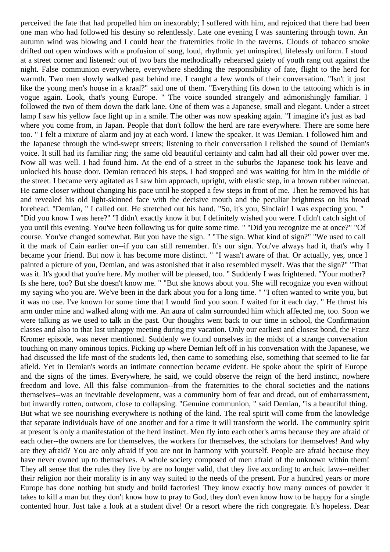perceived the fate that had propelled him on inexorably; I suffered with him, and rejoiced that there had been one man who had followed his destiny so relentlessly. Late one evening I was sauntering through town. An autumn wind was blowing and I could hear the fraternities frolic in the taverns. Clouds of tobacco smoke drifted out open windows with a profusion of song, loud, rhythmic yet uninspired, lifelessly uniform. I stood at a street corner and listened: out of two bars the methodically rehearsed gaiety of youth rang out against the night. False communion everywhere, everywhere shedding the responsibility of fate, flight to the herd for warmth. Two men slowly walked past behind me. I caught a few words of their conversation. "Isn't it just like the young men's house in a kraal?" said one of them. "Everything fits down to the tattooing which is in vogue again. Look, that's young Europe. " The voice sounded strangely and admonishingly familiar. I followed the two of them down the dark lane. One of them was a Japanese, small and elegant. Under a street lamp I saw his yellow face light up in a smile. The other was now speaking again. "I imagine it's just as bad where you come from, in Japan. People that don't follow the herd are rare everywhere. There are some here too. " I felt a mixture of alarm and joy at each word. I knew the speaker. It was Demian. I followed him and the Japanese through the wind-swept streets; listening to their conversation I relished the sound of Demian's voice. It still had its familiar ring; the same old beautiful certainty and calm had all their old power over me. Now all was well. I had found him. At the end of a street in the suburbs the Japanese took his leave and unlocked his house door. Demian retraced his steps, I had stopped and was waiting for him in the middle of the street. I became very agitated as I saw him approach, upright, with elastic step, in a brown rubber raincoat. He came closer without changing his pace until he stopped a few steps in front of me. Then he removed his hat and revealed his old light-skinned face with the decisive mouth and the peculiar brightness on his broad forehead. "Demian, " I called out. He stretched out his hand. "So, it's you, Sinclair! I was expecting you. " "Did you know I was here?" "I didn't exactly know it but I definitely wished you were. I didn't catch sight of you until this evening. You've been following us for quite some time. " "Did you recognize me at once?" "Of course. You've changed somewhat. But you have the sign. " "The sign. What kind of sign?" "We used to call it the mark of Cain earlier on--if you can still remember. It's our sign. You've always had it, that's why I became your friend. But now it has become more distinct. " "I wasn't aware of that. Or actually, yes, once I painted a picture of you, Demian, and was astonished that it also resembled myself. Was that the sign?" "That was it. It's good that you're here. My mother will be pleased, too. " Suddenly I was frightened. "Your mother? Is she here, too? But she doesn't know me. " "But she knows about you. She will recognize you even without my saying who you are. We've been in the dark about you for a long time. " "I often wanted to write you, but it was no use. I've known for some time that I would find you soon. I waited for it each day. " He thrust his arm under mine and walked along with me. An aura of calm surrounded him which affected me, too. Soon we were talking as we used to talk in the past. Our thoughts went back to our time in school, the Confirmation classes and also to that last unhappy meeting during my vacation. Only our earliest and closest bond, the Franz Kromer episode, was never mentioned. Suddenly we found ourselves in the midst of a strange conversation touching on many ominous topics. Picking up where Demian left off in his conversation with the Japanese, we had discussed the life most of the students led, then came to something else, something that seemed to lie far afield. Yet in Demian's words an intimate connection became evident. He spoke about the spirit of Europe and the signs of the times. Everywhere, he said, we could observe the reign of the herd instinct, nowhere freedom and love. All this false communion--from the fraternities to the choral societies and the nations themselves--was an inevitable development, was a community born of fear and dread, out of embarrassment, but inwardly rotten, outworn, close to collapsing. "Genuine communion, " said Demian, "is a beautiful thing. But what we see nourishing everywhere is nothing of the kind. The real spirit will come from the knowledge that separate individuals have of one another and for a time it will transform the world. The community spirit at present is only a manifestation of the herd instinct. Men fly into each other's arms because they are afraid of each other--the owners are for themselves, the workers for themselves, the scholars for themselves! And why are they afraid? You are only afraid if you are not in harmony with yourself. People are afraid because they have never owned up to themselves. A whole society composed of men afraid of the unknown within them! They all sense that the rules they live by are no longer valid, that they live according to archaic laws--neither their religion nor their morality is in any way suited to the needs of the present. For a hundred years or more Europe has done nothing but study and build factories! They know exactly how many ounces of powder it takes to kill a man but they don't know how to pray to God, they don't even know how to be happy for a single contented hour. Just take a look at a student dive! Or a resort where the rich congregate. It's hopeless. Dear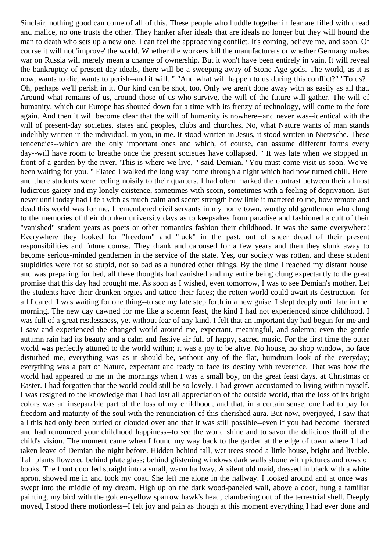Sinclair, nothing good can come of all of this. These people who huddle together in fear are filled with dread and malice, no one trusts the other. They hanker after ideals that are ideals no longer but they will hound the man to death who sets up a new one. I can feel the approaching conflict. It's coming, believe me, and soon. Of course it will not 'improve' the world. Whether the workers kill the manufacturers or whether Germany makes war on Russia will merely mean a change of ownership. But it won't have been entirely in vain. It will reveal the bankruptcy of present-day ideals, there will be a sweeping away of Stone Age gods. The world, as it is now, wants to die, wants to perish--and it will. " "And what will happen to us during this conflict?" "To us? Oh, perhaps we'll perish in it. Our kind can be shot, too. Only we aren't done away with as easily as all that. Around what remains of us, around those of us who survive, the will of the future will gather. The will of humanity, which our Europe has shouted down for a time with its frenzy of technology, will come to the fore again. And then it will become clear that the will of humanity is nowhere--and never was--identical with the will of present-day societies, states and peoples, clubs and churches. No, what Nature wants of man stands indelibly written in the individual, in you, in me. It stood written in Jesus, it stood written in Nietzsche. These tendencies--which are the only important ones and which, of course, can assume different forms every day--will have room to breathe once the present societies have collapsed. "It was late when we stopped in front of a garden by the river. 'This is where we live, " said Demian. "You must come visit us soon. We've been waiting for you. " Elated I walked the long way home through a night which had now turned chill. Here and there students were reeling noisily to their quarters. I had often marked the contrast between their almost ludicrous gaiety and my lonely existence, sometimes with scorn, sometimes with a feeling of deprivation. But never until today had I felt with as much calm and secret strength how little it mattered to me, how remote and dead this world was for me. I remembered civil servants in my home town, worthy old gentlemen who clung to the memories of their drunken university days as to keepsakes from paradise and fashioned a cult of their "vanished" student years as poets or other romantics fashion their childhood. It was the same everywhere! Everywhere they looked for "freedom" and "luck" in the past, out of sheer dread of their present responsibilities and future course. They drank and caroused for a few years and then they slunk away to become serious-minded gentlemen in the service of the state. Yes, our society was rotten, and these student stupidities were not so stupid, not so bad as a hundred other things. By the time I reached my distant house and was preparing for bed, all these thoughts had vanished and my entire being clung expectantly to the great promise that this day had brought me. As soon as I wished, even tomorrow, I was to see Demian's mother. Let the students have their drunken orgies and tattoo their faces; the rotten world could await its destruction--for all I cared. I was waiting for one thing--to see my fate step forth in a new guise. I slept deeply until late in the morning. The new day dawned for me like a solemn feast, the kind I had not experienced since childhood. I was full of a great restlessness, yet without fear of any kind. I felt that an important day had begun for me and I saw and experienced the changed world around me, expectant, meaningful, and solemn; even the gentle autumn rain had its beauty and a calm and festive air full of happy, sacred music. For the first time the outer world was perfectly attuned to the world within; it was a joy to be alive. No house, no shop window, no face disturbed me, everything was as it should be, without any of the flat, humdrum look of the everyday; everything was a part of Nature, expectant and ready to face its destiny with reverence. That was how the world had appeared to me in the mornings when I was a small boy, on the great feast days, at Christmas or Easter. I had forgotten that the world could still be so lovely. I had grown accustomed to living within myself. I was resigned to the knowledge that I had lost all appreciation of the outside world, that the loss of its bright colors was an inseparable part of the loss of my childhood, and that, in a certain sense, one had to pay for freedom and maturity of the soul with the renunciation of this cherished aura. But now, overjoyed, I saw that all this had only been buried or clouded over and that it was still possible--even if you had become liberated and had renounced your childhood happiness--to see the world shine and to savor the delicious thrill of the child's vision. The moment came when I found my way back to the garden at the edge of town where I had taken leave of Demian the night before. Hidden behind tall, wet trees stood a little house, bright and livable. Tall plants flowered behind plate glass; behind glistening windows dark walls shone with pictures and rows of books. The front door led straight into a small, warm hallway. A silent old maid, dressed in black with a white apron, showed me in and took my coat. She left me alone in the hallway. I looked around and at once was swept into the middle of my dream. High up on the dark wood-paneled wall, above a door, hung a familiar painting, my bird with the golden-yellow sparrow hawk's head, clambering out of the terrestrial shell. Deeply moved, I stood there motionless--I felt joy and pain as though at this moment everything I had ever done and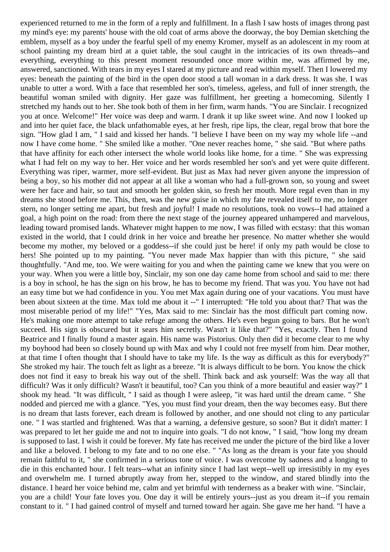experienced returned to me in the form of a reply and fulfillment. In a flash I saw hosts of images throng past my mind's eye: my parents' house with the old coat of arms above the doorway, the boy Demian sketching the emblem, myself as a boy under the fearful spell of my enemy Kromer, myself as an adolescent in my room at school painting my dream bird at a quiet table, the soul caught in the intricacies of its own threads--and everything, everything to this present moment resounded once more within me, was affirmed by me, answered, sanctioned. With tears in my eyes I stared at my picture and read within myself. Then I lowered my eyes: beneath the painting of the bird in the open door stood a tall woman in a dark dress. It was she. I was unable to utter a word. With a face that resembled her son's, timeless, ageless, and full of inner strength, the beautiful woman smiled with dignity. Her gaze was fulfillment, her greeting a homecoming. Silently I stretched my hands out to her. She took both of them in her firm, warm hands. "You are Sinclair. I recognized you at once. Welcome!" Her voice was deep and warm. I drank it up like sweet wine. And now I looked up and into her quiet face, the black unfathomable eyes, at her fresh, ripe lips, the clear, regal brow that bore the sign. "How glad I am, " I said and kissed her hands. "I believe I have been on my way my whole life --and now I have come home. " She smiled like a mother. "One never reaches home, " she said. "But where paths that have affinity for each other intersect the whole world looks like home, for a time. " She was expressing what I had felt on my way to her. Her voice and her words resembled her son's and yet were quite different. Everything was riper, warmer, more self-evident. But just as Max had never given anyone the impression of being a boy, so his mother did not appear at all like a woman who had a full-grown son, so young and sweet were her face and hair, so taut and smooth her golden skin, so fresh her mouth. More regal even than in my dreams she stood before me. This, then, was the new guise in which my fate revealed itself to me, no longer stern, no longer setting me apart, but fresh and joyful! I made no resolutions, took no vows--I had attained a goal, a high point on the road: from there the next stage of the journey appeared unhampered and marvelous, leading toward promised lands. Whatever might happen to me now, I was filled with ecstasy: that this woman existed in the world, that I could drink in her voice and breathe her presence. No matter whether she would become my mother, my beloved or a goddess--if she could just be here! if only my path would be close to hers! She pointed up to my painting. "You never made Max happier than with this picture, " she said thoughtfully. "And me, too. We were waiting for you and when the painting came we knew that you were on your way. When you were a little boy, Sinclair, my son one day came home from school and said to me: there is a boy in school, he has the sign on his brow, he has to become my friend. That was you. You have not had an easy time but we had confidence in you. You met Max again during one of your vacations. You must have been about sixteen at the time. Max told me about it --" I interrupted: "He told you about that? That was the most miserable period of my life!" "Yes, Max said to me: Sinclair has the most difficult part coming now. He's making one more attempt to take refuge among the others. He's even begun going to bars. But he won't succeed. His sign is obscured but it sears him secretly. Wasn't it like that?" "Yes, exactly. Then I found Beatrice and I finally found a master again. His name was Pistorius. Only then did it become clear to me why my boyhood had been so closely bound up with Max and why I could not free myself from him. Dear mother, at that time I often thought that I should have to take my life. Is the way as difficult as this for everybody?" She stroked my hair. The touch felt as light as a breeze. "It is always difficult to be born. You know the chick does not find it easy to break his way out of the shell. Think back and ask yourself: Was the way all that difficult? Was it only difficult? Wasn't it beautiful, too? Can you think of a more beautiful and easier way?" I shook my head. "It was difficult, " I said as though I were asleep, "it was hard until the dream came. " She nodded and pierced me with a glance. "Yes, you must find your dream, then the way becomes easy. But there is no dream that lasts forever, each dream is followed by another, and one should not cling to any particular one. " I was startled and frightened. Was that a warning, a defensive gesture, so soon? But it didn't matter: I was prepared to let her guide me and not to inquire into goals. "I do not know, "I said, "how long my dream is supposed to last. I wish it could be forever. My fate has received me under the picture of the bird like a lover and like a beloved. I belong to my fate and to no one else. " "As long as the dream is your fate you should remain faithful to it, " she confirmed in a serious tone of voice. I was overcome by sadness and a longing to die in this enchanted hour. I felt tears--what an infinity since I had last wept--well up irresistibly in my eyes and overwhelm me. I turned abruptly away from her, stepped to the window, and stared blindly into the distance. I heard her voice behind me, calm and yet brimful with tenderness as a beaker with wine. "Sinclair, you are a child! Your fate loves you. One day it will be entirely yours--just as you dream it--if you remain constant to it. " I had gained control of myself and turned toward her again. She gave me her hand. "I have a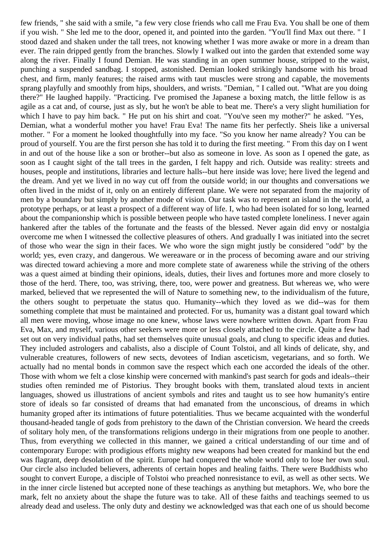few friends, " she said with a smile, "a few very close friends who call me Frau Eva. You shall be one of them if you wish. " She led me to the door, opened it, and pointed into the garden. "You'll find Max out there." I stood dazed and shaken under the tall trees, not knowing whether I was more awake or more in a dream than ever. The rain dripped gently from the branches. Slowly I walked out into the garden that extended some way along the river. Finally I found Demian. He was standing in an open summer house, stripped to the waist, punching a suspended sandbag. I stopped, astonished. Demian looked strikingly handsome with his broad chest, and firm, manly features; the raised arms with taut muscles were strong and capable, the movements sprang playfully and smoothly from hips, shoulders, and wrists. "Demian, " I called out. "What are you doing there?" He laughed happily. "Practicing. I've promised the Japanese a boxing match, the little fellow is as agile as a cat and, of course, just as sly, but he won't be able to beat me. There's a very slight humiliation for which I have to pay him back. " He put on his shirt and coat. "You've seen my mother?" he asked. "Yes, Demian, what a wonderful mother you have! Frau Eva! The name fits her perfectly. Sheis like a universal mother. " For a moment he looked thoughtfully into my face. "So you know her name already? You can be proud of yourself. You are the first person she has told it to during the first meeting. " From this day on I went in and out of the house like a son or brother--but also as someone in love. As soon as I opened the gate, as soon as I caught sight of the tall trees in the garden, I felt happy and rich. Outside was reality: streets and houses, people and institutions, libraries and lecture halls--but here inside was love; here lived the legend and the dream. And yet we lived in no way cut off from the outside world; in our thoughts and conversations we often lived in the midst of it, only on an entirely different plane. We were not separated from the majority of men by a boundary but simply by another mode of vision. Our task was to represent an island in the world, a prototype perhaps, or at least a prospect of a different way of life. I, who had been isolated for so long, learned about the companionship which is possible between people who have tasted complete loneliness. I never again hankered after the tables of the fortunate and the feasts of the blessed. Never again did envy or nostalgia overcome me when I witnessed the collective pleasures of others. And gradually I was initiated into the secret of those who wear the sign in their faces. We who wore the sign might justly be considered "odd" by the world; yes, even crazy, and dangerous. We wereaware or in the process of becoming aware and our striving was directed toward achieving a more and more complete state of awareness while the striving of the others was a quest aimed at binding their opinions, ideals, duties, their lives and fortunes more and more closely to those of the herd. There, too, was striving, there, too, were power and greatness. But whereas we, who were marked, believed that we represented the will of Nature to something new, to the individualism of the future, the others sought to perpetuate the status quo. Humanity--which they loved as we did--was for them something complete that must be maintained and protected. For us, humanity was a distant goal toward which all men were moving, whose image no one knew, whose laws were nowhere written down. Apart from Frau Eva, Max, and myself, various other seekers were more or less closely attached to the circle. Quite a few had set out on very individual paths, had set themselves quite unusual goals, and clung to specific ideas and duties. They included astrologers and cabalists, also a disciple of Count Tolstoi, and all kinds of delicate, shy, and vulnerable creatures, followers of new sects, devotees of Indian asceticism, vegetarians, and so forth. We actually had no mental bonds in common save the respect which each one accorded the ideals of the other. Those with whom we felt a close kinship were concerned with mankind's past search for gods and ideals--their studies often reminded me of Pistorius. They brought books with them, translated aloud texts in ancient languages, showed us illustrations of ancient symbols and rites and taught us to see how humanity's entire store of ideals so far consisted of dreams that had emanated from the unconscious, of dreams in which humanity groped after its intimations of future potentialities. Thus we became acquainted with the wonderful thousand-headed tangle of gods from prehistory to the dawn of the Christian conversion. We heard the creeds of solitary holy men, of the transformations religions undergo in their migrations from one people to another. Thus, from everything we collected in this manner, we gained a critical understanding of our time and of contemporary Europe: with prodigious efforts mighty new weapons had been created for mankind but the end was flagrant, deep desolation of the spirit. Europe had conquered the whole world only to lose her own soul. Our circle also included believers, adherents of certain hopes and healing faiths. There were Buddhists who sought to convert Europe, a disciple of Tolstoi who preached nonresistance to evil, as well as other sects. We in the inner circle listened but accepted none of these teachings as anything but metaphors. We, who bore the mark, felt no anxiety about the shape the future was to take. All of these faiths and teachings seemed to us already dead and useless. The only duty and destiny we acknowledged was that each one of us should become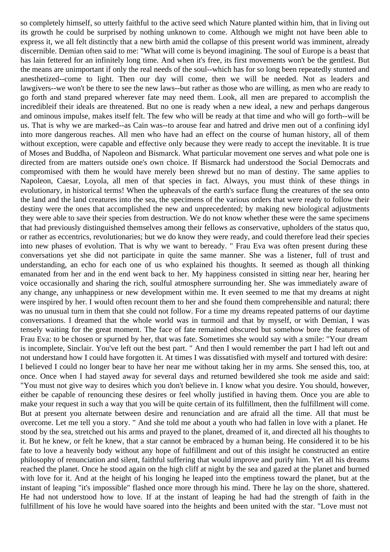so completely himself, so utterly faithful to the active seed which Nature planted within him, that in living out its growth he could be surprised by nothing unknown to come. Although we might not have been able to express it, we all felt distinctly that a new birth amid the collapse of this present world was imminent, already discernible. Demian often said to me: "What will come is beyond imagining. The soul of Europe is a beast that has lain fettered for an infinitely long time. And when it's free, its first movements won't be the gentlest. But the means are unimportant if only the real needs of the soul--which has for so long been repeatedly stunted and anesthetized--come to light. Then our day will come, then we will be needed. Not as leaders and lawgivers--we won't be there to see the new laws--but rather as those who are willing, as men who are ready to go forth and stand prepared wherever fate may need them. Look, all men are prepared to accomplish the incredibleif their ideals are threatened. But no one is ready when a new ideal, a new and perhaps dangerous and ominous impulse, makes itself felt. The few who will be ready at that time and who will go forth--will be us. That is why we are marked--as Cain was--to arouse fear and hatred and drive men out of a confining idyl into more dangerous reaches. All men who have had an effect on the course of human history, all of them without exception, were capable and effective only because they were ready to accept the inevitable. It is true of Moses and Buddha, of Napoleon and Bismarck. What particular movement one serves and what pole one is directed from are matters outside one's own choice. If Bismarck had understood the Social Democrats and compromised with them he would have merely been shrewd but no man of destiny. The same applies to Napoleon, Caesar, Loyola, all men of that species in fact. Always, you must think of these things in evolutionary, in historical terms! When the upheavals of the earth's surface flung the creatures of the sea onto the land and the land creatures into the sea, the specimens of the various orders that were ready to follow their destiny were the ones that accomplished the new and unprecedented; by making new biological adjustments they were able to save their species from destruction. We do not know whether these were the same specimens that had previously distinguished themselves among their fellows as conservative, upholders of the status quo, or rather as eccentrics, revolutionaries; but we do know they were ready, and could therefore lead their species into new phases of evolution. That is why we want to beready. " Frau Eva was often present during these conversations yet she did not participate in quite the same manner. She was a listener, full of trust and understanding, an echo for each one of us who explained his thoughts. It seemed as though all thinking emanated from her and in the end went back to her. My happiness consisted in sitting near her, hearing her voice occasionally and sharing the rich, soulful atmosphere surrounding her. She was immediately aware of any change, any unhappiness or new development within me. It even seemed to me that my dreams at night were inspired by her. I would often recount them to her and she found them comprehensible and natural; there was no unusual turn in them that she could not follow. For a time my dreams repeated patterns of our daytime conversations. I dreamed that the whole world was in turmoil and that by myself, or with Demian, I was tensely waiting for the great moment. The face of fate remained obscured but somehow bore the features of Frau Eva: to be chosen or spurned by her, that was fate. Sometimes she would say with a smile: "Your dream is incomplete, Sinclair. You've left out the best part. " And then I would remember the part I had left out and not understand how I could have forgotten it. At times I was dissatisfied with myself and tortured with desire: I believed I could no longer bear to have her near me without taking her in my arms. She sensed this, too, at once. Once when I had stayed away for several days and returned bewildered she took me aside and said: "You must not give way to desires which you don't believe in. I know what you desire. You should, however, either be capable of renouncing these desires or feel wholly justified in having them. Once you are able to make your request in such a way that you will be quite certain of its fulfillment, then the fulfillment will come. But at present you alternate between desire and renunciation and are afraid all the time. All that must be overcome. Let me tell you a story. " And she told me about a youth who had fallen in love with a planet. He stood by the sea, stretched out his arms and prayed to the planet, dreamed of it, and directed all his thoughts to it. But he knew, or felt he knew, that a star cannot be embraced by a human being. He considered it to be his fate to love a heavenly body without any hope of fulfillment and out of this insight he constructed an entire philosophy of renunciation and silent, faithful suffering that would improve and purify him. Yet all his dreams reached the planet. Once he stood again on the high cliff at night by the sea and gazed at the planet and burned with love for it. And at the height of his longing he leaped into the emptiness toward the planet, but at the instant of leaping "it's impossible" flashed once more through his mind. There he lay on the shore, shattered. He had not understood how to love. If at the instant of leaping he had had the strength of faith in the fulfillment of his love he would have soared into the heights and been united with the star. "Love must not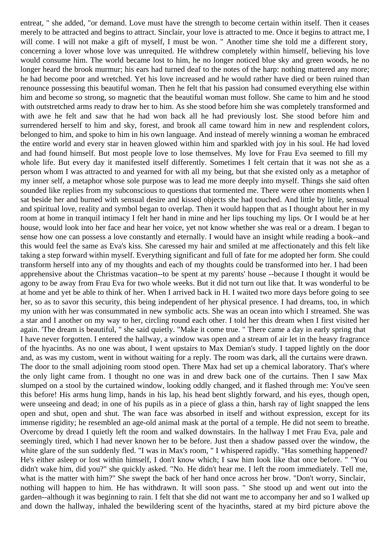entreat, " she added, "or demand. Love must have the strength to become certain within itself. Then it ceases merely to be attracted and begins to attract. Sinclair, your love is attracted to me. Once it begins to attract me, I will come. I will not make a gift of myself, I must be won. " Another time she told me a different story, concerning a lover whose love was unrequited. He withdrew completely within himself, believing his love would consume him. The world became lost to him, he no longer noticed blue sky and green woods, he no longer heard the brook murmur; his ears had turned deaf to the notes of the harp: nothing mattered any more; he had become poor and wretched. Yet his love increased and he would rather have died or been ruined than renounce possessing this beautiful woman. Then he felt that his passion had consumed everything else within him and become so strong, so magnetic that the beautiful woman must follow. She came to him and he stood with outstretched arms ready to draw her to him. As she stood before him she was completely transformed and with awe he felt and saw that he had won back all he had previously lost. She stood before him and surrendered herself to him and sky, forest, and brook all came toward him in new and resplendent colors, belonged to him, and spoke to him in his own language. And instead of merely winning a woman he embraced the entire world and every star in heaven glowed within him and sparkled with joy in his soul. He had loved and had found himself. But most people love to lose themselves. My love for Frau Eva seemed to fill my whole life. But every day it manifested itself differently. Sometimes I felt certain that it was not she as a person whom I was attracted to and yearned for with all my being, but that she existed only as a metaphor of my inner self, a metaphor whose sole purpose was to lead me more deeply into myself. Things she said often sounded like replies from my subconscious to questions that tormented me. There were other moments when I sat beside her and burned with sensual desire and kissed objects she had touched. And little by little, sensual and spiritual love, reality and symbol began to overlap. Then it would happen that as I thought about her in my room at home in tranquil intimacy I felt her hand in mine and her lips touching my lips. Or I would be at her house, would look into her face and hear her voice, yet not know whether she was real or a dream. I began to sense how one can possess a love constantly and eternally. I would have an insight while reading a book--and this would feel the same as Eva's kiss. She caressed my hair and smiled at me affectionately and this felt like taking a step forward within myself. Everything significant and full of fate for me adopted her form. She could transform herself into any of my thoughts and each of my thoughts could be transformed into her. I had been apprehensive about the Christmas vacation--to be spent at my parents' house --because I thought it would be agony to be away from Frau Eva for two whole weeks. But it did not turn out like that. It was wonderful to be at home and yet be able to think of her. When I arrived back in H. I waited two more days before going to see her, so as to savor this security, this being independent of her physical presence. I had dreams, too, in which my union with her was consummated in new symbolic acts. She was an ocean into which I streamed. She was a star and I another on my way to her, circling round each other. I told her this dream when I first visited her again. The dream is beautiful, " she said quietly. "Make it come true. " There came a day in early spring that I have never forgotten. I entered the hallway, a window was open and a stream of air let in the heavy fragrance of the hyacinths. As no one was about, I went upstairs to Max Demian's study. I tapped lightly on the door and, as was my custom, went in without waiting for a reply. The room was dark, all the curtains were drawn. The door to the small adjoining room stood open. There Max had set up a chemical laboratory. That's where the only light came from. I thought no one was in and drew back one of the curtains. Then I saw Max slumped on a stool by the curtained window, looking oddly changed, and it flashed through me: You've seen this before! His arms hung limp, hands in his lap, his head bent slightly forward, and his eyes, though open, were unseeing and dead; in one of his pupils as in a piece of glass a thin, harsh ray of light snapped the lens open and shut, open and shut. The wan face was absorbed in itself and without expression, except for its immense rigidity; he resembled an age-old animal mask at the portal of a temple. He did not seem to breathe. Overcome by dread I quietly left the room and walked downstairs. In the hallway I met Frau Eva, pale and seemingly tired, which I had never known her to be before. Just then a shadow passed over the window, the white glare of the sun suddenly fled. "I was in Max's room, "I whispered rapidly. "Has something happened? He's either asleep or lost within himself, I don't know which; I saw him look like that once before. " "You didn't wake him, did you?" she quickly asked. "No. He didn't hear me. I left the room immediately. Tell me, what is the matter with him?" She swept the back of her hand once across her brow. "Don't worry, Sinclair, nothing will happen to him. He has withdrawn. It will soon pass. " She stood up and went out into the garden--although it was beginning to rain. I felt that she did not want me to accompany her and so I walked up and down the hallway, inhaled the bewildering scent of the hyacinths, stared at my bird picture above the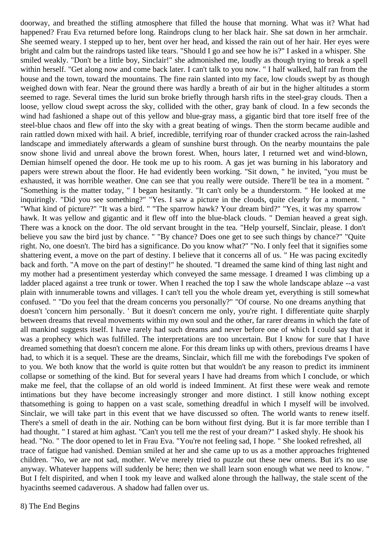doorway, and breathed the stifling atmosphere that filled the house that morning. What was it? What had happened? Frau Eva returned before long. Raindrops clung to her black hair. She sat down in her armchair. She seemed weary. I stepped up to her, bent over her head, and kissed the rain out of her hair. Her eyes were bright and calm but the raindrops tasted like tears. "Should I go and see how he is?" I asked in a whisper. She smiled weakly. "Don't be a little boy, Sinclair!" she admonished me, loudly as though trying to break a spell within herself. "Get along now and come back later. I can't talk to you now." I half walked, half ran from the house and the town, toward the mountains. The fine rain slanted into my face, low clouds swept by as though weighed down with fear. Near the ground there was hardly a breath of air but in the higher altitudes a storm seemed to rage. Several times the lurid sun broke briefly through harsh rifts in the steel-gray clouds. Then a loose, yellow cloud swept across the sky, collided with the other, gray bank of cloud. In a few seconds the wind had fashioned a shape out of this yellow and blue-gray mass, a gigantic bird that tore itself free of the steel-blue chaos and flew off into the sky with a great beating of wings. Then the storm became audible and rain rattled down mixed with hail. A brief, incredible, terrifying roar of thunder cracked across the rain-lashed landscape and immediately afterwards a gleam of sunshine burst through. On the nearby mountains the pale snow shone livid and unreal above the brown forest. When, hours later, I returned wet and wind-blown, Demian himself opened the door. He took me up to his room. A gas jet was burning in his laboratory and papers were strewn about the floor. He had evidently been working. "Sit down, " he invited, "you must be exhausted, it was horrible weather. One can see that you really were outside. There'll be tea in a moment. " "Something is the matter today, " I began hesitantly. "It can't only be a thunderstorm. " He looked at me inquiringly. "Did you see something?" "Yes. I saw a picture in the clouds, quite clearly for a moment. " "What kind of picture?" "It was a bird. " "The sparrow hawk? Your dream bird?" "Yes, it was my sparrow hawk. It was yellow and gigantic and it flew off into the blue-black clouds. " Demian heaved a great sigh. There was a knock on the door. The old servant brought in the tea. "Help yourself, Sinclair, please. I don't believe you saw the bird just by chance. " "By chance? Does one get to see such things by chance?" "Quite right. No, one doesn't. The bird has a significance. Do you know what?" "No. I only feel that it signifies some shattering event, a move on the part of destiny. I believe that it concerns all of us. " He was pacing excitedly back and forth. "A move on the part of destiny!" he shouted. "I dreamed the same kind of thing last night and my mother had a presentiment yesterday which conveyed the same message. I dreamed I was climbing up a ladder placed against a tree trunk or tower. When I reached the top I saw the whole landscape ablaze --a vast plain with innumerable towns and villages. I can't tell you the whole dream yet, everything is still somewhat confused. " "Do you feel that the dream concerns you personally?" "Of course. No one dreams anything that doesn't 'concern him personally. ' But it doesn't concern me only, you're right. I differentiate quite sharply between dreams that reveal movements within my own soul and the other, far rarer dreams in which the fate of all mankind suggests itself. I have rarely had such dreams and never before one of which I could say that it was a prophecy which was fulfilled. The interpretations are too uncertain. But I know for sure that I have dreamed something that doesn't concern me alone. For this dream links up with others, previous dreams I have had, to which it is a sequel. These are the dreams, Sinclair, which fill me with the forebodings I've spoken of to you. We both know that the world is quite rotten but that wouldn't be any reason to predict its imminent collapse or something of the kind. But for several years I have had dreams from which I conclude, or which make me feel, that the collapse of an old world is indeed Imminent. At first these were weak and remote intimations but they have become increasingly stronger and more distinct. I still know nothing except thatsomething is going to happen on a vast scale, something dreadful in which I myself will be involved. Sinclair, we will take part in this event that we have discussed so often. The world wants to renew itself. There's a smell of death in the air. Nothing can be born without first dying. But it is far more terrible than I had thought. " I stared at him aghast. "Can't you tell me the rest of your dream?" I asked shyly. He shook his head. "No. " The door opened to let in Frau Eva. "You're not feeling sad, I hope." She looked refreshed, all trace of fatigue had vanished. Demian smiled at her and she came up to us as a mother approaches frightened children. "No, we are not sad, mother. We've merely tried to puzzle out these new omens. But it's no use anyway. Whatever happens will suddenly be here; then we shall learn soon enough what we need to know. " But I felt dispirited, and when I took my leave and walked alone through the hallway, the stale scent of the hyacinths seemed cadaverous. A shadow had fallen over us.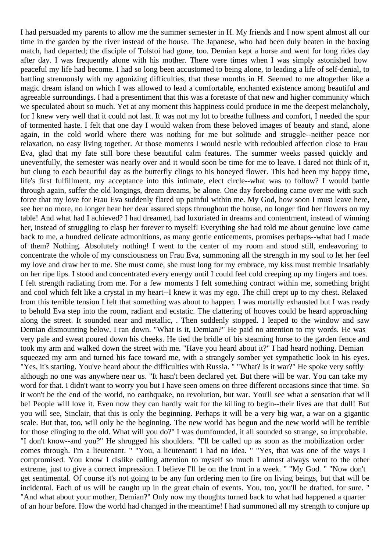I had persuaded my parents to allow me the summer semester in H. My friends and I now spent almost all our time in the garden by the river instead of the house. The Japanese, who had been duly beaten in the boxing match, had departed; the disciple of Tolstoi had gone, too. Demian kept a horse and went for long rides day after day. I was frequently alone with his mother. There were times when I was simply astonished how peaceful my life had become. I had so long been accustomed to being alone, to leading a life of self-denial, to battling strenuously with my agonizing difficulties, that these months in H. Seemed to me altogether like a magic dream island on which I was allowed to lead a comfortable, enchanted existence among beautiful and agreeable surroundings. I had a presentiment that this was a foretaste of that new and higher community which we speculated about so much. Yet at any moment this happiness could produce in me the deepest melancholy, for I knew very well that it could not last. It was not my lot to breathe fullness and comfort, I needed the spur of tormented haste. I felt that one day I would waken from these beloved images of beauty and stand, alone again, in the cold world where there was nothing for me but solitude and struggle--neither peace nor relaxation, no easy living together. At those moments I would nestle with redoubled affection close to Frau Eva, glad that my fate still bore these beautiful calm features. The summer weeks passed quickly and uneventfully, the semester was nearly over and it would soon be time for me to leave. I dared not think of it, but clung to each beautiful day as the butterfly clings to his honeyed flower. This had been my happy time, life's first fulfillment, my acceptance into this intimate, elect circle--what was to follow? I would battle through again, suffer the old longings, dream dreams, be alone. One day foreboding came over me with such force that my love for Frau Eva suddenly flared up painful within me. My God, how soon I must leave here, see her no more, no longer hear her dear assured steps throughout the house, no longer find her flowers on my table! And what had I achieved? I had dreamed, had luxuriated in dreams and contentment, instead of winning her, instead of struggling to clasp her forever to myself! Everything she had told me about genuine love came back to me, a hundred delicate admonitions, as many gentle enticements, promises perhaps--what had I made of them? Nothing. Absolutely nothing! I went to the center of my room and stood still, endeavoring to concentrate the whole of my consciousness on Frau Eva, summoning all the strength in my soul to let her feel my love and draw her to me. She must come, she must long for my embrace, my kiss must tremble insatiably on her ripe lips. I stood and concentrated every energy until I could feel cold creeping up my fingers and toes. I felt strength radiating from me. For a few moments I felt something contract within me, something bright and cool which felt like a crystal in my heart--I knew it was my ego. The chill crept up to my chest. Relaxed from this terrible tension I felt that something was about to happen. I was mortally exhausted but I was ready to behold Eva step into the room, radiant and ecstatic. The clattering of hooves could be heard approaching along the street. It sounded near and metallic, . Then suddenly stopped. I leaped to the window and saw Demian dismounting below. I ran down. "What is it, Demian?" He paid no attention to my words. He was very pale and sweat poured down his cheeks. He tied the bridle of bis steaming horse to the garden fence and took my arm and walked down the street with me. "Have you heard about it?" I had heard nothing. Demian squeezed my arm and turned his face toward me, with a strangely somber yet sympathetic look in his eyes. "Yes, it's starting. You've heard about the difficulties with Russia. " "What? Is it war?" He spoke very softly although no one was anywhere near us. "It hasn't been declared yet. But there will be war. You can take my word for that. I didn't want to worry you but I have seen omens on three different occasions since that time. So it won't be the end of the world, no earthquake, no revolution, but war. You'll see what a sensation that will be! People will love it. Even now they can hardly wait for the killing to begin--their lives are that dull! But you will see, Sinclair, that this is only the beginning. Perhaps it will be a very big war, a war on a gigantic scale. But that, too, will only be the beginning. The new world has begun and the new world will be terrible for those clinging to the old. What will you do?" I was dumfounded, it all sounded so strange, so improbable. "I don't know--and you?" He shrugged his shoulders. "I'll be called up as soon as the mobilization order comes through. I'm a lieutenant. " "You, a lieutenant! I had no idea. " "Yes, that was one of the ways I compromised. You know I dislike calling attention to myself so much I almost always went to the other extreme, just to give a correct impression. I believe I'll be on the front in a week. " "My God. " "Now don't get sentimental. Of course it's not going to be any fun ordering men to fire on living beings, but that will be incidental. Each of us will be caught up in the great chain of events. You, too, you'll be drafted, for sure. " "And what about your mother, Demian?" Only now my thoughts turned back to what had happened a quarter of an hour before. How the world had changed in the meantime! I had summoned all my strength to conjure up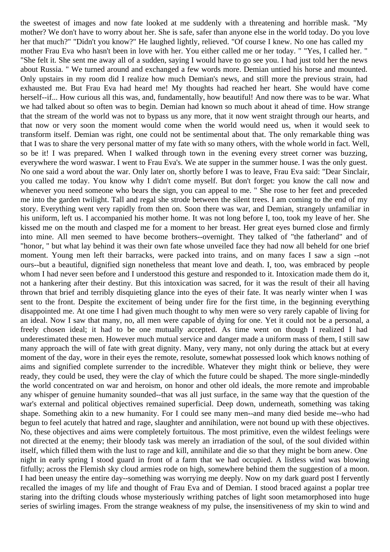the sweetest of images and now fate looked at me suddenly with a threatening and horrible mask. "My mother? We don't have to worry about her. She is safe, safer than anyone else in the world today. Do you love her that much?" "Didn't you know?" He laughed lightly, relieved. "Of course I knew. No one has called my mother Frau Eva who hasn't been in love with her. You either called me or her today. " "Yes, I called her. " "She felt it. She sent me away all of a sudden, saying I would have to go see you. I had just told her the news about Russia. " We turned around and exchanged a few words more. Demian untied his horse and mounted. Only upstairs in my room did I realize how much Demian's news, and still more the previous strain, had exhausted me. But Frau Eva had heard me! My thoughts had reached her heart. She would have come herself--if... How curious all this was, and, fundamentally, how beautiful! And now there was to be war. What we had talked about so often was to begin. Demian had known so much about it ahead of time. How strange that the stream of the world was not to bypass us any more, that it now went straight through our hearts, and that now or very soon the moment would come when the world would need us, when it would seek to transform itself. Demian was right, one could not be sentimental about that. The only remarkable thing was that I was to share the very personal matter of my fate with so many others, with the whole world in fact. Well, so be it! I was prepared. When I walked through town in the evening every street corner was buzzing, everywhere the word waswar. I went to Frau Eva's. We ate supper in the summer house. I was the only guest. No one said a word about the war. Only later on, shortly before I was to leave, Frau Eva said: "Dear Sinclair, you called me today. You know why I didn't come myself. But don't forget: you know the call now and whenever you need someone who bears the sign, you can appeal to me. " She rose to her feet and preceded me into the garden twilight. Tall and regal she strode between the silent trees. I am coming to the end of my story. Everything went very rapidly from then on. Soon there was war, and Demian, strangely unfamiliar in his uniform, left us. I accompanied his mother home. It was not long before I, too, took my leave of her. She kissed me on the mouth and clasped me for a moment to her breast. Her great eyes burned close and firmly into mine. All men seemed to have become brothers--overnight. They talked of "the fatherland" and of "honor, " but what lay behind it was their own fate whose unveiled face they had now all beheld for one brief moment. Young men left their barracks, were packed into trains, and on many faces I saw a sign --not ours--but a beautiful, dignified sign nonetheless that meant love and death. I, too, was embraced by people whom I had never seen before and I understood this gesture and responded to it. Intoxication made them do it, not a hankering after their destiny. But this intoxication was sacred, for it was the result of their all having thrown that brief and terribly disquieting glance into the eyes of their fate. It was nearly winter when I was sent to the front. Despite the excitement of being under fire for the first time, in the beginning everything disappointed me. At one time I had given much thought to why men were so very rarely capable of living for an ideal. Now I saw that many, no, all men were capable of dying for one. Yet it could not be a personal, a freely chosen ideal; it had to be one mutually accepted. As time went on though I realized I had underestimated these men. However much mutual service and danger made a uniform mass of them, I still saw many approach the will of fate with great dignity. Many, very many, not only during the attack but at every moment of the day, wore in their eyes the remote, resolute, somewhat possessed look which knows nothing of aims and signified complete surrender to the incredible. Whatever they might think or believe, they were ready, they could be used, they were the clay of which the future could be shaped. The more single-mindedly the world concentrated on war and heroism, on honor and other old ideals, the more remote and improbable any whisper of genuine humanity sounded--that was all just surface, in the same way that the question of the war's external and political objectives remained superficial. Deep down, underneath, something was taking shape. Something akin to a new humanity. For I could see many men--and many died beside me--who had begun to feel acutely that hatred and rage, slaughter and annihilation, were not bound up with these objectives. No, these objectives and aims were completely fortuitous. The most primitive, even the wildest feelings were not directed at the enemy; their bloody task was merely an irradiation of the soul, of the soul divided within itself, which filled them with the lust to rage and kill, annihilate and die so that they might be born anew. One night in early spring I stood guard in front of a farm that we had occupied. A listless wind was blowing fitfully; across the Flemish sky cloud armies rode on high, somewhere behind them the suggestion of a moon. I had been uneasy the entire day--something was worrying me deeply. Now on my dark guard post I fervently recalled the images of my life and thought of Frau Eva and of Demian. I stood braced against a poplar tree staring into the drifting clouds whose mysteriously writhing patches of light soon metamorphosed into huge series of swirling images. From the strange weakness of my pulse, the insensitiveness of my skin to wind and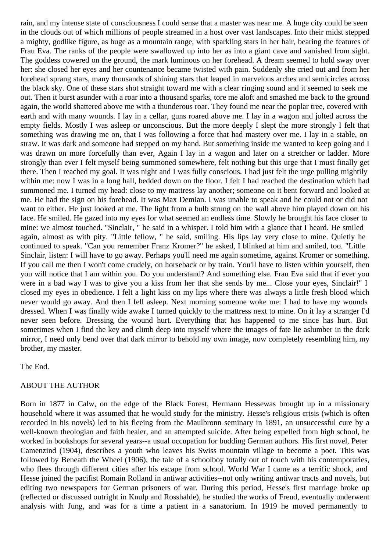rain, and my intense state of consciousness I could sense that a master was near me. A huge city could be seen in the clouds out of which millions of people streamed in a host over vast landscapes. Into their midst stepped a mighty, godlike figure, as huge as a mountain range, with sparkling stars in her hair, bearing the features of Frau Eva. The ranks of the people were swallowed up into her as into a giant cave and vanished from sight. The goddess cowered on the ground, the mark luminous on her forehead. A dream seemed to hold sway over her: she closed her eyes and her countenance became twisted with pain. Suddenly she cried out and from her forehead sprang stars, many thousands of shining stars that leaped in marvelous arches and semicircles across the black sky. One of these stars shot straight toward me with a clear ringing sound and it seemed to seek me out. Then it burst asunder with a roar into a thousand sparks, tore me aloft and smashed me back to the ground again, the world shattered above me with a thunderous roar. They found me near the poplar tree, covered with earth and with many wounds. I lay in a cellar, guns roared above me. I lay in a wagon and jolted across the empty fields. Mostly I was asleep or unconscious. But the more deeply I slept the more strongly I felt that something was drawing me on, that I was following a force that had mastery over me. I lay in a stable, on straw. It was dark and someone had stepped on my hand. But something inside me wanted to keep going and I was drawn on more forcefully than ever, Again I lay in a wagon and later on a stretcher or ladder. More strongly than ever I felt myself being summoned somewhere, felt nothing but this urge that I must finally get there. Then I reached my goal. It was night and I was fully conscious. I had just felt the urge pulling mightily within me: now I was in a long hall, bedded down on the floor. I felt I had reached the destination which had summoned me. I turned my head: close to my mattress lay another; someone on it bent forward and looked at me. He had the sign on his forehead. It was Max Demian. I was unable to speak and he could not or did not want to either. He just looked at me. The light from a bulb strung on the wall above him played down on his face. He smiled. He gazed into my eyes for what seemed an endless time. Slowly he brought his face closer to mine: we almost touched. "Sinclair, " he said in a whisper. I told him with a glance that I heard. He smiled again, almost as with pity. "Little fellow, " he said, smiling. His lips lay very close to mine. Quietly he continued to speak. "Can you remember Franz Kromer?" he asked, I blinked at him and smiled, too. "Little Sinclair, listen: I will have to go away. Perhaps you'll need me again sometime, against Kromer or something. If you call me then I won't come crudely, on horseback or by train. You'll have to listen within yourself, then you will notice that I am within you. Do you understand? And something else. Frau Eva said that if ever you were in a bad way I was to give you a kiss from her that she sends by me... Close your eyes, Sinclair!" I closed my eyes in obedience. I felt a light kiss on my lips where there was always a little fresh blood which never would go away. And then I fell asleep. Next morning someone woke me: I had to have my wounds dressed. When I was finally wide awake I turned quickly to the mattress next to mine. On it lay a stranger I'd never seen before. Dressing the wound hurt. Everything that has happened to me since has hurt. But sometimes when I find the key and climb deep into myself where the images of fate lie aslumber in the dark mirror, I need only bend over that dark mirror to behold my own image, now completely resembling him, my brother, my master.

The End.

### ABOUT THE AUTHOR

Born in 1877 in Calw, on the edge of the Black Forest, Hermann Hessewas brought up in a missionary household where it was assumed that he would study for the ministry. Hesse's religious crisis (which is often recorded in his novels) led to his fleeing from the Maulbronn seminary in 1891, an unsuccessful cure by a well-known theologian and faith healer, and an attempted suicide. After being expelled from high school, he worked in bookshops for several years--a usual occupation for budding German authors. His first novel, Peter Camenzind (1904), describes a youth who leaves his Swiss mountain village to become a poet. This was followed by Beneath the Wheel (1906), the tale of a schoolboy totally out of touch with his contemporaries, who flees through different cities after his escape from school. World War I came as a terrific shock, and Hesse joined the pacifist Romain Rolland in antiwar activities--not only writing antiwar tracts and novels, but editing two newspapers for German prisoners of war. During this period, Hesse's first marriage broke up (reflected or discussed outright in Knulp and Rosshalde), he studied the works of Freud, eventually underwent analysis with Jung, and was for a time a patient in a sanatorium. In 1919 he moved permanently to